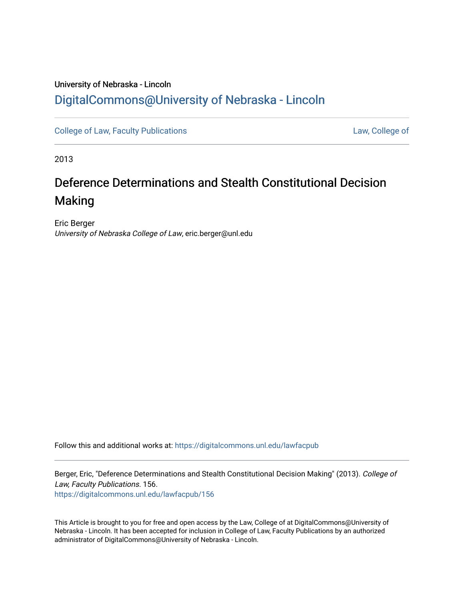# University of Nebraska - Lincoln [DigitalCommons@University of Nebraska - Lincoln](https://digitalcommons.unl.edu/)

[College of Law, Faculty Publications](https://digitalcommons.unl.edu/lawfacpub) **[Law, College of](https://digitalcommons.unl.edu/law) Law, College of** 

2013

# Deference Determinations and Stealth Constitutional Decision Making

Eric Berger University of Nebraska College of Law, eric.berger@unl.edu

Follow this and additional works at: [https://digitalcommons.unl.edu/lawfacpub](https://digitalcommons.unl.edu/lawfacpub?utm_source=digitalcommons.unl.edu%2Flawfacpub%2F156&utm_medium=PDF&utm_campaign=PDFCoverPages) 

Berger, Eric, "Deference Determinations and Stealth Constitutional Decision Making" (2013). College of Law, Faculty Publications. 156.

[https://digitalcommons.unl.edu/lawfacpub/156](https://digitalcommons.unl.edu/lawfacpub/156?utm_source=digitalcommons.unl.edu%2Flawfacpub%2F156&utm_medium=PDF&utm_campaign=PDFCoverPages) 

This Article is brought to you for free and open access by the Law, College of at DigitalCommons@University of Nebraska - Lincoln. It has been accepted for inclusion in College of Law, Faculty Publications by an authorized administrator of DigitalCommons@University of Nebraska - Lincoln.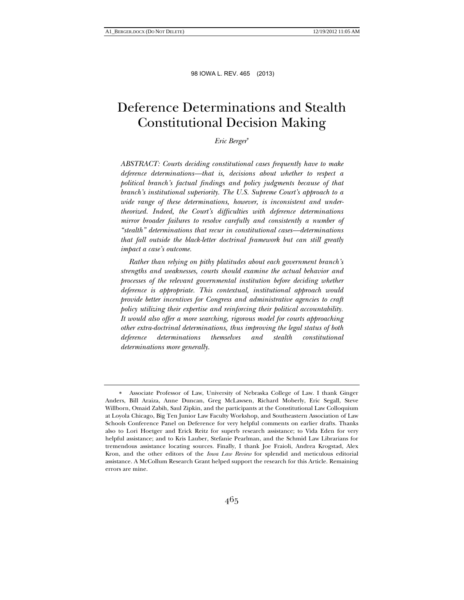# Deference Determinations and Stealth Constitutional Decision Making

*Eric Berger*

*ABSTRACT: Courts deciding constitutional cases frequently have to make deference determinations—that is, decisions about whether to respect a political branch's factual findings and policy judgments because of that branch's institutional superiority. The U.S. Supreme Court's approach to a wide range of these determinations, however, is inconsistent and undertheorized. Indeed, the Court's difficulties with deference determinations mirror broader failures to resolve carefully and consistently a number of "stealth" determinations that recur in constitutional cases—determinations that fall outside the black-letter doctrinal framework but can still greatly impact a case's outcome.* 

 *Rather than relying on pithy platitudes about each government branch's strengths and weaknesses, courts should examine the actual behavior and processes of the relevant governmental institution before deciding whether deference is appropriate. This contextual, institutional approach would provide better incentives for Congress and administrative agencies to craft policy utilizing their expertise and reinforcing their political accountability. It would also offer a more searching, rigorous model for courts approaching other extra-doctrinal determinations, thus improving the legal status of both deference determinations themselves and stealth constitutional determinations more generally.* 

Associate Professor of Law, University of Nebraska College of Law. I thank Ginger Anders, Bill Araiza, Anne Duncan, Greg McLawsen, Richard Moberly, Eric Segall, Steve Willborn, Omaid Zabih, Saul Zipkin, and the participants at the Constitutional Law Colloquium at Loyola Chicago, Big Ten Junior Law Faculty Workshop, and Southeastern Association of Law Schools Conference Panel on Deference for very helpful comments on earlier drafts. Thanks also to Lori Hoetger and Erick Reitz for superb research assistance; to Vida Eden for very helpful assistance; and to Kris Lauber, Stefanie Pearlman, and the Schmid Law Librarians for tremendous assistance locating sources. Finally, I thank Joe Fraioli, Andrea Krogstad, Alex Kron, and the other editors of the *Iowa Law Review* for splendid and meticulous editorial assistance. A McCollum Research Grant helped support the research for this Article. Remaining errors are mine.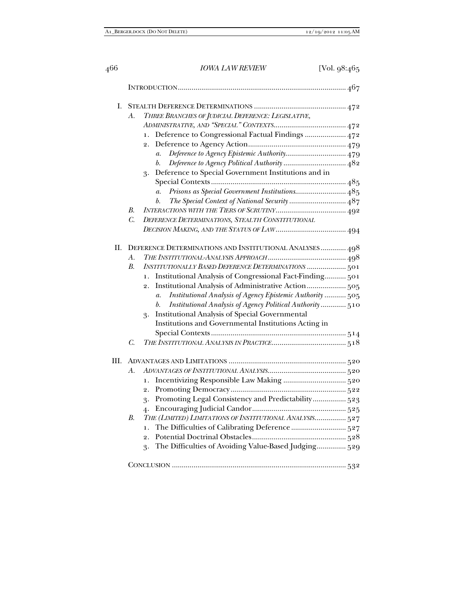| Ι. | THREE BRANCHES OF JUDICIAL DEFERENCE: LEGISLATIVE,<br>А.                     |
|----|------------------------------------------------------------------------------|
|    |                                                                              |
|    | Deference to Congressional Factual Findings  472<br>$\mathbf{1}$ .           |
|    | 2.                                                                           |
|    | Deference to Agency Epistemic Authority 479<br>$\mathfrak{a}.$               |
|    | b.                                                                           |
|    | Deference to Special Government Institutions and in<br>3.                    |
|    |                                                                              |
|    | Prisons as Special Government Institutions 485<br>$\overline{a}$ .           |
|    | The Special Context of National Security  487<br>b.                          |
|    | В.                                                                           |
|    | $C$ .<br>DEFERENCE DETERMINATIONS, STEALTH CONSTITUTIONAL                    |
|    |                                                                              |
| Π. | DEFERENCE DETERMINATIONS AND INSTITUTIONAL ANALYSES 498                      |
|    | $\mathcal{A}$ .                                                              |
|    | <b>INSTITUTIONALLY BASED DEFERENCE DETERMINATIONS  501</b><br><i>B.</i>      |
|    | Institutional Analysis of Congressional Fact-Finding 501<br>1.               |
|    | Institutional Analysis of Administrative Action 505<br>$\overline{2}$ .      |
|    | Institutional Analysis of Agency Epistemic Authority  505<br>$\mathfrak{a}.$ |
|    | Institutional Analysis of Agency Political Authority 510<br>b.               |
|    | <b>Institutional Analysis of Special Governmental</b><br>3.                  |
|    | Institutions and Governmental Institutions Acting in                         |
|    |                                                                              |
|    | C.                                                                           |
| Ш. |                                                                              |
|    | А.                                                                           |
|    | 1.                                                                           |
|    | 2.                                                                           |
|    | Promoting Legal Consistency and Predictability 523<br>3.                     |
|    | 4.                                                                           |
|    | THE (LIMITED) LIMITATIONS OF INSTITUTIONAL ANALYSIS 527<br><i>B.</i>         |
|    | $\mathbf{1}$ .                                                               |
|    | $\overline{2}$ .                                                             |
|    | The Difficulties of Avoiding Value-Based Judging 529<br>3.                   |
|    |                                                                              |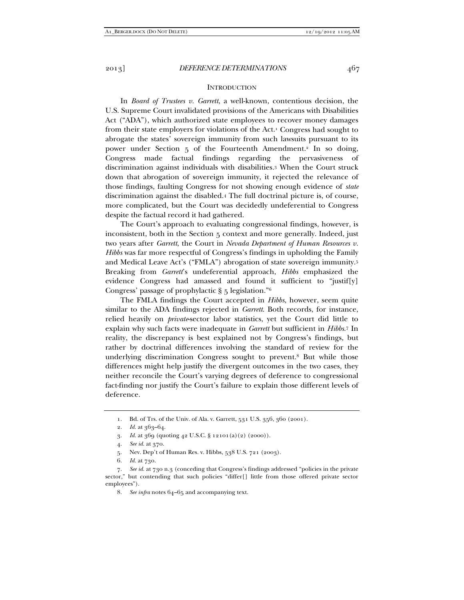#### **INTRODUCTION**

In *Board of Trustees v. Garrett*, a well-known, contentious decision, the U.S. Supreme Court invalidated provisions of the Americans with Disabilities Act ("ADA"), which authorized state employees to recover money damages from their state employers for violations of the Act.1 Congress had sought to abrogate the states' sovereign immunity from such lawsuits pursuant to its power under Section 5 of the Fourteenth Amendment.<sup>2</sup> In so doing, Congress made factual findings regarding the pervasiveness of discrimination against individuals with disabilities.3 When the Court struck down that abrogation of sovereign immunity, it rejected the relevance of those findings, faulting Congress for not showing enough evidence of *state*  discrimination against the disabled.4 The full doctrinal picture is, of course, more complicated, but the Court was decidedly undeferential to Congress despite the factual record it had gathered.

The Court's approach to evaluating congressional findings, however, is inconsistent, both in the Section 5 context and more generally. Indeed, just two years after *Garrett*, the Court in *Nevada Department of Human Resources v. Hibbs* was far more respectful of Congress's findings in upholding the Family and Medical Leave Act's ("FMLA") abrogation of state sovereign immunity.5 Breaking from *Garrett*'s undeferential approach, *Hibbs* emphasized the evidence Congress had amassed and found it sufficient to "justif[y] Congress' passage of prophylactic § 5 legislation."6

The FMLA findings the Court accepted in *Hibbs*, however, seem quite similar to the ADA findings rejected in *Garrett*. Both records, for instance, relied heavily on *private*-sector labor statistics, yet the Court did little to explain why such facts were inadequate in *Garrett* but sufficient in *Hibbs*.7 In reality, the discrepancy is best explained not by Congress's findings, but rather by doctrinal differences involving the standard of review for the underlying discrimination Congress sought to prevent.8 But while those differences might help justify the divergent outcomes in the two cases, they neither reconcile the Court's varying degrees of deference to congressional fact-finding nor justify the Court's failure to explain those different levels of deference.

- 5. Nev. Dep't of Human Res. v. Hibbs, 538 U.S. 721 (2003).
- 6. *Id.* at 730.

 <sup>1.</sup> Bd. of Trs. of the Univ. of Ala. v. Garrett, 531 U.S. 356, 360 (2001).

 <sup>2.</sup> *Id.* at 363–64.

 <sup>3.</sup> *Id.* at 369 (quoting 42 U.S.C. § 12101(a)(2) (2000)).

 <sup>4.</sup> *See id.* at 370.

 <sup>7.</sup> *See id.* at 730 n.3 (conceding that Congress's findings addressed "policies in the private sector," but contending that such policies "differ[] little from those offered private sector employees").

 <sup>8.</sup> *See infra* notes 64–65 and accompanying text.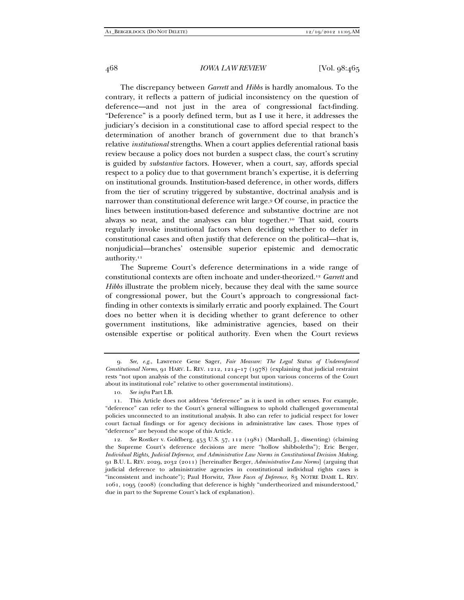The discrepancy between *Garrett* and *Hibbs* is hardly anomalous. To the contrary, it reflects a pattern of judicial inconsistency on the question of deference—and not just in the area of congressional fact-finding. "Deference" is a poorly defined term, but as I use it here, it addresses the judiciary's decision in a constitutional case to afford special respect to the determination of another branch of government due to that branch's relative *institutional* strengths. When a court applies deferential rational basis review because a policy does not burden a suspect class, the court's scrutiny is guided by *substantive* factors. However, when a court, say, affords special respect to a policy due to that government branch's expertise, it is deferring on institutional grounds. Institution-based deference, in other words, differs from the tier of scrutiny triggered by substantive, doctrinal analysis and is narrower than constitutional deference writ large.9 Of course, in practice the lines between institution-based deference and substantive doctrine are not always so neat, and the analyses can blur together.10 That said, courts regularly invoke institutional factors when deciding whether to defer in constitutional cases and often justify that deference on the political—that is, nonjudicial—branches' ostensible superior epistemic and democratic authority.<sup>11</sup>

The Supreme Court's deference determinations in a wide range of constitutional contexts are often inchoate and under-theorized.12 *Garrett* and *Hibbs* illustrate the problem nicely, because they deal with the same source of congressional power, but the Court's approach to congressional factfinding in other contexts is similarly erratic and poorly explained. The Court does no better when it is deciding whether to grant deference to other government institutions, like administrative agencies, based on their ostensible expertise or political authority. Even when the Court reviews

 <sup>9.</sup> *See, e.g.*, Lawrence Gene Sager, *Fair Measure: The Legal Status of Underenforced Constitutional Norms*, 91 HARV. L. REV. 1212, 1214–17 (1978) (explaining that judicial restraint rests "not upon analysis of the constitutional concept but upon various concerns of the Court about its institutional role" relative to other governmental institutions).

 <sup>10.</sup> *See infra* Part I.B.

 <sup>11.</sup> This Article does not address "deference" as it is used in other senses. For example, "deference" can refer to the Court's general willingness to uphold challenged governmental policies unconnected to an institutional analysis. It also can refer to judicial respect for lower court factual findings or for agency decisions in administrative law cases. Those types of "deference" are beyond the scope of this Article.

 <sup>12.</sup> *See* Rostker v. Goldberg, 453 U.S. 57, 112 (1981) (Marshall, J., dissenting) (claiming the Supreme Court's deference decisions are mere "hollow shibboleths"); Eric Berger, *Individual Rights, Judicial Deference, and Administrative Law Norms in Constitutional Decision Making*, 91 B.U. L. REV. 2029, 2032 (2011) [hereinafter Berger, *Administrative Law Norms*] (arguing that judicial deference to administrative agencies in constitutional individual rights cases is "inconsistent and inchoate"); Paul Horwitz, *Three Faces of Deference*, 83 NOTRE DAME L. REV. 1061, 1095 (2008) (concluding that deference is highly "undertheorized and misunderstood," due in part to the Supreme Court's lack of explanation).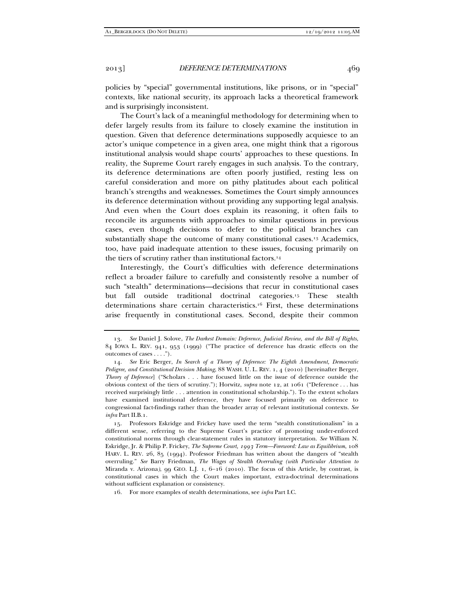policies by "special" governmental institutions, like prisons, or in "special" contexts, like national security, its approach lacks a theoretical framework and is surprisingly inconsistent.

The Court's lack of a meaningful methodology for determining when to defer largely results from its failure to closely examine the institution in question. Given that deference determinations supposedly acquiesce to an actor's unique competence in a given area, one might think that a rigorous institutional analysis would shape courts' approaches to these questions. In reality, the Supreme Court rarely engages in such analysis. To the contrary, its deference determinations are often poorly justified, resting less on careful consideration and more on pithy platitudes about each political branch's strengths and weaknesses. Sometimes the Court simply announces its deference determination without providing any supporting legal analysis. And even when the Court does explain its reasoning, it often fails to reconcile its arguments with approaches to similar questions in previous cases, even though decisions to defer to the political branches can substantially shape the outcome of many constitutional cases.13 Academics, too, have paid inadequate attention to these issues, focusing primarily on the tiers of scrutiny rather than institutional factors.<sup>14</sup>

Interestingly, the Court's difficulties with deference determinations reflect a broader failure to carefully and consistently resolve a number of such "stealth" determinations—decisions that recur in constitutional cases but fall outside traditional doctrinal categories.15 These stealth determinations share certain characteristics.16 First, these determinations arise frequently in constitutional cases. Second, despite their common

 15. Professors Eskridge and Frickey have used the term "stealth constitutionalism" in a different sense, referring to the Supreme Court's practice of promoting under-enforced constitutional norms through clear-statement rules in statutory interpretation. *See* William N. Eskridge, Jr. & Philip P. Frickey, *The Supreme Court, 1993 Term—Foreword: Law as Equilibrium*, 108 HARV. L. REV. 26, 85 (1994). Professor Friedman has written about the dangers of "stealth overruling." *See* Barry Friedman, *The Wages of Stealth Overruling (with Particular Attention to*  Miranda v. Arizona), 99 GEO. L.J. 1, 6-16 (2010). The focus of this Article, by contrast, is constitutional cases in which the Court makes important, extra-doctrinal determinations without sufficient explanation or consistency.

16. For more examples of stealth determinations, see *infra* Part I.C.

 <sup>13.</sup> *See* Daniel J. Solove, *The Darkest Domain: Deference, Judicial Review, and the Bill of Rights*, 84 IOWA L. REV. 941, 953 (1999) ("The practice of deference has drastic effects on the outcomes of cases . . . .").

 <sup>14.</sup> *See* Eric Berger, *In Search of a Theory of Deference: The Eighth Amendment, Democratic Pedigree, and Constitutional Decision Making*, 88 WASH. U. L. REV. 1, 4 (2010) [hereinafter Berger, *Theory of Deference*] ("Scholars . . . have focused little on the issue of deference outside the obvious context of the tiers of scrutiny."); Horwitz, *supra* note 12, at 1061 ("Deference . . . has received surprisingly little . . . attention in constitutional scholarship."). To the extent scholars have examined institutional deference, they have focused primarily on deference to congressional fact-findings rather than the broader array of relevant institutional contexts. *See infra* Part II.B.1.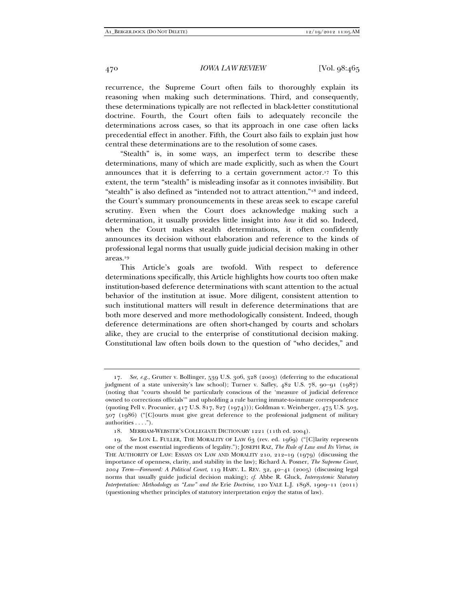recurrence, the Supreme Court often fails to thoroughly explain its reasoning when making such determinations. Third, and consequently, these determinations typically are not reflected in black-letter constitutional doctrine. Fourth, the Court often fails to adequately reconcile the determinations across cases, so that its approach in one case often lacks precedential effect in another. Fifth, the Court also fails to explain just how central these determinations are to the resolution of some cases.

"Stealth" is, in some ways, an imperfect term to describe these determinations, many of which are made explicitly, such as when the Court announces that it is deferring to a certain government actor.17 To this extent, the term "stealth" is misleading insofar as it connotes invisibility. But "stealth" is also defined as "intended not to attract attention,"18 and indeed, the Court's summary pronouncements in these areas seek to escape careful scrutiny. Even when the Court does acknowledge making such a determination, it usually provides little insight into *how* it did so. Indeed, when the Court makes stealth determinations, it often confidently announces its decision without elaboration and reference to the kinds of professional legal norms that usually guide judicial decision making in other areas.19

This Article's goals are twofold. With respect to deference determinations specifically, this Article highlights how courts too often make institution-based deference determinations with scant attention to the actual behavior of the institution at issue. More diligent, consistent attention to such institutional matters will result in deference determinations that are both more deserved and more methodologically consistent. Indeed, though deference determinations are often short-changed by courts and scholars alike, they are crucial to the enterprise of constitutional decision making. Constitutional law often boils down to the question of "who decides," and

 <sup>17.</sup> *See, e.g.*, Grutter v. Bollinger, 539 U.S. 306, 328 (2003) (deferring to the educational judgment of a state university's law school); Turner v. Safley,  $482$  U.S.  $78$ ,  $90-91$  ( $1987$ ) (noting that "courts should be particularly conscious of the 'measure of judicial deference owned to corrections officials'" and upholding a rule barring inmate-to-inmate correspondence (quoting Pell v. Procunier, 417 U.S. 817, 827 (1974))); Goldman v. Weinberger, 475 U.S. 503, 507 (1986) ("[C]ourts must give great deference to the professional judgment of military authorities . . . .").

 <sup>18.</sup> MERRIAM-WEBSTER'S COLLEGIATE DICTIONARY 1221 (11th ed. 2004).

 <sup>19.</sup> *See* LON L. FULLER, THE MORALITY OF LAW 63 (rev. ed. 1969) ("[C]larity represents one of the most essential ingredients of legality."); JOSEPH RAZ, *The Rule of Law and Its Virtue*, *in*  THE AUTHORITY OF LAW: ESSAYS ON LAW AND MORALITY 210, 212–19 (1979) (discussing the importance of openness, clarity, and stability in the law); Richard A. Posner, *The Supreme Court, 2004 Term—Foreword: A Political Court*, 119 HARV. L. REV. 32, 4041 (2005) (discussing legal norms that usually guide judicial decision making); *cf.* Abbe R. Gluck, *Intersystemic Statutory Interpretation: Methodology as "Law" and the Erie Doctrine*, 120 YALE L.J. 1898, 1909-11 (2011) (questioning whether principles of statutory interpretation enjoy the status of law).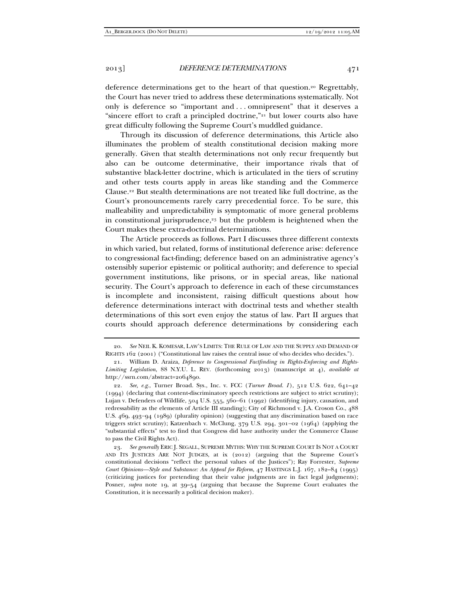deference determinations get to the heart of that question.20 Regrettably, the Court has never tried to address these determinations systematically. Not only is deference so "important and . . . omnipresent" that it deserves a "sincere effort to craft a principled doctrine,"21 but lower courts also have great difficulty following the Supreme Court's muddled guidance.

Through its discussion of deference determinations, this Article also illuminates the problem of stealth constitutional decision making more generally. Given that stealth determinations not only recur frequently but also can be outcome determinative, their importance rivals that of substantive black-letter doctrine, which is articulated in the tiers of scrutiny and other tests courts apply in areas like standing and the Commerce Clause.22 But stealth determinations are not treated like full doctrine, as the Court's pronouncements rarely carry precedential force. To be sure, this malleability and unpredictability is symptomatic of more general problems in constitutional jurisprudence,23 but the problem is heightened when the Court makes these extra-doctrinal determinations.

The Article proceeds as follows. Part I discusses three different contexts in which varied, but related, forms of institutional deference arise: deference to congressional fact-finding; deference based on an administrative agency's ostensibly superior epistemic or political authority; and deference to special government institutions, like prisons, or in special areas, like national security. The Court's approach to deference in each of these circumstances is incomplete and inconsistent, raising difficult questions about how deference determinations interact with doctrinal tests and whether stealth determinations of this sort even enjoy the status of law. Part II argues that courts should approach deference determinations by considering each

 <sup>20.</sup> *See* NEIL K. KOMESAR, LAW'S LIMITS: THE RULE OF LAW AND THE SUPPLY AND DEMAND OF RIGHTS 162 (2001) ("Constitutional law raises the central issue of who decides who decides.").

 <sup>21.</sup> William D. Araiza, *Deference to Congressional Factfinding in Rights-Enforcing and Rights-Limiting Legislation*, 88 N.Y.U. L. REV. (forthcoming 2013) (manuscript at 4), *available at*  http://ssrn.com/abstract=2064890.

 <sup>22.</sup> *See, e.g.*, Turner Broad. Sys., Inc. v. FCC (*Turner Broad. I* ), 512 U.S. 622, 641–42 (1994) (declaring that content-discriminatory speech restrictions are subject to strict scrutiny); Lujan v. Defenders of Wildlife, 504 U.S. 555, 560-61 (1992) (identifying injury, causation, and redressability as the elements of Article III standing); City of Richmond v. J.A. Croson Co., 488 U.S. 469, 493-94 (1989) (plurality opinion) (suggesting that any discrimination based on race triggers strict scrutiny); Katzenbach v. McClung, 379 U.S. 294, 301-02 (1964) (applying the "substantial effects" test to find that Congress did have authority under the Commerce Clause to pass the Civil Rights Act).

 <sup>23.</sup> *See generally* ERIC J. SEGALL, SUPREME MYTHS: WHY THE SUPREME COURT IS NOT A COURT AND ITS JUSTICES ARE NOT JUDGES, at ix (2012) (arguing that the Supreme Court's constitutional decisions "reflect the personal values of the Justices"); Ray Forrester, *Supreme Court Opinions—Style and Substance: An Appeal for Reform*, 47 HASTINGS L.J. 167, 182–84 (1995) (criticizing justices for pretending that their value judgments are in fact legal judgments); Posner, *supra* note 19, at 39–54 (arguing that because the Supreme Court evaluates the Constitution, it is necessarily a political decision maker).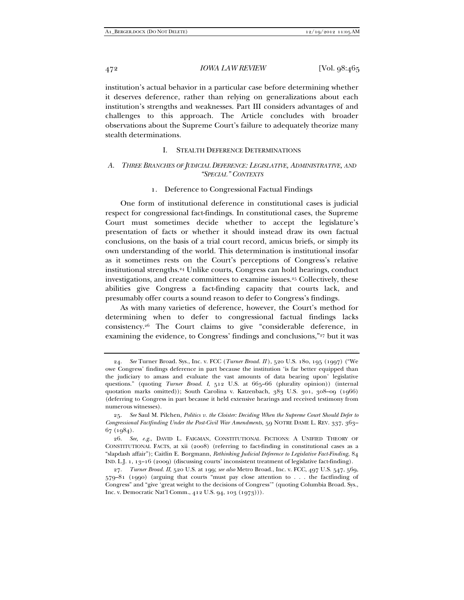institution's actual behavior in a particular case before determining whether it deserves deference, rather than relying on generalizations about each institution's strengths and weaknesses. Part III considers advantages of and challenges to this approach. The Article concludes with broader observations about the Supreme Court's failure to adequately theorize many stealth determinations.

# I. STEALTH DEFERENCE DETERMINATIONS

# *A. THREE BRANCHES OF JUDICIAL DEFERENCE: LEGISLATIVE, ADMINISTRATIVE, AND "SPECIAL" CONTEXTS*

# 1. Deference to Congressional Factual Findings

One form of institutional deference in constitutional cases is judicial respect for congressional fact-findings. In constitutional cases, the Supreme Court must sometimes decide whether to accept the legislature's presentation of facts or whether it should instead draw its own factual conclusions, on the basis of a trial court record, amicus briefs, or simply its own understanding of the world. This determination is institutional insofar as it sometimes rests on the Court's perceptions of Congress's relative institutional strengths.24 Unlike courts, Congress can hold hearings, conduct investigations, and create committees to examine issues.25 Collectively, these abilities give Congress a fact-finding capacity that courts lack, and presumably offer courts a sound reason to defer to Congress's findings.

As with many varieties of deference, however, the Court's method for determining when to defer to congressional factual findings lacks consistency.26 The Court claims to give "considerable deference, in examining the evidence, to Congress' findings and conclusions,"27 but it was

 <sup>24.</sup> *See* Turner Broad. Sys., Inc. v. FCC (*Turner Broad. II* ), 520 U.S. 180, 195 (1997) ("We owe Congress' findings deference in part because the institution 'is far better equipped than the judiciary to amass and evaluate the vast amounts of data bearing upon' legislative questions." (quoting *Turner Broad. I*, 512 U.S. at 665–66 (plurality opinion)) (internal quotation marks omitted)); South Carolina v. Katzenbach, 383 U.S. 301, 308–09 (1966) (deferring to Congress in part because it held extensive hearings and received testimony from numerous witnesses).

 <sup>25.</sup> *See* Saul M. Pilchen, *Politics v. the Cloister: Deciding When the Supreme Court Should Defer to Congressional Factfinding Under the Post-Civil War Amendments*, 59 NOTRE DAME L. REV. 337, 363– 67 (1984).

 <sup>26.</sup> *See, e.g.*, DAVID L. FAIGMAN, CONSTITUTIONAL FICTIONS: A UNIFIED THEORY OF CONSTITUTIONAL FACTS, at xii (2008) (referring to fact-finding in constitutional cases as a "slapdash affair"); Caitlin E. Borgmann, *Rethinking Judicial Deference to Legislative Fact-Finding*, 84 IND. L.J. 1, 13–16 (2009) (discussing courts' inconsistent treatment of legislative fact-finding).

 <sup>27.</sup> *Turner Broad. II*, 520 U.S. at 199; *see also* Metro Broad., Inc. v. FCC, 497 U.S. 547, 569, 579–81 (1990) (arguing that courts "must pay close attention to . . . the factfinding of Congress" and "give 'great weight to the decisions of Congress'" (quoting Columbia Broad. Sys., Inc. v. Democratic Nat'l Comm., 412 U.S. 94, 103 (1973))).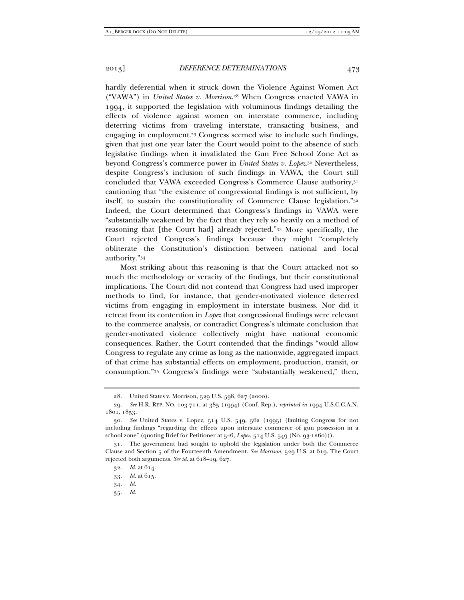hardly deferential when it struck down the Violence Against Women Act ("VAWA") in *United States v. Morrison*. 28 When Congress enacted VAWA in 1994, it supported the legislation with voluminous findings detailing the effects of violence against women on interstate commerce, including deterring victims from traveling interstate, transacting business, and engaging in employment.29 Congress seemed wise to include such findings, given that just one year later the Court would point to the absence of such legislative findings when it invalidated the Gun Free School Zone Act as beyond Congress's commerce power in *United States v. Lopez*.30 Nevertheless, despite Congress's inclusion of such findings in VAWA, the Court still concluded that VAWA exceeded Congress's Commerce Clause authority, 31 cautioning that "the existence of congressional findings is not sufficient, by itself, to sustain the constitutionality of Commerce Clause legislation."32 Indeed, the Court determined that Congress's findings in VAWA were "substantially weakened by the fact that they rely so heavily on a method of reasoning that [the Court had] already rejected."33 More specifically, the Court rejected Congress's findings because they might "completely obliterate the Constitution's distinction between national and local authority."34

Most striking about this reasoning is that the Court attacked not so much the methodology or veracity of the findings, but their constitutional implications. The Court did not contend that Congress had used improper methods to find, for instance, that gender-motivated violence deterred victims from engaging in employment in interstate business. Nor did it retreat from its contention in *Lopez* that congressional findings were relevant to the commerce analysis, or contradict Congress's ultimate conclusion that gender-motivated violence collectively might have national economic consequences. Rather, the Court contended that the findings "would allow Congress to regulate any crime as long as the nationwide, aggregated impact of that crime has substantial effects on employment, production, transit, or consumption."35 Congress's findings were "substantially weakened," then,

 <sup>28.</sup> United States v. Morrison, 529 U.S. 598, 627 (2000).

 <sup>29.</sup> *See* H.R. REP. NO. 103-711, at 385 (1994) (Conf. Rep.), *reprinted in* 1994 U.S.C.C.A.N. 1801, 1853.

 <sup>30.</sup> *See* United States v. Lopez, 514 U.S. 549, 562 (1995) (faulting Congress for not including findings "regarding the effects upon interstate commerce of gun possession in a school zone" (quoting Brief for Petitioner at 5–6, *Lopez*, 514 U.S. 549 (No. 93-1260))).

 <sup>31.</sup> The government had sought to uphold the legislation under both the Commerce Clause and Section 5 of the Fourteenth Amendment. *See Morrison*, 529 U.S. at 619. The Court rejected both arguments. *See id.* at 618–19, 627.

 <sup>32.</sup> *Id.* at 614.

 <sup>33.</sup> *Id.* at 615.

 <sup>34.</sup> *Id.*

 <sup>35.</sup> *Id.*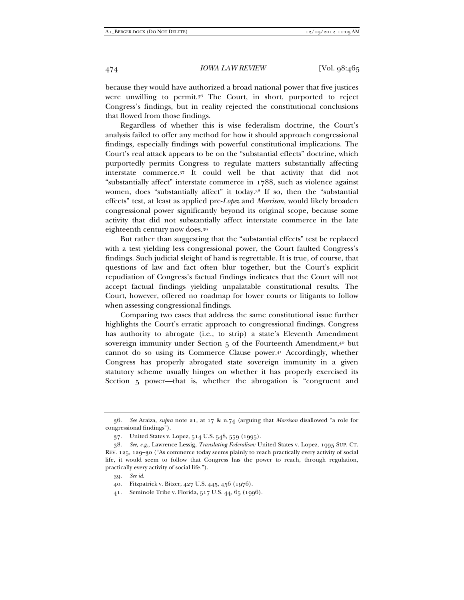because they would have authorized a broad national power that five justices were unwilling to permit.36 The Court, in short, purported to reject Congress's findings, but in reality rejected the constitutional conclusions that flowed from those findings.

Regardless of whether this is wise federalism doctrine, the Court's analysis failed to offer any method for how it should approach congressional findings, especially findings with powerful constitutional implications. The Court's real attack appears to be on the "substantial effects" doctrine, which purportedly permits Congress to regulate matters substantially affecting interstate commerce.37 It could well be that activity that did not "substantially affect" interstate commerce in 1788, such as violence against women, does "substantially affect" it today.38 If so, then the "substantial effects" test, at least as applied pre-*Lopez* and *Morrison*, would likely broaden congressional power significantly beyond its original scope, because some activity that did not substantially affect interstate commerce in the late eighteenth century now does.39

But rather than suggesting that the "substantial effects" test be replaced with a test yielding less congressional power, the Court faulted Congress's findings. Such judicial sleight of hand is regrettable. It is true, of course, that questions of law and fact often blur together, but the Court's explicit repudiation of Congress's factual findings indicates that the Court will not accept factual findings yielding unpalatable constitutional results. The Court, however, offered no roadmap for lower courts or litigants to follow when assessing congressional findings.

Comparing two cases that address the same constitutional issue further highlights the Court's erratic approach to congressional findings. Congress has authority to abrogate (i.e., to strip) a state's Eleventh Amendment sovereign immunity under Section 5 of the Fourteenth Amendment,<sup>40</sup> but cannot do so using its Commerce Clause power.41 Accordingly, whether Congress has properly abrogated state sovereign immunity in a given statutory scheme usually hinges on whether it has properly exercised its Section 5 power—that is, whether the abrogation is "congruent and

 <sup>36.</sup> *See* Araiza, *supra* note 21, at 17 & n.74 (arguing that *Morrison* disallowed "a role for congressional findings").

 <sup>37.</sup> United States v. Lopez, 514 U.S. 548, 559 (1995).

 <sup>38.</sup> *See, e.g.*, Lawrence Lessig, *Translating Federalism:* United States v. Lopez, 1995 SUP. CT. REV. 125, 129–30 ("As commerce today seems plainly to reach practically every activity of social life, it would seem to follow that Congress has the power to reach, through regulation, practically every activity of social life.").

 <sup>39.</sup> *See id.*

 <sup>40.</sup> Fitzpatrick v. Bitzer, 427 U.S. 445, 456 (1976).

 <sup>41.</sup> Seminole Tribe v. Florida, 517 U.S. 44, 65 (1996).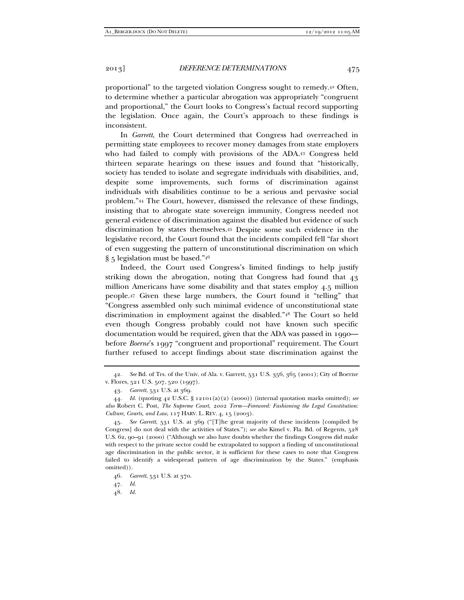proportional" to the targeted violation Congress sought to remedy.42 Often, to determine whether a particular abrogation was appropriately "congruent and proportional," the Court looks to Congress's factual record supporting the legislation. Once again, the Court's approach to these findings is inconsistent.

In *Garrett*, the Court determined that Congress had overreached in permitting state employees to recover money damages from state employers who had failed to comply with provisions of the ADA.43 Congress held thirteen separate hearings on these issues and found that "historically, society has tended to isolate and segregate individuals with disabilities, and, despite some improvements, such forms of discrimination against individuals with disabilities continue to be a serious and pervasive social problem."44 The Court, however, dismissed the relevance of these findings, insisting that to abrogate state sovereign immunity, Congress needed not general evidence of discrimination against the disabled but evidence of such discrimination by states themselves.45 Despite some such evidence in the legislative record, the Court found that the incidents compiled fell "far short of even suggesting the pattern of unconstitutional discrimination on which § 5 legislation must be based."46

Indeed, the Court used Congress's limited findings to help justify striking down the abrogation, noting that Congress had found that 43 million Americans have some disability and that states employ 4.5 million people.47 Given these large numbers, the Court found it "telling" that "Congress assembled only such minimal evidence of unconstitutional state discrimination in employment against the disabled."48 The Court so held even though Congress probably could not have known such specific documentation would be required, given that the ADA was passed in 1990 before *Boerne*'s 1997 "congruent and proportional" requirement. The Court further refused to accept findings about state discrimination against the

47. *Id.*

 <sup>42.</sup> *See* Bd. of Trs. of the Univ. of Ala. v. Garrett, 531 U.S. 356, 365 (2001); City of Boerne v. Flores, 521 U.S. 507, 520 (1997).

 <sup>43.</sup> *Garrett*, 531 U.S. at 369.

 <sup>44.</sup> *Id.* (quoting 42 U.S.C. § 12101(a)(2) (2000)) (internal quotation marks omitted); *see also* Robert C. Post, *The Supreme Court, 2002 Term—Foreword: Fashioning the Legal Constitution: Culture, Courts, and Law*, 117 HARV. L. REV. 4, 15 (2003).

 <sup>45.</sup> *See Garrett*, 531 U.S. at 369 ("[T]he great majority of these incidents [compiled by Congress] do not deal with the activities of States."); *see also* Kimel v. Fla. Bd. of Regents, 528 U.S. 62, 90–91 (2000) ("Although we also have doubts whether the findings Congress did make with respect to the private sector could be extrapolated to support a finding of unconstitutional age discrimination in the public sector, it is sufficient for these cases to note that Congress failed to identify a widespread pattern of age discrimination by the States." (emphasis omitted)).

 <sup>46.</sup> *Garrett*, 531 U.S. at 370.

 <sup>48.</sup> *Id.*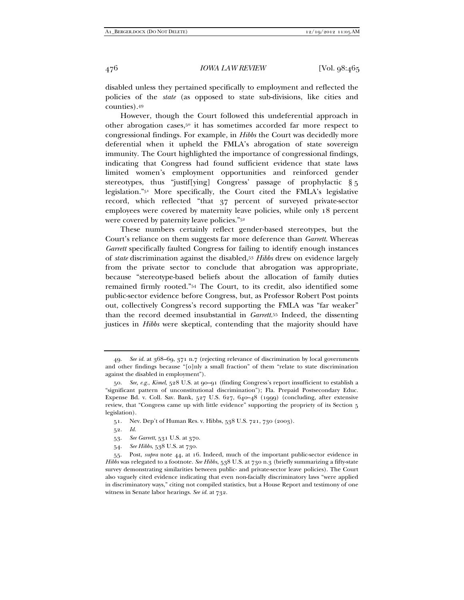disabled unless they pertained specifically to employment and reflected the policies of the *state* (as opposed to state sub-divisions, like cities and counties).49

However, though the Court followed this undeferential approach in other abrogation cases,50 it has sometimes accorded far more respect to congressional findings. For example, in *Hibbs* the Court was decidedly more deferential when it upheld the FMLA's abrogation of state sovereign immunity. The Court highlighted the importance of congressional findings, indicating that Congress had found sufficient evidence that state laws limited women's employment opportunities and reinforced gender stereotypes, thus "justif[ying] Congress' passage of prophylactic § 5 legislation."51 More specifically, the Court cited the FMLA's legislative record, which reflected "that 37 percent of surveyed private-sector employees were covered by maternity leave policies, while only 18 percent were covered by paternity leave policies."52

These numbers certainly reflect gender-based stereotypes, but the Court's reliance on them suggests far more deference than *Garrett*. Whereas *Garrett* specifically faulted Congress for failing to identify enough instances of *state* discrimination against the disabled,53 *Hibbs* drew on evidence largely from the private sector to conclude that abrogation was appropriate, because "stereotype-based beliefs about the allocation of family duties remained firmly rooted."54 The Court, to its credit, also identified some public-sector evidence before Congress, but, as Professor Robert Post points out, collectively Congress's record supporting the FMLA was "far weaker" than the record deemed insubstantial in *Garrett*. 55 Indeed, the dissenting justices in *Hibbs* were skeptical, contending that the majority should have

 <sup>49.</sup> *See id.* at 368–69, 371 n.7 (rejecting relevance of discrimination by local governments and other findings because "[o]nly a small fraction" of them "relate to state discrimination against the disabled in employment").

 <sup>50.</sup> *See, e.g.*, *Kimel*, 528 U.S. at 90–91 (finding Congress's report insufficient to establish a "significant pattern of unconstitutional discrimination"); Fla. Prepaid Postsecondary Educ. Expense Bd. v. Coll. Sav. Bank, 527 U.S. 627, 640–48 (1999) (concluding, after extensive review, that "Congress came up with little evidence" supporting the propriety of its Section 5 legislation).

 <sup>51.</sup> Nev. Dep't of Human Res. v. Hibbs, 538 U.S. 721, 730 (2003).

 <sup>52.</sup> *Id.*

 <sup>53.</sup> *See Garrett*, 531 U.S. at 370.

 <sup>54.</sup> *See Hibbs*, 538 U.S. at 730.

 <sup>55.</sup> Post, *supra* note 44, at 16. Indeed, much of the important public-sector evidence in *Hibbs* was relegated to a footnote. *See Hibbs*, 538 U.S. at 730 n.3 (briefly summarizing a fifty-state survey demonstrating similarities between public- and private-sector leave policies). The Court also vaguely cited evidence indicating that even non-facially discriminatory laws "were applied in discriminatory ways," citing not compiled statistics, but a House Report and testimony of one witness in Senate labor hearings. *See id.* at 732.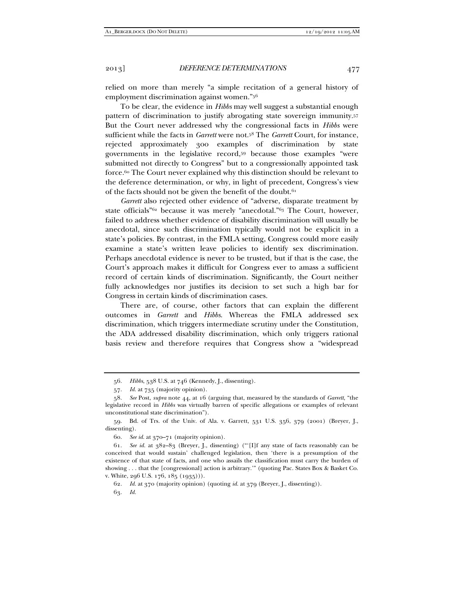relied on more than merely "a simple recitation of a general history of employment discrimination against women."56

To be clear, the evidence in *Hibbs* may well suggest a substantial enough pattern of discrimination to justify abrogating state sovereign immunity.57 But the Court never addressed why the congressional facts in *Hibbs* were sufficient while the facts in *Garrett* were not.58 The *Garrett* Court, for instance, rejected approximately 300 examples of discrimination by state governments in the legislative record,59 because those examples "were submitted not directly to Congress" but to a congressionally appointed task force.60 The Court never explained why this distinction should be relevant to the deference determination, or why, in light of precedent, Congress's view of the facts should not be given the benefit of the doubt.<sup>61</sup>

*Garrett* also rejected other evidence of "adverse, disparate treatment by state officials"62 because it was merely "anecdotal."63 The Court, however, failed to address whether evidence of disability discrimination will usually be anecdotal, since such discrimination typically would not be explicit in a state's policies. By contrast, in the FMLA setting, Congress could more easily examine a state's written leave policies to identify sex discrimination. Perhaps anecdotal evidence is never to be trusted, but if that is the case, the Court's approach makes it difficult for Congress ever to amass a sufficient record of certain kinds of discrimination. Significantly, the Court neither fully acknowledges nor justifies its decision to set such a high bar for Congress in certain kinds of discrimination cases.

There are, of course, other factors that can explain the different outcomes in *Garrett* and *Hibbs*. Whereas the FMLA addressed sex discrimination, which triggers intermediate scrutiny under the Constitution, the ADA addressed disability discrimination, which only triggers rational basis review and therefore requires that Congress show a "widespread

60. *See id.* at 370–71 (majority opinion).

 61. *See id.* at 382–83 (Breyer, J., dissenting) ("'[I]f any state of facts reasonably can be conceived that would sustain' challenged legislation, then 'there is a presumption of the existence of that state of facts, and one who assails the classification must carry the burden of showing . . . that the [congressional] action is arbitrary.'" (quoting Pac. States Box & Basket Co. v. White, 296 U.S. 176, 185 (1935))).

62. *Id.* at 370 (majority opinion) (quoting *id.* at 379 (Breyer, J., dissenting)).

63. *Id.*

 <sup>56.</sup> *Hibbs*, 538 U.S. at 746 (Kennedy, J., dissenting).

 <sup>57.</sup> *Id.* at 735 (majority opinion).

 <sup>58.</sup> *See* Post, *supra* note 44, at 16 (arguing that, measured by the standards of *Garrett*, "the legislative record in *Hibbs* was virtually barren of specific allegations or examples of relevant unconstitutional state discrimination").

 <sup>59.</sup> Bd. of Trs. of the Univ. of Ala. v. Garrett, 531 U.S. 356, 379 (2001) (Breyer, J., dissenting).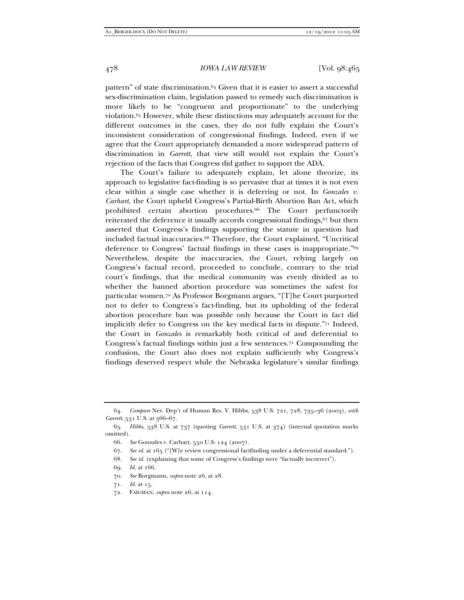pattern" of state discrimination.64 Given that it is easier to assert a successful sex-discrimination claim, legislation passed to remedy such discrimination is more likely to be "congruent and proportionate" to the underlying violation.65 However, while these distinctions may adequately account for the different outcomes in the cases, they do not fully explain the Court's inconsistent consideration of congressional findings. Indeed, even if we agree that the Court appropriately demanded a more widespread pattern of discrimination in *Garrett*, that view still would not explain the Court's rejection of the facts that Congress did gather to support the ADA.

The Court's failure to adequately explain, let alone theorize, its approach to legislative fact-finding is so pervasive that at times it is not even clear within a single case whether it is deferring or not. In *Gonzales v. Carhart*, the Court upheld Congress's Partial-Birth Abortion Ban Act, which prohibited certain abortion procedures.<sup>66</sup> The Court perfunctorily reiterated the deference it usually accords congressional findings,<sup>67</sup> but then asserted that Congress's findings supporting the statute in question had included factual inaccuracies.68 Therefore, the Court explained, "Uncritical deference to Congress' factual findings in these cases is inappropriate."69 Nevertheless, despite the inaccuracies, the Court, relying largely on Congress's factual record, proceeded to conclude, contrary to the trial court's findings, that the medical community was evenly divided as to whether the banned abortion procedure was sometimes the safest for particular women.70 As Professor Borgmann argues, "[T]he Court purported not to defer to Congress's fact-finding, but its upholding of the federal abortion procedure ban was possible only because the Court in fact did implicitly defer to Congress on the key medical facts in dispute."71 Indeed, the Court in *Gonzales* is remarkably both critical of and deferential to Congress's factual findings within just a few sentences.72 Compounding the confusion, the Court also does not explain sufficiently why Congress's findings deserved respect while the Nebraska legislature's similar findings

- 66. *See* Gonzales v. Carhart, 550 U.S. 124 (2007).
- 67. *See id.* at 165 ("[W]e review congressional factfinding under a deferential standard.").
- 68. *See id.* (explaining that some of Congress's findings were "factually incorrect").

- 70. *See* Borgmann, *supra* note 26, at 28.
- 71. *Id.* at 15.
- 72. FAIGMAN, *supra* note 26, at 114.

 <sup>64.</sup> *Compare* Nev. Dep't of Human Res. V. Hibbs, 538 U.S. 721, 728, 735–36 (2003), *with Garrett*, 531 U.S. at 366–67.

 <sup>65.</sup> *Hibbs*, 538 U.S. at 737 (quoting *Garrett*, 531 U.S. at 374) (internal quotation marks omitted).

 <sup>69.</sup> *Id.* at 166.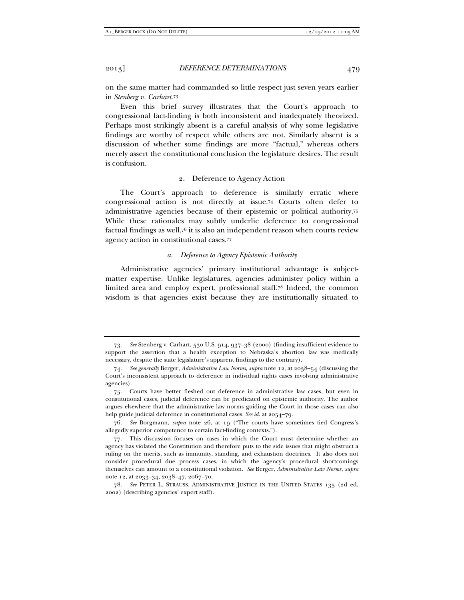on the same matter had commanded so little respect just seven years earlier in *Stenberg v. Carhart*.73

Even this brief survey illustrates that the Court's approach to congressional fact-finding is both inconsistent and inadequately theorized. Perhaps most strikingly absent is a careful analysis of why some legislative findings are worthy of respect while others are not. Similarly absent is a discussion of whether some findings are more "factual," whereas others merely assert the constitutional conclusion the legislature desires. The result is confusion.

### 2. Deference to Agency Action

The Court's approach to deference is similarly erratic where congressional action is not directly at issue.74 Courts often defer to administrative agencies because of their epistemic or political authority.75 While these rationales may subtly underlie deference to congressional factual findings as well,76 it is also an independent reason when courts review agency action in constitutional cases.77

#### *a. Deference to Agency Epistemic Authority*

Administrative agencies' primary institutional advantage is subjectmatter expertise. Unlike legislatures, agencies administer policy within a limited area and employ expert, professional staff.78 Indeed, the common wisdom is that agencies exist because they are institutionally situated to

 <sup>73.</sup> *See* Stenberg v. Carhart, 530 U.S. 914, 937–38 (2000) (finding insufficient evidence to support the assertion that a health exception to Nebraska's abortion law was medically necessary, despite the state legislature's apparent findings to the contrary).

 <sup>74.</sup> *See generally* Berger, *Administrative Law Norms*, *supra* note 12, at 2038–54 (discussing the Court's inconsistent approach to deference in individual rights cases involving administrative agencies).

 <sup>75.</sup> Courts have better fleshed out deference in administrative law cases, but even in constitutional cases, judicial deference can be predicated on epistemic authority. The author argues elsewhere that the administrative law norms guiding the Court in those cases can also help guide judicial deference in constitutional cases. *See id.* at 2054–79.

 <sup>76.</sup> *See* Borgmann, *supra* note 26, at 19 ("The courts have sometimes tied Congress's allegedly superior competence to certain fact-finding contexts.").

 <sup>77.</sup> This discussion focuses on cases in which the Court must determine whether an agency has violated the Constitution and therefore puts to the side issues that might obstruct a ruling on the merits, such as immunity, standing, and exhaustion doctrines. It also does not consider procedural due process cases, in which the agency's procedural shortcomings themselves can amount to a constitutional violation. *See* Berger, *Administrative Law Norms*, *supra*  note 12, at 2033–34, 2038–47, 2067–70.

 <sup>78.</sup> *See* PETER L. STRAUSS, ADMINISTRATIVE JUSTICE IN THE UNITED STATES 135 (2d ed. 2002) (describing agencies' expert staff).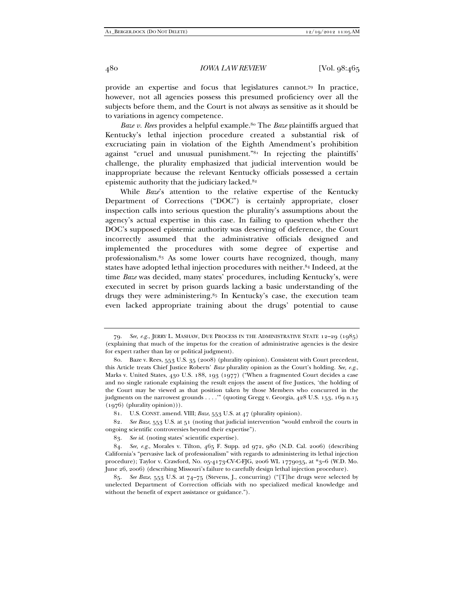provide an expertise and focus that legislatures cannot.79 In practice, however, not all agencies possess this presumed proficiency over all the subjects before them, and the Court is not always as sensitive as it should be to variations in agency competence.

*Baze v. Rees* provides a helpful example.<sup>80</sup> The *Baze* plaintiffs argued that Kentucky's lethal injection procedure created a substantial risk of excruciating pain in violation of the Eighth Amendment's prohibition against "cruel and unusual punishment."81 In rejecting the plaintiffs' challenge, the plurality emphasized that judicial intervention would be inappropriate because the relevant Kentucky officials possessed a certain epistemic authority that the judiciary lacked.<sup>82</sup>

While *Baze*'s attention to the relative expertise of the Kentucky Department of Corrections ("DOC") is certainly appropriate, closer inspection calls into serious question the plurality's assumptions about the agency's actual expertise in this case. In failing to question whether the DOC's supposed epistemic authority was deserving of deference, the Court incorrectly assumed that the administrative officials designed and implemented the procedures with some degree of expertise and professionalism.83 As some lower courts have recognized, though, many states have adopted lethal injection procedures with neither.84 Indeed, at the time *Baze* was decided, many states' procedures, including Kentucky's, were executed in secret by prison guards lacking a basic understanding of the drugs they were administering.<sup>85</sup> In Kentucky's case, the execution team even lacked appropriate training about the drugs' potential to cause

<sup>79</sup>*. See, e.g.*, JERRY L. MASHAW, DUE PROCESS IN THE ADMINISTRATIVE STATE 12–29 (1985) (explaining that much of the impetus for the creation of administrative agencies is the desire for expert rather than lay or political judgment).

 <sup>80.</sup> Baze v. Rees, 553 U.S. 35 (2008) (plurality opinion). Consistent with Court precedent, this Article treats Chief Justice Roberts' *Baze* plurality opinion as the Court's holding. *See, e.g.*, Marks v. United States, 430 U.S. 188, 193 (1977) ("When a fragmented Court decides a case and no single rationale explaining the result enjoys the assent of five Justices, 'the holding of the Court may be viewed as that position taken by those Members who concurred in the judgments on the narrowest grounds . . . .'" (quoting Gregg v. Georgia, 428 U.S. 153, 169 n.15 (1976) (plurality opinion))).

 <sup>81.</sup> U.S. CONST. amend. VIII; *Baze*, 553 U.S. at 47 (plurality opinion).

<sup>82</sup>*. See Baze*, 553 U.S. at 51 (noting that judicial intervention "would embroil the courts in ongoing scientific controversies beyond their expertise").

 <sup>83.</sup> *See id.* (noting states' scientific expertise).

 <sup>84.</sup> *See, e.g.*, Morales v. Tilton, 465 F. Supp. 2d 972, 980 (N.D. Cal. 2006) (describing California's "pervasive lack of professionalism" with regards to administering its lethal injection procedure); Taylor v. Crawford, No. 05-4173-CV-C-FJG, 2006 WL 1779035, at \*3–6 (W.D. Mo. June 26, 2006) (describing Missouri's failure to carefully design lethal injection procedure).

 <sup>85.</sup> *See Baze*, 553 U.S. at 74–75 (Stevens, J., concurring) ("[T]he drugs were selected by unelected Department of Correction officials with no specialized medical knowledge and without the benefit of expert assistance or guidance.").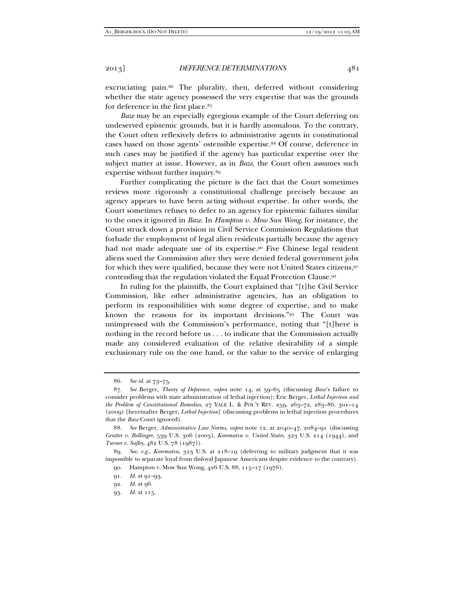excruciating pain.<sup>86</sup> The plurality, then, deferred without considering whether the state agency possessed the very expertise that was the grounds for deference in the first place.87

*Baze* may be an especially egregious example of the Court deferring on undeserved epistemic grounds, but it is hardly anomalous. To the contrary, the Court often reflexively defers to administrative agents in constitutional cases based on those agents' ostensible expertise.88 Of course, deference in such cases may be justified if the agency has particular expertise over the subject matter at issue. However, as in *Baze*, the Court often assumes such expertise without further inquiry.89

Further complicating the picture is the fact that the Court sometimes reviews more rigorously a constitutional challenge precisely because an agency appears to have been acting without expertise. In other words, the Court sometimes refuses to defer to an agency for epistemic failures similar to the ones it ignored in *Baze*. In *Hampton v. Mow Sun Wong*, for instance, the Court struck down a provision in Civil Service Commission Regulations that forbade the employment of legal alien residents partially because the agency had not made adequate use of its expertise.90 Five Chinese legal resident aliens sued the Commission after they were denied federal government jobs for which they were qualified, because they were not United States citizens,91 contending that the regulation violated the Equal Protection Clause.92

In ruling for the plaintiffs, the Court explained that "[t]he Civil Service Commission, like other administrative agencies, has an obligation to perform its responsibilities with some degree of expertise, and to make known the reasons for its important decisions."93 The Court was unimpressed with the Commission's performance, noting that "[t]here is nothing in the record before us . . . to indicate that the Commission actually made any considered evaluation of the relative desirability of a simple exclusionary rule on the one hand, or the value to the service of enlarging

 <sup>86.</sup> *See id.* at 73–75.

 <sup>87.</sup> *See* Berger, *Theory of Deference*, *supra* note 14, at 59–65 (discussing *Baze*'s failure to consider problems with state administration of lethal injection); Eric Berger, *Lethal Injection and the Problem of Constitutional Remedies*, 27 YALE L. & POL'Y REV. 259, 263–72, 283–86, 301–14 (2009) [hereinafter Berger, *Lethal Injection*] (discussing problems in lethal injection procedures that the *Baze* Court ignored).

 <sup>88.</sup> *See* Berger, *Administrative Law Norms*, *supra* note 12, at 2040–47, 2084–91 (discussing *Grutter v. Bollinger*, 539 U.S. 306 (2003), *Korematsu v. United States*, 323 U.S. 214 (1944), and *Turner v. Safley*, 482 U.S. 78 (1987)).

 <sup>89.</sup> *See, e.g.*, *Korematsu*, 323 U.S. at 218–19 (deferring to military judgment that it was impossible to separate loyal from disloyal Japanese Americans despite evidence to the contrary).

 <sup>90.</sup> Hampton v. Mow Sun Wong, 426 U.S. 88, 115–17 (1976).

 <sup>91.</sup> *Id.* at 91–93.

 <sup>92.</sup> *Id.* at 96.

 <sup>93.</sup> *Id.* at 115.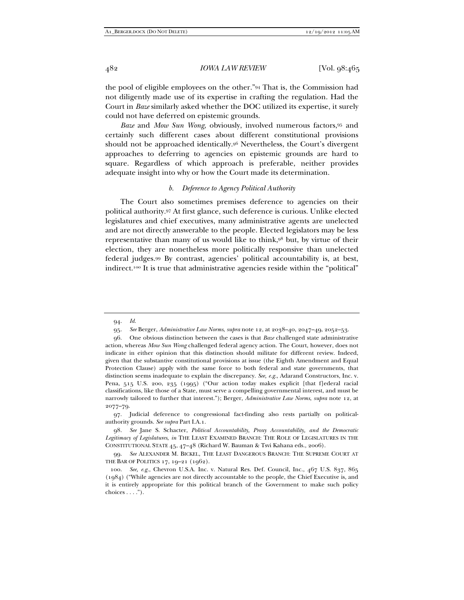the pool of eligible employees on the other."94 That is, the Commission had not diligently made use of its expertise in crafting the regulation. Had the Court in *Baze* similarly asked whether the DOC utilized its expertise, it surely could not have deferred on epistemic grounds.

*Baze* and *Mow Sun Wong*, obviously, involved numerous factors,95 and certainly such different cases about different constitutional provisions should not be approached identically.96 Nevertheless, the Court's divergent approaches to deferring to agencies on epistemic grounds are hard to square. Regardless of which approach is preferable, neither provides adequate insight into why or how the Court made its determination.

#### *b. Deference to Agency Political Authority*

The Court also sometimes premises deference to agencies on their political authority.97 At first glance, such deference is curious. Unlike elected legislatures and chief executives, many administrative agents are unelected and are not directly answerable to the people. Elected legislators may be less representative than many of us would like to think,98 but, by virtue of their election, they are nonetheless more politically responsive than unelected federal judges.99 By contrast, agencies' political accountability is, at best, indirect.100 It is true that administrative agencies reside within the "political"

 97. Judicial deference to congressional fact-finding also rests partially on politicalauthority grounds. *See supra* Part I.A.1.

 98. *See* Jane S. Schacter, *Political Accountability, Proxy Accountability, and the Democratic Legitimacy of Legislatures*, *in* THE LEAST EXAMINED BRANCH: THE ROLE OF LEGISLATURES IN THE CONSTITUTIONAL STATE 45, 47–48 (Richard W. Bauman & Tsvi Kahana eds., 2006).

 99. *See* ALEXANDER M. BICKEL, THE LEAST DANGEROUS BRANCH: THE SUPREME COURT AT THE BAR OF POLITICS 17, 19–21 (1962).

 <sup>94.</sup> *Id.*

 <sup>95.</sup> *See* Berger, *Administrative Law Norms*, *supra* note 12, at 2038–40, 2047–49, 2052–53.

 <sup>96.</sup> One obvious distinction between the cases is that *Baze* challenged state administrative action, whereas *Mow Sun Wong* challenged federal agency action. The Court, however, does not indicate in either opinion that this distinction should militate for different review. Indeed, given that the substantive constitutional provisions at issue (the Eighth Amendment and Equal Protection Clause) apply with the same force to both federal and state governments, that distinction seems inadequate to explain the discrepancy. *See, e.g.*, Adarand Constructors, Inc. v. Pena, 515 U.S. 200, 235 (1995) ("Our action today makes explicit [that f]ederal racial classifications, like those of a State, must serve a compelling governmental interest, and must be narrowly tailored to further that interest."); Berger, *Administrative Law Norms*, *supra* note 12, at 2077–79.

 <sup>100.</sup> *See, e.g.*, Chevron U.S.A. Inc. v. Natural Res. Def. Council, Inc., 467 U.S. 837, 865 (1984) ("While agencies are not directly accountable to the people, the Chief Executive is, and it is entirely appropriate for this political branch of the Government to make such policy choices  $\dots$ .").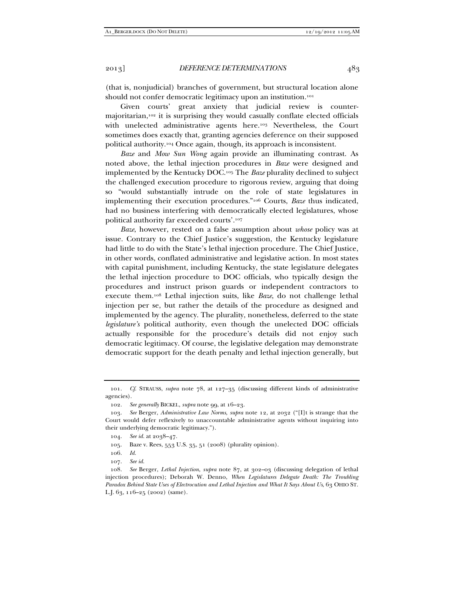(that is, nonjudicial) branches of government, but structural location alone should not confer democratic legitimacy upon an institution.<sup>101</sup>

Given courts' great anxiety that judicial review is countermajoritarian,102 it is surprising they would casually conflate elected officials with unelected administrative agents here.<sup>103</sup> Nevertheless, the Court sometimes does exactly that, granting agencies deference on their supposed political authority.104 Once again, though, its approach is inconsistent.

*Baze* and *Mow Sun Wong* again provide an illuminating contrast. As noted above, the lethal injection procedures in *Baze* were designed and implemented by the Kentucky DOC.105 The *Baze* plurality declined to subject the challenged execution procedure to rigorous review, arguing that doing so "would substantially intrude on the role of state legislatures in implementing their execution procedures."106 Courts, *Baze* thus indicated, had no business interfering with democratically elected legislatures, whose political authority far exceeded courts'.107

*Baze*, however, rested on a false assumption about *whose* policy was at issue. Contrary to the Chief Justice's suggestion, the Kentucky legislature had little to do with the State's lethal injection procedure. The Chief Justice, in other words, conflated administrative and legislative action. In most states with capital punishment, including Kentucky, the state legislature delegates the lethal injection procedure to DOC officials, who typically design the procedures and instruct prison guards or independent contractors to execute them.108 Lethal injection suits, like *Baze*, do not challenge lethal injection per se, but rather the details of the procedure as designed and implemented by the agency. The plurality, nonetheless, deferred to the state *legislature's* political authority, even though the unelected DOC officials actually responsible for the procedure's details did not enjoy such democratic legitimacy. Of course, the legislative delegation may demonstrate democratic support for the death penalty and lethal injection generally, but

 <sup>101.</sup> *Cf*. STRAUSS, *supra* note 78, at 127–35 (discussing different kinds of administrative agencies).

 <sup>102.</sup> *See generally* BICKEL, *supra* note 99, at 16–23.

 <sup>103.</sup> *See* Berger, *Administrative Law Norms*, *supra* note 12, at 2032 ("[I]t is strange that the Court would defer reflexively to unaccountable administrative agents without inquiring into their underlying democratic legitimacy.").

 <sup>104.</sup> *See id.* at 2038–47.

 <sup>105.</sup> Baze v. Rees, 553 U.S. 35, 51 (2008) (plurality opinion).

 <sup>106.</sup> *Id.* 

 <sup>107.</sup> *See id.*

 <sup>108.</sup> *See* Berger, *Lethal Injection*, *supra* note 87, at 302–03 (discussing delegation of lethal injection procedures); Deborah W. Denno, *When Legislatures Delegate Death: The Troubling Paradox Behind State Uses of Electrocution and Lethal Injection and What It Says About Us*, 63 OHIO ST. L.J. 63, 116–25 (2002) (same).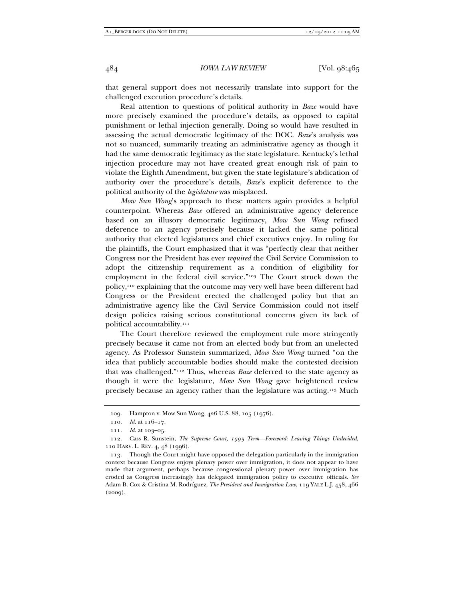that general support does not necessarily translate into support for the challenged execution procedure's details.

Real attention to questions of political authority in *Baze* would have more precisely examined the procedure's details, as opposed to capital punishment or lethal injection generally. Doing so would have resulted in assessing the actual democratic legitimacy of the DOC. *Baze*'s analysis was not so nuanced, summarily treating an administrative agency as though it had the same democratic legitimacy as the state legislature. Kentucky's lethal injection procedure may not have created great enough risk of pain to violate the Eighth Amendment, but given the state legislature's abdication of authority over the procedure's details, *Baze*'s explicit deference to the political authority of the *legislature* was misplaced.

*Mow Sun Wong*'s approach to these matters again provides a helpful counterpoint. Whereas *Baze* offered an administrative agency deference based on an illusory democratic legitimacy, *Mow Sun Wong* refused deference to an agency precisely because it lacked the same political authority that elected legislatures and chief executives enjoy. In ruling for the plaintiffs, the Court emphasized that it was "perfectly clear that neither Congress nor the President has ever *required* the Civil Service Commission to adopt the citizenship requirement as a condition of eligibility for employment in the federal civil service."109 The Court struck down the policy,110 explaining that the outcome may very well have been different had Congress or the President erected the challenged policy but that an administrative agency like the Civil Service Commission could not itself design policies raising serious constitutional concerns given its lack of political accountability.111

The Court therefore reviewed the employment rule more stringently precisely because it came not from an elected body but from an unelected agency. As Professor Sunstein summarized, *Mow Sun Wong* turned "on the idea that publicly accountable bodies should make the contested decision that was challenged."112 Thus, whereas *Baze* deferred to the state agency as though it were the legislature, *Mow Sun Wong* gave heightened review precisely because an agency rather than the legislature was acting.113 Much

 <sup>109.</sup> Hampton v. Mow Sun Wong, 426 U.S. 88, 105 (1976).

 <sup>110.</sup> *Id.* at 116–17.

 <sup>111.</sup> *Id.* at 103–05.

 <sup>112.</sup> Cass R. Sunstein, *The Supreme Court, 1995 Term—Foreword: Leaving Things Undecided*, 110 HARV. L. REV. 4, 48 (1996).

 <sup>113.</sup> Though the Court might have opposed the delegation particularly in the immigration context because Congress enjoys plenary power over immigration, it does not appear to have made that argument, perhaps because congressional plenary power over immigration has eroded as Congress increasingly has delegated immigration policy to executive officials. *See* Adam B. Cox & Cristina M. Rodríguez, *The President and Immigration Law*, 119 YALE L.J. 458, 466 (2009).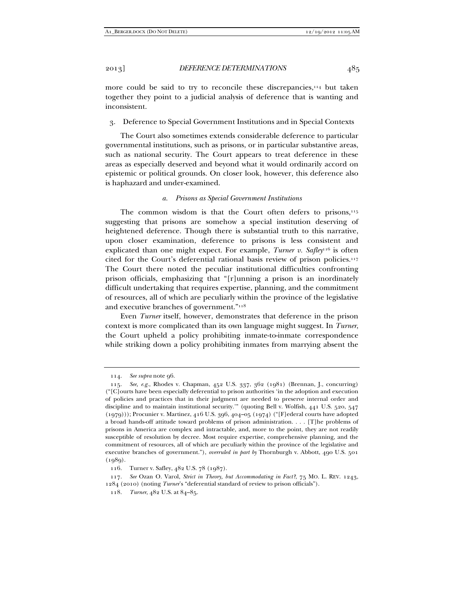more could be said to try to reconcile these discrepancies,<sup>114</sup> but taken together they point to a judicial analysis of deference that is wanting and inconsistent.

3. Deference to Special Government Institutions and in Special Contexts

The Court also sometimes extends considerable deference to particular governmental institutions, such as prisons, or in particular substantive areas, such as national security. The Court appears to treat deference in these areas as especially deserved and beyond what it would ordinarily accord on epistemic or political grounds. On closer look, however, this deference also is haphazard and under-examined.

#### *a. Prisons as Special Government Institutions*

The common wisdom is that the Court often defers to prisons, $115$ suggesting that prisons are somehow a special institution deserving of heightened deference. Though there is substantial truth to this narrative, upon closer examination, deference to prisons is less consistent and explicated than one might expect. For example, *Turner v. Safley*<sup>116</sup> is often cited for the Court's deferential rational basis review of prison policies.117 The Court there noted the peculiar institutional difficulties confronting prison officials, emphasizing that "[r]unning a prison is an inordinately difficult undertaking that requires expertise, planning, and the commitment of resources, all of which are peculiarly within the province of the legislative and executive branches of government."118

Even *Turner* itself, however, demonstrates that deference in the prison context is more complicated than its own language might suggest. In *Turner*, the Court upheld a policy prohibiting inmate-to-inmate correspondence while striking down a policy prohibiting inmates from marrying absent the

 <sup>114.</sup> *See supra* note 96.

 <sup>115.</sup> *See, e.g.*, Rhodes v. Chapman, 452 U.S. 337, 362 (1981) (Brennan, J., concurring) ("[C]ourts have been especially deferential to prison authorities 'in the adoption and execution of policies and practices that in their judgment are needed to preserve internal order and discipline and to maintain institutional security.'" (quoting Bell v. Wolfish, 441 U.S. 520, 547 (1979))); Procunier v. Martinez, 416 U.S. 396, 404–05 (1974) ("[F]ederal courts have adopted a broad hands-off attitude toward problems of prison administration. . . . [T]he problems of prisons in America are complex and intractable, and, more to the point, they are not readily susceptible of resolution by decree. Most require expertise, comprehensive planning, and the commitment of resources, all of which are peculiarly within the province of the legislative and executive branches of government."), *overruled in part by* Thornburgh v. Abbott, 490 U.S. 501 (1989).

 <sup>116.</sup> Turner v. Safley, 482 U.S. 78 (1987).

 <sup>117.</sup> *See* Ozan O. Varol, *Strict in Theory, but Accommodating in Fact?*, 75 MO. L. REV. 1243, 1284 (2010) (noting *Turner*'s "deferential standard of review to prison officials").

 <sup>118.</sup> *Turner*, 482 U.S. at 84–85.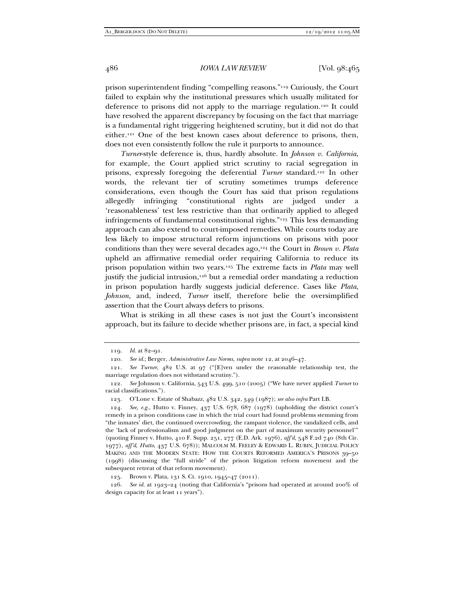prison superintendent finding "compelling reasons."119 Curiously, the Court failed to explain why the institutional pressures which usually militated for deference to prisons did not apply to the marriage regulation.120 It could have resolved the apparent discrepancy by focusing on the fact that marriage is a fundamental right triggering heightened scrutiny, but it did not do that either.121 One of the best known cases about deference to prisons, then, does not even consistently follow the rule it purports to announce.

*Turner*-style deference is, thus, hardly absolute. In *Johnson v. California*, for example, the Court applied strict scrutiny to racial segregation in prisons, expressly foregoing the deferential *Turner* standard.122 In other words, the relevant tier of scrutiny sometimes trumps deference considerations, even though the Court has said that prison regulations allegedly infringing "constitutional rights are judged under a 'reasonableness' test less restrictive than that ordinarily applied to alleged infringements of fundamental constitutional rights."123 This less demanding approach can also extend to court-imposed remedies. While courts today are less likely to impose structural reform injunctions on prisons with poor conditions than they were several decades ago,124 the Court in *Brown v. Plata* upheld an affirmative remedial order requiring California to reduce its prison population within two years.125 The extreme facts in *Plata* may well justify the judicial intrusion,<sup>126</sup> but a remedial order mandating a reduction in prison population hardly suggests judicial deference. Cases like *Plata*, *Johnson*, and, indeed, *Turner* itself, therefore belie the oversimplified assertion that the Court always defers to prisons.

What is striking in all these cases is not just the Court's inconsistent approach, but its failure to decide whether prisons are, in fact, a special kind

 126. *See id.* at 1923–24 (noting that California's "prisons had operated at around 200% of design capacity for at least 11 years").

 <sup>119.</sup> *Id.* at 82–91.

 <sup>120.</sup> *See id.*; Berger, *Administrative Law Norms*, *supra* note 12, at 2046–47.

 <sup>121.</sup> *See Turner*, 482 U.S. at 97 ("[E]ven under the reasonable relationship test, the marriage regulation does not withstand scrutiny.").

 <sup>122.</sup> *See* Johnson v. California, 543 U.S. 499, 510 (2005) ("We have never applied *Turner* to racial classifications.").

 <sup>123.</sup> O'Lone v. Estate of Shabazz, 482 U.S. 342, 349 (1987); *see also infra* Part I.B.

 <sup>124.</sup> *See, e.g.*, Hutto v. Finney, 437 U.S. 678, 687 (1978) (upholding the district court's remedy in a prison conditions case in which the trial court had found problems stemming from "the inmates' diet, the continued overcrowding, the rampant violence, the vandalized cells, and the 'lack of professionalism and good judgment on the part of maximum security personnel'" (quoting Finney v. Hutto, 410 F. Supp. 251, 277 (E.D. Ark. 1976), *aff'd*, 548 F.2d 740 (8th Cir. 1977), *aff'd*, *Hutto*, 437 U.S. 678)); MALCOLM M. FEELEY & EDWARD L. RUBIN, JUDICIAL POLICY MAKING AND THE MODERN STATE: HOW THE COURTS REFORMED AMERICA'S PRISONS 39–50 (1998) (discussing the "full stride" of the prison litigation reform movement and the subsequent retreat of that reform movement).

 <sup>125.</sup> Brown v. Plata, 131 S. Ct. 1910, 1945–47 (2011).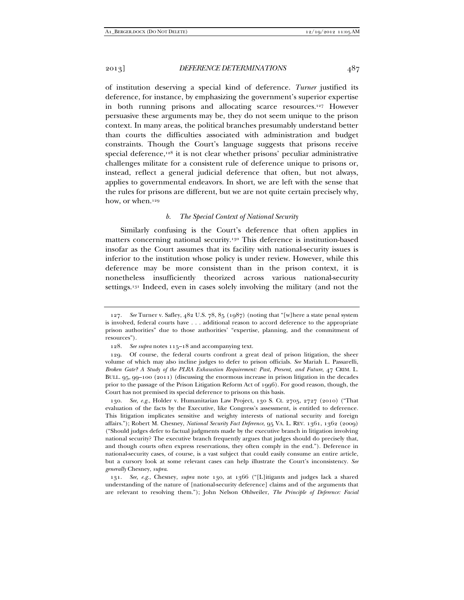of institution deserving a special kind of deference. *Turner* justified its deference, for instance, by emphasizing the government's superior expertise in both running prisons and allocating scarce resources.127 However persuasive these arguments may be, they do not seem unique to the prison context. In many areas, the political branches presumably understand better than courts the difficulties associated with administration and budget constraints. Though the Court's language suggests that prisons receive special deference, $128$  it is not clear whether prisons' peculiar administrative challenges militate for a consistent rule of deference unique to prisons or, instead, reflect a general judicial deference that often, but not always, applies to governmental endeavors. In short, we are left with the sense that the rules for prisons are different, but we are not quite certain precisely why, how, or when.<sup>129</sup>

### *b. The Special Context of National Security*

Similarly confusing is the Court's deference that often applies in matters concerning national security.130 This deference is institution-based insofar as the Court assumes that its facility with national-security issues is inferior to the institution whose policy is under review. However, while this deference may be more consistent than in the prison context, it is nonetheless insufficiently theorized across various national-security settings.<sup>131</sup> Indeed, even in cases solely involving the military (and not the

 <sup>127.</sup> *See* Turner v. Safley, 482 U.S. 78, 85 (1987) (noting that "[w]here a state penal system is involved, federal courts have . . . additional reason to accord deference to the appropriate prison authorities" due to those authorities' "expertise, planning, and the commitment of resources").

 <sup>128.</sup> *See supra* notes 115–18 and accompanying text.

 <sup>129.</sup> Of course, the federal courts confront a great deal of prison litigation, the sheer volume of which may also incline judges to defer to prison officials. *See* Mariah L. Passarelli, *Broken Gate? A Study of the PLRA Exhaustion Requirement: Past, Present, and Future*, 47 CRIM. L. BULL. 95, 99–100 (2011) (discussing the enormous increase in prison litigation in the decades prior to the passage of the Prison Litigation Reform Act of 1996). For good reason, though, the Court has not premised its special deference to prisons on this basis.

 <sup>130.</sup> *See, e.g.*, Holder v. Humanitarian Law Project, 130 S. Ct. 2705, 2727 (2010) ("That evaluation of the facts by the Executive, like Congress's assessment, is entitled to deference. This litigation implicates sensitive and weighty interests of national security and foreign affairs."); Robert M. Chesney, *National Security Fact Deference*, 95 VA. L. REV. 1361, 1362 (2009) ("Should judges defer to factual judgments made by the executive branch in litigation involving national security? The executive branch frequently argues that judges should do precisely that, and though courts often express reservations, they often comply in the end."). Deference in national-security cases, of course, is a vast subject that could easily consume an entire article, but a cursory look at some relevant cases can help illustrate the Court's inconsistency. *See generally* Chesney, *supra*.

 <sup>131.</sup> *See, e.g.*, Chesney, *supra* note 130, at 1366 ("[L]itigants and judges lack a shared understanding of the nature of [national-security deference] claims and of the arguments that are relevant to resolving them."); John Nelson Ohlweiler, *The Principle of Deference: Facial*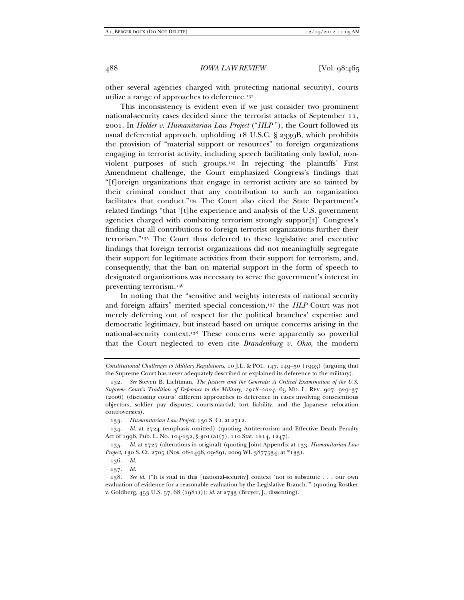other several agencies charged with protecting national security), courts utilize a range of approaches to deference.<sup>132</sup>

This inconsistency is evident even if we just consider two prominent national-security cases decided since the terrorist attacks of September 11, 2001. In *Holder v. Humanitarian Law Project* ("*HLP* "), the Court followed its usual deferential approach, upholding 18 U.S.C. § 2339B, which prohibits the provision of "material support or resources" to foreign organizations engaging in terrorist activity, including speech facilitating only lawful, nonviolent purposes of such groups.133 In rejecting the plaintiffs' First Amendment challenge, the Court emphasized Congress's findings that "[f]oreign organizations that engage in terrorist activity are so tainted by their criminal conduct that any contribution to such an organization facilitates that conduct."134 The Court also cited the State Department's related findings "that '[t]he experience and analysis of the U.S. government agencies charged with combating terrorism strongly suppor[t]' Congress's finding that all contributions to foreign terrorist organizations further their terrorism."135 The Court thus deferred to these legislative and executive findings that foreign terrorist organizations did not meaningfully segregate their support for legitimate activities from their support for terrorism, and, consequently, that the ban on material support in the form of speech to designated organizations was necessary to serve the government's interest in preventing terrorism.136

In noting that the "sensitive and weighty interests of national security and foreign affairs" merited special concession,<sup>137</sup> the *HLP* Court was not merely deferring out of respect for the political branches' expertise and democratic legitimacy, but instead based on unique concerns arising in the national-security context.138 These concerns were apparently so powerful that the Court neglected to even cite *Brandenburg v. Ohio*, the modern

*Constitutional Challenges to Military Regulations*, 10 J.L. & POL. 147, 149–50 (1993) (arguing that the Supreme Court has never adequately described or explained its deference to the military).

 <sup>132.</sup> *See* Steven B. Lichtman, *The Justices and the Generals: A Critical Examination of the U.S. Supreme Court's Tradition of Deference to the Military, 1918–2004*, 65 MD. L. REV. 907, 929–37 (2006) (discussing courts' different approaches to deference in cases involving conscientious objectors, soldier pay disputes, courts-martial, tort liability, and the Japanese relocation controversies).

 <sup>133.</sup> *Humanitarian Law Project*, 130 S. Ct. at 2712.

 <sup>134.</sup> *Id.* at 2724 (emphasis omitted) (quoting Antiterrorism and Effective Death Penalty Act of 1996, Pub. L. No. 104-132, § 301(a)(7), 110 Stat. 1214, 1247).

 <sup>135.</sup> *Id.* at 2727 (alterations in original) (quoting Joint Appendix at 133, *Humanitarian Law Project*, 130 S. Ct. 2705 (Nos. 08-1498, 09-89), 2009 WL 3877534, at \*133).

 <sup>136.</sup> *Id.*

 <sup>137.</sup> *Id.*

 <sup>138.</sup> *See id.* ("It is vital in this [national-security] context 'not to substitute . . . our own evaluation of evidence for a reasonable evaluation by the Legislative Branch.'" (quoting Rostker v. Goldberg, 453 U.S. 57, 68 (1981))); *id.* at 2733 (Breyer, J., dissenting).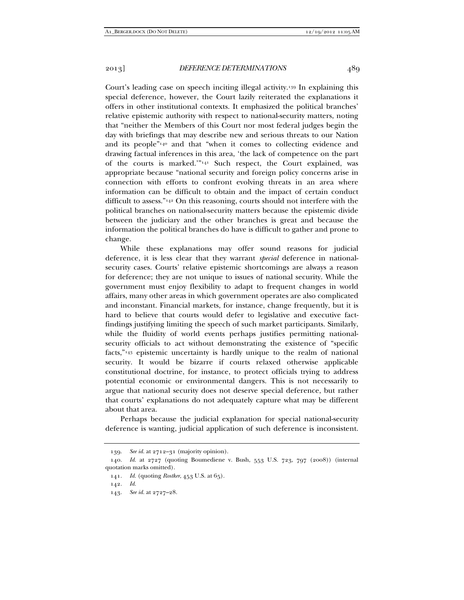Court's leading case on speech inciting illegal activity.139 In explaining this special deference, however, the Court lazily reiterated the explanations it offers in other institutional contexts. It emphasized the political branches' relative epistemic authority with respect to national-security matters, noting that "neither the Members of this Court nor most federal judges begin the day with briefings that may describe new and serious threats to our Nation and its people"140 and that "when it comes to collecting evidence and drawing factual inferences in this area, 'the lack of competence on the part of the courts is marked.'"141 Such respect, the Court explained, was appropriate because "national security and foreign policy concerns arise in connection with efforts to confront evolving threats in an area where information can be difficult to obtain and the impact of certain conduct difficult to assess."142 On this reasoning, courts should not interfere with the political branches on national-security matters because the epistemic divide between the judiciary and the other branches is great and because the information the political branches do have is difficult to gather and prone to change.

While these explanations may offer sound reasons for judicial deference, it is less clear that they warrant *special* deference in nationalsecurity cases. Courts' relative epistemic shortcomings are always a reason for deference; they are not unique to issues of national security. While the government must enjoy flexibility to adapt to frequent changes in world affairs, many other areas in which government operates are also complicated and inconstant. Financial markets, for instance, change frequently, but it is hard to believe that courts would defer to legislative and executive factfindings justifying limiting the speech of such market participants. Similarly, while the fluidity of world events perhaps justifies permitting nationalsecurity officials to act without demonstrating the existence of "specific facts,"143 epistemic uncertainty is hardly unique to the realm of national security. It would be bizarre if courts relaxed otherwise applicable constitutional doctrine, for instance, to protect officials trying to address potential economic or environmental dangers. This is not necessarily to argue that national security does not deserve special deference, but rather that courts' explanations do not adequately capture what may be different about that area.

Perhaps because the judicial explanation for special national-security deference is wanting, judicial application of such deference is inconsistent.

 <sup>139.</sup> *See id.* at 2712–31 (majority opinion).

 <sup>140.</sup> *Id.* at 2727 (quoting Boumediene v. Bush, 553 U.S. 723, 797 (2008)) (internal quotation marks omitted).

 <sup>141.</sup> *Id.* (quoting *Rostker*, 453 U.S. at 65).

 <sup>142.</sup> *Id.*

 <sup>143.</sup> *See id.* at 2727–28.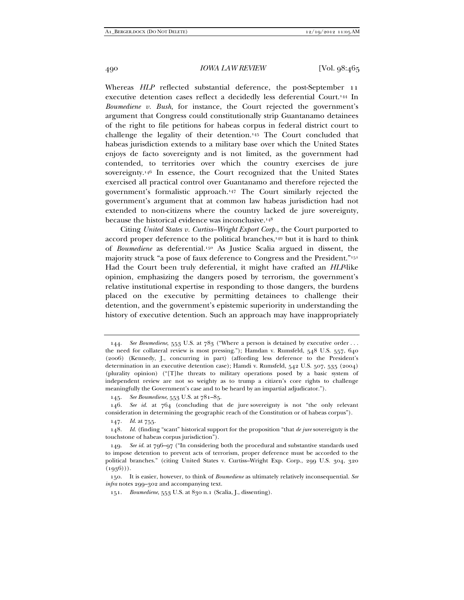Whereas *HLP* reflected substantial deference, the post-September 11 executive detention cases reflect a decidedly less deferential Court.144 In *Boumediene v. Bush*, for instance, the Court rejected the government's argument that Congress could constitutionally strip Guantanamo detainees of the right to file petitions for habeas corpus in federal district court to challenge the legality of their detention.145 The Court concluded that habeas jurisdiction extends to a military base over which the United States enjoys de facto sovereignty and is not limited, as the government had contended, to territories over which the country exercises de jure sovereignty.146 In essence, the Court recognized that the United States exercised all practical control over Guantanamo and therefore rejected the government's formalistic approach.147 The Court similarly rejected the government's argument that at common law habeas jurisdiction had not extended to non-citizens where the country lacked de jure sovereignty, because the historical evidence was inconclusive.148

Citing *United States v. Curtiss–Wright Export Corp.*, the Court purported to accord proper deference to the political branches,149 but it is hard to think of *Boumediene* as deferential.150 As Justice Scalia argued in dissent, the majority struck "a pose of faux deference to Congress and the President."151 Had the Court been truly deferential, it might have crafted an *HLP*-like opinion, emphasizing the dangers posed by terrorism, the government's relative institutional expertise in responding to those dangers, the burdens placed on the executive by permitting detainees to challenge their detention, and the government's epistemic superiority in understanding the history of executive detention. Such an approach may have inappropriately

 <sup>144.</sup> *See Boumediene*, 553 U.S. at 783 ("Where a person is detained by executive order . . . the need for collateral review is most pressing."); Hamdan v. Rumsfeld, 548 U.S. 557, 640 (2006) (Kennedy, J., concurring in part) (affording less deference to the President's determination in an executive detention case); Hamdi v. Rumsfeld, 542 U.S. 507, 535 (2004) (plurality opinion) ("[T]he threats to military operations posed by a basic system of independent review are not so weighty as to trump a citizen's core rights to challenge meaningfully the Government's case and to be heard by an impartial adjudicator.").

 <sup>145.</sup> *See Boumediene*, 553 U.S. at 781–85.

 <sup>146.</sup> *See id.* at 764 (concluding that de jure sovereignty is not "the only relevant consideration in determining the geographic reach of the Constitution or of habeas corpus").

 <sup>147.</sup> *Id.* at 755.

 <sup>148.</sup> *Id.* (finding "scant" historical support for the proposition "that *de jure* sovereignty is the touchstone of habeas corpus jurisdiction").

 <sup>149.</sup> *See id.* at 796–97 ("In considering both the procedural and substantive standards used to impose detention to prevent acts of terrorism, proper deference must be accorded to the political branches." (citing United States v. Curtiss–Wright Exp. Corp., 299 U.S. 304, 320  $(1936))$ .

 <sup>150.</sup> It is easier, however, to think of *Boumediene* as ultimately relatively inconsequential. *See infra* notes 299–302 and accompanying text.

 <sup>151.</sup> *Boumediene*, 553 U.S. at 830 n.1 (Scalia, J., dissenting).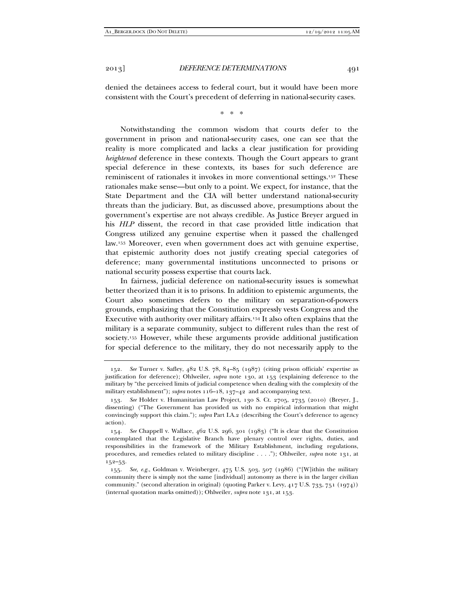denied the detainees access to federal court, but it would have been more consistent with the Court's precedent of deferring in national-security cases.

\* \* \*

Notwithstanding the common wisdom that courts defer to the government in prison and national-security cases, one can see that the reality is more complicated and lacks a clear justification for providing *heightened* deference in these contexts. Though the Court appears to grant special deference in these contexts, its bases for such deference are reminiscent of rationales it invokes in more conventional settings.152 These rationales make sense—but only to a point. We expect, for instance, that the State Department and the CIA will better understand national-security threats than the judiciary. But, as discussed above, presumptions about the government's expertise are not always credible. As Justice Breyer argued in his *HLP* dissent, the record in that case provided little indication that Congress utilized any genuine expertise when it passed the challenged law.153 Moreover, even when government does act with genuine expertise, that epistemic authority does not justify creating special categories of deference; many governmental institutions unconnected to prisons or national security possess expertise that courts lack.

In fairness, judicial deference on national-security issues is somewhat better theorized than it is to prisons. In addition to epistemic arguments, the Court also sometimes defers to the military on separation-of-powers grounds, emphasizing that the Constitution expressly vests Congress and the Executive with authority over military affairs.154 It also often explains that the military is a separate community, subject to different rules than the rest of society.155 However, while these arguments provide additional justification for special deference to the military, they do not necessarily apply to the

 <sup>152.</sup> *See* Turner v. Safley, 482 U.S. 78, 84–85 (1987) (citing prison officials' expertise as justification for deference); Ohlweiler, *supra* note 130, at 153 (explaining deference to the military by "the perceived limits of judicial competence when dealing with the complexity of the military establishment"); *supra* notes 116–18, 137–42 and accompanying text.

 <sup>153.</sup> *See* Holder v. Humanitarian Law Project, 130 S. Ct. 2705, 2735 (2010) (Breyer, J., dissenting) ("The Government has provided us with no empirical information that might convincingly support this claim."); *supra* Part I.A.2 (describing the Court's deference to agency action).

 <sup>154.</sup> *See* Chappell v. Wallace, 462 U.S. 296, 301 (1983) ("It is clear that the Constitution contemplated that the Legislative Branch have plenary control over rights, duties, and responsibilities in the framework of the Military Establishment, including regulations, procedures, and remedies related to military discipline . . . ."); Ohlweiler, *supra* note 131, at 152–53.

 <sup>155.</sup> *See, e.g.*, Goldman v. Weinberger, 475 U.S. 503, 507 (1986) ("[W]ithin the military community there is simply not the same [individual] autonomy as there is in the larger civilian community." (second alteration in original) (quoting Parker v. Levy, 417 U.S. 733, 751 (1974)) (internal quotation marks omitted)); Ohlweiler, *supra* note 131, at 153.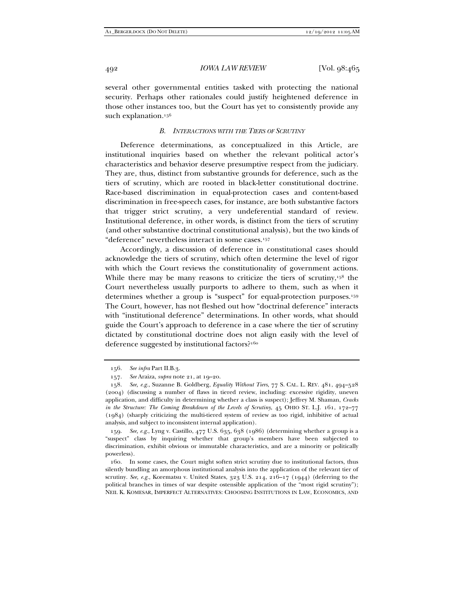several other governmental entities tasked with protecting the national security. Perhaps other rationales could justify heightened deference in those other instances too, but the Court has yet to consistently provide any such explanation.<sup>156</sup>

#### *B. INTERACTIONS WITH THE TIERS OF SCRUTINY*

Deference determinations, as conceptualized in this Article, are institutional inquiries based on whether the relevant political actor's characteristics and behavior deserve presumptive respect from the judiciary. They are, thus, distinct from substantive grounds for deference, such as the tiers of scrutiny, which are rooted in black-letter constitutional doctrine. Race-based discrimination in equal-protection cases and content-based discrimination in free-speech cases, for instance, are both substantive factors that trigger strict scrutiny, a very undeferential standard of review. Institutional deference, in other words, is distinct from the tiers of scrutiny (and other substantive doctrinal constitutional analysis), but the two kinds of "deference" nevertheless interact in some cases.157

Accordingly, a discussion of deference in constitutional cases should acknowledge the tiers of scrutiny, which often determine the level of rigor with which the Court reviews the constitutionality of government actions. While there may be many reasons to criticize the tiers of scrutiny,<sup>158</sup> the Court nevertheless usually purports to adhere to them, such as when it determines whether a group is "suspect" for equal-protection purposes.159 The Court, however, has not fleshed out how "doctrinal deference" interacts with "institutional deference" determinations. In other words, what should guide the Court's approach to deference in a case where the tier of scrutiny dictated by constitutional doctrine does not align easily with the level of deference suggested by institutional factors?160

 159. *See, e.g.*, Lyng v. Castillo, 477 U.S. 635, 638 (1986) (determining whether a group is a "suspect" class by inquiring whether that group's members have been subjected to discrimination, exhibit obvious or immutable characteristics, and are a minority or politically powerless).

 160. In some cases, the Court might soften strict scrutiny due to institutional factors, thus silently bundling an amorphous institutional analysis into the application of the relevant tier of scrutiny. *See, e.g.*, Korematsu v. United States, 323 U.S. 214, 216–17 (1944) (deferring to the political branches in times of war despite ostensible application of the "most rigid scrutiny"); NEIL K. KOMESAR, IMPERFECT ALTERNATIVES: CHOOSING INSTITUTIONS IN LAW, ECONOMICS, AND

 <sup>156.</sup> *See infra* Part II.B.3.

 <sup>157.</sup> *See* Araiza, *supra* note 21, at 19–20.

 <sup>158.</sup> *See, e.g.*, Suzanne B. Goldberg, *Equality Without Tiers*, 77 S. CAL. L. REV. 481, 494–528 (2004) (discussing a number of flaws in tiered review, including: excessive rigidity, uneven application, and difficulty in determining whether a class is suspect); Jeffrey M. Shaman, *Cracks in the Structure: The Coming Breakdown of the Levels of Scrutiny*, 45 OHIO ST. L.J. 161, 172–77 (1984) (sharply criticizing the multi-tiered system of review as too rigid, inhibitive of actual analysis, and subject to inconsistent internal application).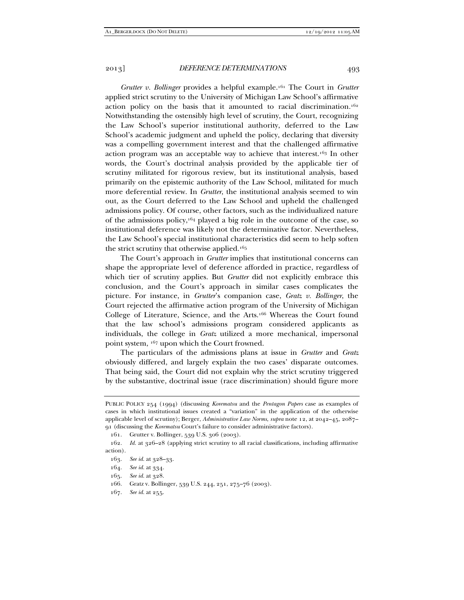*Grutter v. Bollinger* provides a helpful example.161 The Court in *Grutter*  applied strict scrutiny to the University of Michigan Law School's affirmative action policy on the basis that it amounted to racial discrimination.162 Notwithstanding the ostensibly high level of scrutiny, the Court, recognizing the Law School's superior institutional authority, deferred to the Law School's academic judgment and upheld the policy, declaring that diversity was a compelling government interest and that the challenged affirmative action program was an acceptable way to achieve that interest.163 In other words, the Court's doctrinal analysis provided by the applicable tier of scrutiny militated for rigorous review, but its institutional analysis, based primarily on the epistemic authority of the Law School, militated for much more deferential review. In *Grutter*, the institutional analysis seemed to win out, as the Court deferred to the Law School and upheld the challenged admissions policy. Of course, other factors, such as the individualized nature of the admissions policy, $164$  played a big role in the outcome of the case, so institutional deference was likely not the determinative factor. Nevertheless, the Law School's special institutional characteristics did seem to help soften the strict scrutiny that otherwise applied.165

The Court's approach in *Grutter* implies that institutional concerns can shape the appropriate level of deference afforded in practice, regardless of which tier of scrutiny applies. But *Grutter* did not explicitly embrace this conclusion, and the Court's approach in similar cases complicates the picture. For instance, in *Grutter*'s companion case, *Gratz v. Bollinger*, the Court rejected the affirmative action program of the University of Michigan College of Literature, Science, and the Arts.166 Whereas the Court found that the law school's admissions program considered applicants as individuals, the college in *Gratz* utilized a more mechanical, impersonal point system, 167 upon which the Court frowned.

The particulars of the admissions plans at issue in *Grutter* and *Gratz* obviously differed, and largely explain the two cases' disparate outcomes. That being said, the Court did not explain why the strict scrutiny triggered by the substantive, doctrinal issue (race discrimination) should figure more

PUBLIC POLICY 254 (1994) (discussing *Korematsu* and the *Pentagon Papers* case as examples of cases in which institutional issues created a "variation" in the application of the otherwise applicable level of scrutiny); Berger, *Administrative Law Norms*, *supra* note 12, at 2042–45, 2087– 91 (discussing the *Korematsu* Court's failure to consider administrative factors).

 <sup>161.</sup> Grutter v. Bollinger, 539 U.S. 306 (2003).

 <sup>162.</sup> *Id.* at 326–28 (applying strict scrutiny to all racial classifications, including affirmative action).

 <sup>163.</sup> *See id.* at 328–33.

 <sup>164.</sup> *See id.* at 334.

 <sup>165.</sup> *See id.* at 328.

 <sup>166.</sup> Gratz v. Bollinger, 539 U.S. 244, 251, 275–76 (2003).

 <sup>167.</sup> *See id.* at 255.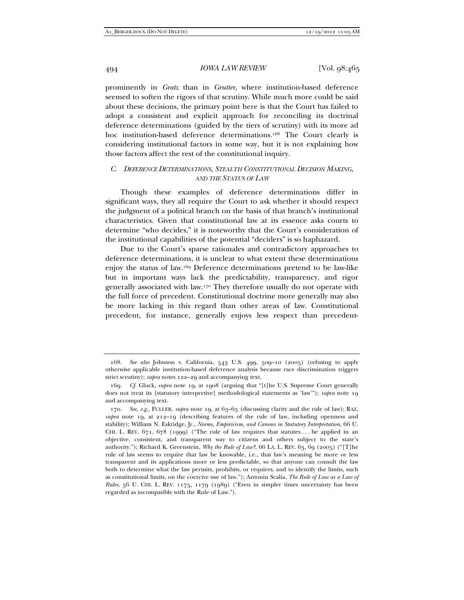prominently in *Gratz* than in *Grutter*, where institution-based deference seemed to soften the rigors of that scrutiny. While much more could be said about these decisions, the primary point here is that the Court has failed to adopt a consistent and explicit approach for reconciling its doctrinal deference determinations (guided by the tiers of scrutiny) with its more ad hoc institution-based deference determinations.168 The Court clearly is considering institutional factors in some way, but it is not explaining how those factors affect the rest of the constitutional inquiry.

# *C. DEFERENCE DETERMINATIONS, STEALTH CONSTITUTIONAL DECISION MAKING, AND THE STATUS OF LAW*

Though these examples of deference determinations differ in significant ways, they all require the Court to ask whether it should respect the judgment of a political branch on the basis of that branch's institutional characteristics. Given that constitutional law at its essence asks courts to determine "who decides," it is noteworthy that the Court's consideration of the institutional capabilities of the potential "deciders" is so haphazard.

Due to the Court's sparse rationales and contradictory approaches to deference determinations, it is unclear to what extent these determinations enjoy the status of law.169 Deference determinations pretend to be law-like but in important ways lack the predictability, transparency, and rigor generally associated with law.170 They therefore usually do not operate with the full force of precedent. Constitutional doctrine more generally may also be more lacking in this regard than other areas of law. Constitutional precedent, for instance, generally enjoys less respect than precedent-

 <sup>168.</sup> *See also* Johnson v. California, 543 U.S. 499, 509–10 (2005) (refusing to apply otherwise applicable institution-based deference analysis because race discrimination triggers strict scrutiny); *supra* notes 122–29 and accompanying text.

 <sup>169.</sup> *Cf.* Gluck, *supra* note 19, at 1908 (arguing that "[t]he U.S. Supreme Court generally does not treat its [statutory interpretive] methodological statements as 'law'"); *supra* note 19 and accompanying text.

 <sup>170.</sup> *See, e.g.*, FULLER, *supra* note 19, at 63–65 (discussing clarity and the rule of law); RAZ, *supra* note 19, at 212–19 (describing features of the rule of law, including openness and stability); William N. Eskridge, Jr., *Norms, Empiricism, and Canons in Statutory Interpretation*, 66 U. CHI. L. REV.  $671, 678$  (1999) ("The rule of law requires that statutes ... be applied in an objective, consistent, and transparent way to citizens and others subject to the state's authority."); Richard K. Greenstein, *Why the Rule of Law?*, 66 LA. L. REV. 63, 69 (2005) ("[T]he rule of law seems to require that law be knowable, i.e., that law's meaning be more or less transparent and its applications more or less predictable, so that anyone can consult the law both to determine what the law permits, prohibits, or requires, and to identify the limits, such as constitutional limits, on the coercive use of law."); Antonin Scalia, *The Rule of Law as a Law of Rules*, 56 U. CHI. L. REV. 1175, 1179 (1989) ("Even in simpler times uncertainty has been regarded as incompatible with the Rule of Law.").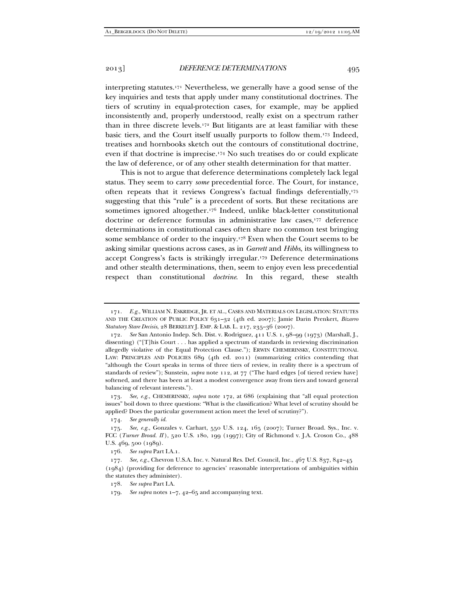interpreting statutes.171 Nevertheless, we generally have a good sense of the key inquiries and tests that apply under many constitutional doctrines. The tiers of scrutiny in equal-protection cases, for example, may be applied inconsistently and, properly understood, really exist on a spectrum rather than in three discrete levels.172 But litigants are at least familiar with these basic tiers, and the Court itself usually purports to follow them.173 Indeed, treatises and hornbooks sketch out the contours of constitutional doctrine, even if that doctrine is imprecise.174 No such treatises do or could explicate the law of deference, or of any other stealth determination for that matter.

This is not to argue that deference determinations completely lack legal status. They seem to carry *some* precedential force. The Court, for instance, often repeats that it reviews Congress's factual findings deferentially,175 suggesting that this "rule" is a precedent of sorts. But these recitations are sometimes ignored altogether.176 Indeed, unlike black-letter constitutional doctrine or deference formulas in administrative law cases,177 deference determinations in constitutional cases often share no common test bringing some semblance of order to the inquiry.178 Even when the Court seems to be asking similar questions across cases, as in *Garrett* and *Hibbs*, its willingness to accept Congress's facts is strikingly irregular.179 Deference determinations and other stealth determinations, then, seem to enjoy even less precedential respect than constitutional *doctrine*. In this regard, these stealth

 173. *See, e.g.*, CHEMERINSKY, *supra* note 172, at 686 (explaining that "all equal protection issues" boil down to three questions: "What is the classification? What level of scrutiny should be applied? Does the particular government action meet the level of scrutiny?").

 <sup>171.</sup> *E.g.*, WILLIAM N. ESKRIDGE, JR. ET AL., CASES AND MATERIALS ON LEGISLATION: STATUTES AND THE CREATION OF PUBLIC POLICY 631–32 (4th ed. 2007); Jamie Darin Prenkert, *Bizarro Statutory Stare Decisis*, 28 BERKELEY J. EMP. & LAB. L. 217, 235–36 (2007).

 <sup>172.</sup> *See* San Antonio Indep. Sch. Dist. v. Rodriguez, 411 U.S. 1, 98–99 (1973) (Marshall, J., dissenting) ("[T]his Court . . . has applied a spectrum of standards in reviewing discrimination allegedly violative of the Equal Protection Clause."); ERWIN CHEMERINSKY, CONSTITUTIONAL LAW: PRINCIPLES AND POLICIES 689 (4th ed. 2011) (summarizing critics contending that "although the Court speaks in terms of three tiers of review, in reality there is a spectrum of standards of review"); Sunstein, *supra* note 112, at 77 ("The hard edges [of tiered review have] softened, and there has been at least a modest convergence away from tiers and toward general balancing of relevant interests.").

 <sup>174.</sup> *See generally id.*

 <sup>175.</sup> *See, e.g.*, Gonzales v. Carhart, 550 U.S. 124, 165 (2007); Turner Broad. Sys., Inc. v. FCC (*Turner Broad. II* ), 520 U.S. 180, 199 (1997); City of Richmond v. J.A. Croson Co., 488 U.S. 469, 500 (1989).

 <sup>176.</sup> *See supra* Part I.A.1.

 <sup>177.</sup> *See, e.g.*, Chevron U.S.A. Inc. v. Natural Res. Def. Council, Inc., 467 U.S. 837, 842–45 (1984) (providing for deference to agencies' reasonable interpretations of ambiguities within the statutes they administer).

 <sup>178.</sup> *See supra* Part I.A.

 <sup>179.</sup> *See supra* notes 1–7, 42–65 and accompanying text.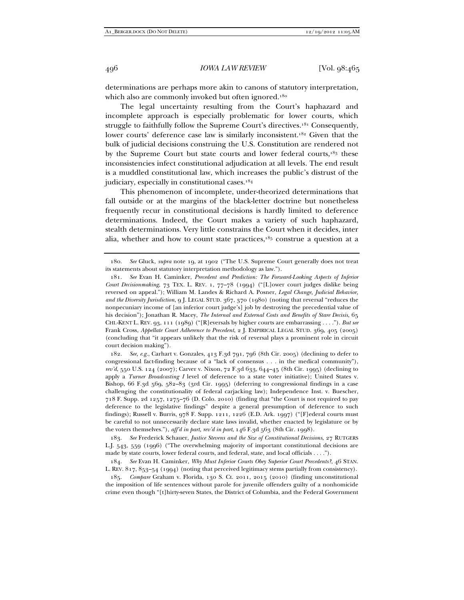determinations are perhaps more akin to canons of statutory interpretation, which also are commonly invoked but often ignored.<sup>180</sup>

The legal uncertainty resulting from the Court's haphazard and incomplete approach is especially problematic for lower courts, which struggle to faithfully follow the Supreme Court's directives.<sup>181</sup> Consequently, lower courts' deference case law is similarly inconsistent.<sup>182</sup> Given that the bulk of judicial decisions construing the U.S. Constitution are rendered not by the Supreme Court but state courts and lower federal courts,<sup>183</sup> these inconsistencies infect constitutional adjudication at all levels. The end result is a muddled constitutional law, which increases the public's distrust of the judiciary, especially in constitutional cases.<sup>184</sup>

This phenomenon of incomplete, under-theorized determinations that fall outside or at the margins of the black-letter doctrine but nonetheless frequently recur in constitutional decisions is hardly limited to deference determinations. Indeed, the Court makes a variety of such haphazard, stealth determinations. Very little constrains the Court when it decides, inter alia, whether and how to count state practices, $185$  construe a question at a

 182. *See, e.g.*, Carhart v. Gonzales, 413 F.3d 791, 796 (8th Cir. 2005) (declining to defer to congressional fact-finding because of a "lack of consensus . . . in the medical community"), *rev'd*, 550 U.S. 124 (2007); Carver v. Nixon, 72 F.3d 633, 644–45 (8th Cir. 1995) (declining to apply a *Turner Broadcasting I* level of deference to a state voter initiative); United States v. Bishop, 66 F.3d 569, 582–83 (3rd Cir. 1995) (deferring to congressional findings in a case challenging the constitutionality of federal carjacking law); Independence Inst. v. Buescher, 718 F. Supp. 2d 1257, 1275–76 (D. Colo. 2010) (finding that "the Court is not required to pay deference to the legislative findings" despite a general presumption of deference to such findings); Russell v. Burris, 978 F. Supp. 1211, 1226 (E.D. Ark. 1997) ("[F]ederal courts must be careful to not unnecessarily declare state laws invalid, whether enacted by legislature or by the voters themselves."), *aff'd in part, rev'd in part*, 146 F.3d 563 (8th Cir. 1998).

 <sup>180.</sup> *See* Gluck, *supra* note 19, at 1902 ("The U.S. Supreme Court generally does not treat its statements about statutory interpretation methodology as law.").

 <sup>181.</sup> *See* Evan H. Caminker, *Precedent and Prediction: The Forward-Looking Aspects of Inferior Court Decisionmaking*, 73 TEX. L. REV. 1, 77–78 (1994) ("[L]ower court judges dislike being reversed on appeal."); William M. Landes & Richard A. Posner, *Legal Change, Judicial Behavior, and the Diversity Jurisdiction*, 9 J. LEGAL STUD. 367, 370 (1980) (noting that reversal "reduces the nonpecuniary income of [an inferior court judge's] job by destroying the precedential value of his decision"); Jonathan R. Macey, *The Internal and External Costs and Benefits of Stare Decisis*, 65 CHI.-KENT L. REV. 93, 111 (1989) ("[R]eversals by higher courts are embarrassing . . . ."). *But see* Frank Cross, *Appellate Court Adherence to Precedent*, 2 J. EMPIRICAL LEGAL STUD. 369, 405 (2005) (concluding that "it appears unlikely that the risk of reversal plays a prominent role in circuit court decision making").

 <sup>183.</sup> *See* Frederick Schauer, *Justice Stevens and the Size of Constitutional Decisions*, 27 RUTGERS L.J. 543, 559 (1996) ("The overwhelming majority of important constitutional decisions are made by state courts, lower federal courts, and federal, state, and local officials . . . .").

 <sup>184.</sup> *See* Evan H. Caminker, *Why Must Inferior Courts Obey Superior Court Precedents?*, 46 STAN. L. REV. 817, 853–54 (1994) (noting that perceived legitimacy stems partially from consistency).

 <sup>185.</sup> *Compare* Graham v. Florida, 130 S. Ct. 2011, 2015 (2010) (finding unconstitutional the imposition of life sentences without parole for juvenile offenders guilty of a nonhomicide crime even though "[t]hirty-seven States, the District of Columbia, and the Federal Government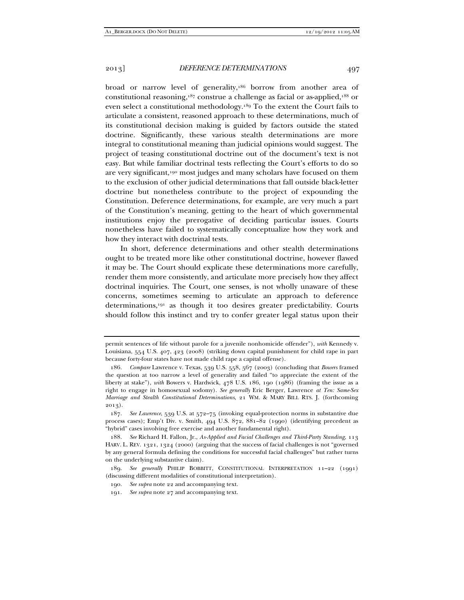broad or narrow level of generality,<sup>186</sup> borrow from another area of constitutional reasoning,187 construe a challenge as facial or as-applied,188 or even select a constitutional methodology.189 To the extent the Court fails to articulate a consistent, reasoned approach to these determinations, much of its constitutional decision making is guided by factors outside the stated doctrine. Significantly, these various stealth determinations are more integral to constitutional meaning than judicial opinions would suggest. The project of teasing constitutional doctrine out of the document's text is not easy. But while familiar doctrinal tests reflecting the Court's efforts to do so are very significant,<sup>190</sup> most judges and many scholars have focused on them to the exclusion of other judicial determinations that fall outside black-letter doctrine but nonetheless contribute to the project of expounding the Constitution. Deference determinations, for example, are very much a part of the Constitution's meaning, getting to the heart of which governmental institutions enjoy the prerogative of deciding particular issues. Courts nonetheless have failed to systematically conceptualize how they work and how they interact with doctrinal tests.

In short, deference determinations and other stealth determinations ought to be treated more like other constitutional doctrine, however flawed it may be. The Court should explicate these determinations more carefully, render them more consistently, and articulate more precisely how they affect doctrinal inquiries. The Court, one senses, is not wholly unaware of these concerns, sometimes seeming to articulate an approach to deference determinations,191 as though it too desires greater predictability. Courts should follow this instinct and try to confer greater legal status upon their

permit sentences of life without parole for a juvenile nonhomicide offender"), *with* Kennedy v. Louisiana, 554 U.S. 407, 423 (2008) (striking down capital punishment for child rape in part because forty-four states have not made child rape a capital offense).

 <sup>186.</sup> *Compare* Lawrence v. Texas, 539 U.S. 558, 567 (2003) (concluding that *Bowers* framed the question at too narrow a level of generality and failed "to appreciate the extent of the liberty at stake"), *with* Bowers v. Hardwick, 478 U.S. 186, 190 (1986) (framing the issue as a right to engage in homosexual sodomy). *See generally* Eric Berger, Lawrence *at Ten: Same-Sex Marriage and Stealth Constitutional Determinations*, 21 WM. & MARY BILL RTS. J. (forthcoming 2013).

 <sup>187.</sup> *See Lawrence*, 539 U.S. at 572–75 (invoking equal-protection norms in substantive due process cases); Emp't Div. v. Smith, 494 U.S. 872, 881–82 (1990) (identifying precedent as "hybrid" cases involving free exercise and another fundamental right).

 <sup>188.</sup> *See* Richard H. Fallon, Jr., *As-Applied and Facial Challenges and Third-Party Standing*, 113 HARV. L. REV. 1321, 1324 (2000) (arguing that the success of facial challenges is not "governed by any general formula defining the conditions for successful facial challenges" but rather turns on the underlying substantive claim).

 <sup>189.</sup> *See generally* PHILIP BOBBITT, CONSTITUTIONAL INTERPRETATION 11–22 (1991) (discussing different modalities of constitutional interpretation).

 <sup>190.</sup> *See supra* note 22 and accompanying text.

 <sup>191.</sup> *See supra* note 27 and accompanying text.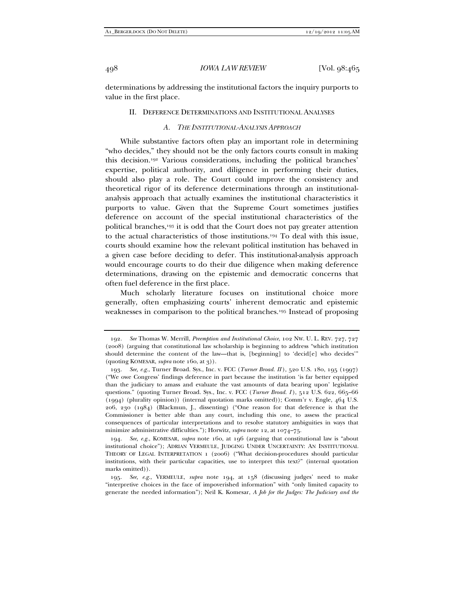determinations by addressing the institutional factors the inquiry purports to value in the first place.

#### II. DEFERENCE DETERMINATIONS AND INSTITUTIONAL ANALYSES

#### *A. THE INSTITUTIONAL-ANALYSIS APPROACH*

While substantive factors often play an important role in determining "who decides," they should not be the only factors courts consult in making this decision.192 Various considerations, including the political branches' expertise, political authority, and diligence in performing their duties, should also play a role. The Court could improve the consistency and theoretical rigor of its deference determinations through an institutionalanalysis approach that actually examines the institutional characteristics it purports to value. Given that the Supreme Court sometimes justifies deference on account of the special institutional characteristics of the political branches,193 it is odd that the Court does not pay greater attention to the actual characteristics of those institutions.194 To deal with this issue, courts should examine how the relevant political institution has behaved in a given case before deciding to defer. This institutional-analysis approach would encourage courts to do their due diligence when making deference determinations, drawing on the epistemic and democratic concerns that often fuel deference in the first place.

Much scholarly literature focuses on institutional choice more generally, often emphasizing courts' inherent democratic and epistemic weaknesses in comparison to the political branches.195 Instead of proposing

 <sup>192.</sup> *See* Thomas W. Merrill, *Preemption and Institutional Choice*, 102 NW. U. L. REV. 727, 727 (2008) (arguing that constitutional law scholarship is beginning to address "which institution should determine the content of the law—that is, [beginning] to 'decid[e] who decides'" (quoting KOMESAR, *supra* note 160, at 3)).

 <sup>193.</sup> *See, e.g.*, Turner Broad. Sys., Inc. v. FCC (*Turner Broad. II* ), 520 U.S. 180, 195 (1997) ("We owe Congress' findings deference in part because the institution 'is far better equipped than the judiciary to amass and evaluate the vast amounts of data bearing upon' legislative questions." (quoting Turner Broad. Sys., Inc. v. FCC (*Turner Broad. I*), 512 U.S. 622, 665-66 (1994) (plurality opinion)) (internal quotation marks omitted)); Comm'r v. Engle, 464 U.S. 206, 230 (1984) (Blackmun, J., dissenting) ("One reason for that deference is that the Commissioner is better able than any court, including this one, to assess the practical consequences of particular interpretations and to resolve statutory ambiguities in ways that minimize administrative difficulties."); Horwitz, *supra* note 12, at 1074–75.

 <sup>194.</sup> *See, e.g.*, KOMESAR, *supra* note 160, at 196 (arguing that constitutional law is "about institutional choice"); ADRIAN VERMEULE, JUDGING UNDER UNCERTAINTY: AN INSTITUTIONAL THEORY OF LEGAL INTERPRETATION 1 (2006) ("What decision-procedures should particular institutions, with their particular capacities, use to interpret this text?" (internal quotation marks omitted)).

 <sup>195.</sup> *See, e.g.*, VERMEULE, *supra* note 194, at 158 (discussing judges' need to make "interpretive choices in the face of impoverished information" with "only limited capacity to generate the needed information"); Neil K. Komesar, *A Job for the Judges: The Judiciary and the*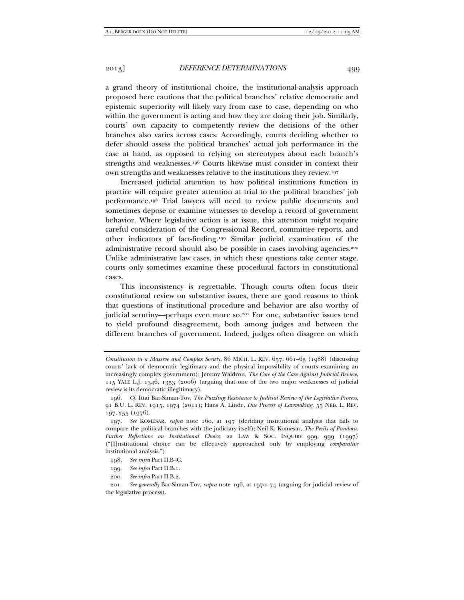a grand theory of institutional choice, the institutional-analysis approach proposed here cautions that the political branches' relative democratic and epistemic superiority will likely vary from case to case, depending on who within the government is acting and how they are doing their job. Similarly, courts' own capacity to competently review the decisions of the other branches also varies across cases. Accordingly, courts deciding whether to defer should assess the political branches' actual job performance in the case at hand, as opposed to relying on stereotypes about each branch's strengths and weaknesses.196 Courts likewise must consider in context their own strengths and weaknesses relative to the institutions they review.197

Increased judicial attention to how political institutions function in practice will require greater attention at trial to the political branches' job performance.198 Trial lawyers will need to review public documents and sometimes depose or examine witnesses to develop a record of government behavior. Where legislative action is at issue, this attention might require careful consideration of the Congressional Record, committee reports, and other indicators of fact-finding.199 Similar judicial examination of the administrative record should also be possible in cases involving agencies.<sup>200</sup> Unlike administrative law cases, in which these questions take center stage, courts only sometimes examine these procedural factors in constitutional cases.

This inconsistency is regrettable. Though courts often focus their constitutional review on substantive issues, there are good reasons to think that questions of institutional procedure and behavior are also worthy of judicial scrutiny—perhaps even more so.<sup>201</sup> For one, substantive issues tend to yield profound disagreement, both among judges and between the different branches of government. Indeed, judges often disagree on which

200. *See infra* Part II.B.2.

*Constitution in a Massive and Complex Society*, 86 MICH. L. REV. 657, 661–63 (1988) (discussing courts' lack of democratic legitimacy and the physical impossibility of courts examining an increasingly complex government); Jeremy Waldron, *The Core of the Case Against Judicial Review*, 115 YALE L.J. 1346, 1353 (2006) (arguing that one of the two major weaknesses of judicial review is its democratic illegitimacy).

 <sup>196.</sup> *Cf.* Ittai Bar-Siman-Tov, *The Puzzling Resistance to Judicial Review of the Legislative Process*, 91 B.U. L. REV. 1915, 1974 (2011); Hans A. Linde, *Due Process of Lawmaking*, 55 NEB. L. REV. 197, 255 (1976).

 <sup>197.</sup> *See* KOMESAR, *supra* note 160, at 197 (deriding institutional analysis that fails to compare the political branches with the judiciary itself); Neil K. Komesar, *The Perils of Pandora: Further Reflections on Institutional Choice*, 22 LAW & SOC. INQUIRY 999, 999 (1997) ("[I]nstitutional choice can be effectively approached only by employing *comparative* institutional analysis.").

 <sup>198.</sup> *See infra* Part II.B–C.

 <sup>199.</sup> *See infra* Part II.B.1.

 <sup>201.</sup> *See generally* Bar-Siman-Tov, *supra* note 196, at 1970–74 (arguing for judicial review of the legislative process).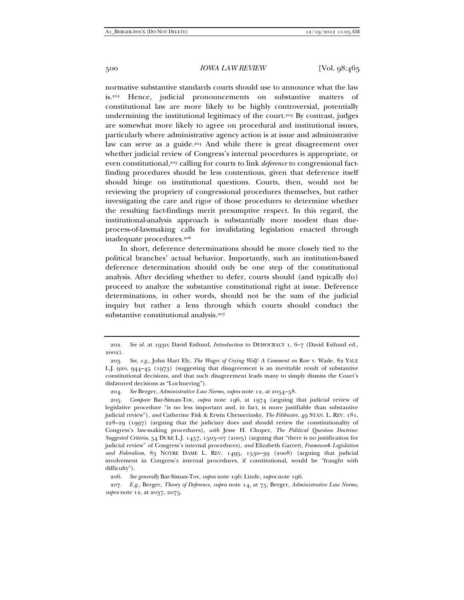normative substantive standards courts should use to announce what the law is.<sup>202</sup> Hence, judicial pronouncements on substantive matters constitutional law are more likely to be highly controversial, potentially undermining the institutional legitimacy of the court.203 By contrast, judges are somewhat more likely to agree on procedural and institutional issues, particularly where administrative agency action is at issue and administrative law can serve as a guide.<sup>204</sup> And while there is great disagreement over whether judicial review of Congress's internal procedures is appropriate, or even constitutional,<sup>205</sup> calling for courts to link *deference* to congressional factfinding procedures should be less contentious, given that deference itself should hinge on institutional questions. Courts, then, would not be reviewing the propriety of congressional procedures themselves, but rather investigating the care and rigor of those procedures to determine whether the resulting fact-findings merit presumptive respect. In this regard, the institutional-analysis approach is substantially more modest than dueprocess-of-lawmaking calls for invalidating legislation enacted through inadequate procedures.<sup>206</sup>

In short, deference determinations should be more closely tied to the political branches' actual behavior. Importantly, such an institution-based deference determination should only be one step of the constitutional analysis. After deciding whether to defer, courts should (and typically do) proceed to analyze the substantive constitutional right at issue. Deference determinations, in other words, should not be the sum of the judicial inquiry but rather a lens through which courts should conduct the substantive constitutional analysis.<sup>207</sup>

 <sup>202.</sup> *See id.* at 1930; David Estlund, *Introduction* to DEMOCRACY 1, 6–7 (David Estlund ed., 2002).

 <sup>203.</sup> *See, e.g.*, John Hart Ely, *The Wages of Crying Wolf: A Comment on* Roe v. Wade, 82 YALE L.J. 920, 944–45 (1973) (suggesting that disagreement is an inevitable result of substantive constitutional decisions, and that such disagreement leads many to simply dismiss the Court's disfavored decisions as "Lochnering").

 <sup>204.</sup> *See* Berger, *Administrative Law Norms*, *supra* note 12, at 2054–58.

 <sup>205.</sup> *Compare* Bar-Siman-Tov, *supra* note 196, at 1974 (arguing that judicial review of legislative procedure "is no less important and, in fact, is more justifiable than substantive judicial review"), *and* Catherine Fisk & Erwin Chemerinsky, *The Filibuster*, 49 STAN. L. REV. 181, 228–29 (1997) (arguing that the judiciary does and should review the constitutionality of Congress's law-making procedures), *with* Jesse H. Choper, *The Political Question Doctrine: Suggested Criteria*, 54 DUKE L.J. 1457, 1505–07 (2005) (arguing that "there is no justification for judicial review" of Congress's internal procedures), *and* Elizabeth Garrett, *Framework Legislation and Federalism*, 83 NOTRE DAME L. REV. 1495, 1530–39 (2008) (arguing that judicial involvement in Congress's internal procedures, if constitutional, would be "fraught with difficulty").

 <sup>206.</sup> *See generally* Bar-Siman-Tov, *supra* note 196; Linde, *supra* note 196.

 <sup>207.</sup> *E.g.*, Berger, *Theory of Deference*, *supra* note 14, at 75; Berger, *Administrative Law Norms*, *supra* note 12, at 2037, 2075.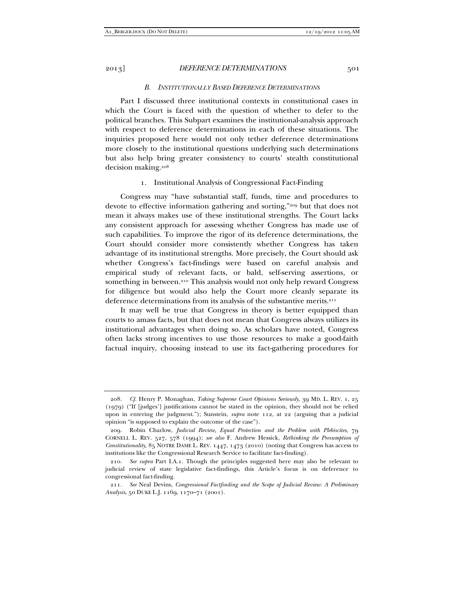#### *B. INSTITUTIONALLY BASED DEFERENCE DETERMINATIONS*

Part I discussed three institutional contexts in constitutional cases in which the Court is faced with the question of whether to defer to the political branches. This Subpart examines the institutional-analysis approach with respect to deference determinations in each of these situations. The inquiries proposed here would not only tether deference determinations more closely to the institutional questions underlying such determinations but also help bring greater consistency to courts' stealth constitutional decision making.208

#### 1. Institutional Analysis of Congressional Fact-Finding

Congress may "have substantial staff, funds, time and procedures to devote to effective information gathering and sorting,"209 but that does not mean it always makes use of these institutional strengths. The Court lacks any consistent approach for assessing whether Congress has made use of such capabilities. To improve the rigor of its deference determinations, the Court should consider more consistently whether Congress has taken advantage of its institutional strengths. More precisely, the Court should ask whether Congress's fact-findings were based on careful analysis and empirical study of relevant facts, or bald, self-serving assertions, or something in between.<sup>210</sup> This analysis would not only help reward Congress for diligence but would also help the Court more cleanly separate its deference determinations from its analysis of the substantive merits.<sup>211</sup>

It may well be true that Congress in theory is better equipped than courts to amass facts, but that does not mean that Congress always utilizes its institutional advantages when doing so. As scholars have noted, Congress often lacks strong incentives to use those resources to make a good-faith factual inquiry, choosing instead to use its fact-gathering procedures for

 <sup>208.</sup> *Cf.* Henry P. Monaghan, *Taking Supreme Court Opinions Seriously*, 39 MD. L. REV. 1, 25 (1979) ("If [judges'] justifications cannot be stated in the opinion, they should not be relied upon in entering the judgment."); Sunstein, *supra* note 112, at 22 (arguing that a judicial opinion "is supposed to explain the outcome of the case").

 <sup>209.</sup> Robin Charlow, *Judicial Review, Equal Protection and the Problem with Plebiscites*, 79 CORNELL L. REV. 527, 578 (1994); *see also* F. Andrew Hessick, *Rethinking the Presumption of Constitutionality*, 85 NOTRE DAME L. REV. 1447, 1473 (2010) (noting that Congress has access to institutions like the Congressional Research Service to facilitate fact-finding).

 <sup>210.</sup> *See supra* Part I.A.1. Though the principles suggested here may also be relevant to judicial review of state legislative fact-findings, this Article's focus is on deference to congressional fact-finding.

 <sup>211.</sup> *See* Neal Devins, *Congressional Factfinding and the Scope of Judicial Review: A Preliminary Analysis*, 50 DUKE L.J. 1169, 1170–71 (2001).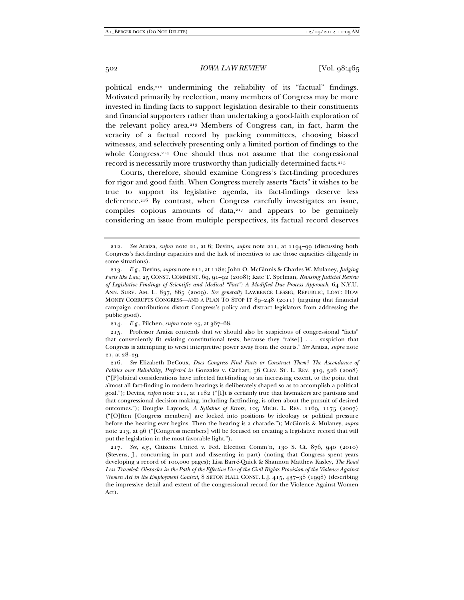political ends,212 undermining the reliability of its "factual" findings. Motivated primarily by reelection, many members of Congress may be more invested in finding facts to support legislation desirable to their constituents and financial supporters rather than undertaking a good-faith exploration of the relevant policy area.213 Members of Congress can, in fact, harm the veracity of a factual record by packing committees, choosing biased witnesses, and selectively presenting only a limited portion of findings to the whole Congress.<sup>214</sup> One should thus not assume that the congressional record is necessarily more trustworthy than judicially determined facts.<sup>215</sup>

Courts, therefore, should examine Congress's fact-finding procedures for rigor and good faith. When Congress merely asserts "facts" it wishes to be true to support its legislative agenda, its fact-findings deserve less deference.216 By contrast, when Congress carefully investigates an issue, compiles copious amounts of data, $217$  and appears to be genuinely considering an issue from multiple perspectives, its factual record deserves

 <sup>212.</sup> *See* Araiza, *supra* note 21, at 6; Devins, *supra* note 211, at 1194–99 (discussing both Congress's fact-finding capacities and the lack of incentives to use those capacities diligently in some situations).

 <sup>213.</sup> *E.g.*, Devins, *supra* note 211, at 1182; John O. McGinnis & Charles W. Mulaney, *Judging Facts like Law*, 25 CONST. COMMENT. 69, 91–92 (2008); Kate T. Spelman, *Revising Judicial Review of Legislative Findings of Scientific and Medical "Fact": A Modified Due Process Approach*, 64 N.Y.U. ANN. SURV. AM. L. 837, 865 (2009). *See generally* LAWRENCE LESSIG, REPUBLIC, LOST: HOW MONEY CORRUPTS CONGRESS—AND A PLAN TO STOP IT 89–248 (2011) (arguing that financial campaign contributions distort Congress's policy and distract legislators from addressing the public good).

 <sup>214.</sup> *E.g.*, Pilchen, *supra* note 25, at 367–68.

 <sup>215.</sup> Professor Araiza contends that we should also be suspicious of congressional "facts" that conveniently fit existing constitutional tests, because they "raise[] . . . suspicion that Congress is attempting to wrest interpretive power away from the courts." *See* Araiza, *supra* note 21, at 28–29.

 <sup>216.</sup> *See* Elizabeth DeCoux, *Does Congress Find Facts or Construct Them? The Ascendance of Politics over Reliability, Perfected in* Gonzales v. Carhart, 56 CLEV. ST. L. REV. 319, 326 (2008) ("[P]olitical considerations have infected fact-finding to an increasing extent, to the point that almost all fact-finding in modern hearings is deliberately shaped so as to accomplish a political goal."); Devins, *supra* note 211, at 1182 ("[I]t is certainly true that lawmakers are partisans and that congressional decision-making, including factfinding, is often about the pursuit of desired outcomes."); Douglas Laycock, *A Syllabus of Errors*, 105 MICH. L. REV. 1169, 1175 (2007) ("[O]ften [Congress members] are locked into positions by ideology or political pressure before the hearing ever begins. Then the hearing is a charade."); McGinnis & Mulaney, *supra*  note 213, at 96 ("[Congress members] will be focused on creating a legislative record that will put the legislation in the most favorable light.").

 <sup>217.</sup> *See, e.g.*, Citizens United v. Fed. Election Comm'n, 130 S. Ct. 876, 940 (2010) (Stevens, J., concurring in part and dissenting in part) (noting that Congress spent years developing a record of 100,000 pages); Lisa Barré-Quick & Shannon Matthew Kasley, *The Road Less Traveled: Obstacles in the Path of the Effective Use of the Civil Rights Provision of the Violence Against Women Act in the Employment Context*, 8 SETON HALL CONST. L.J. 415, 437–38 (1998) (describing the impressive detail and extent of the congressional record for the Violence Against Women Act).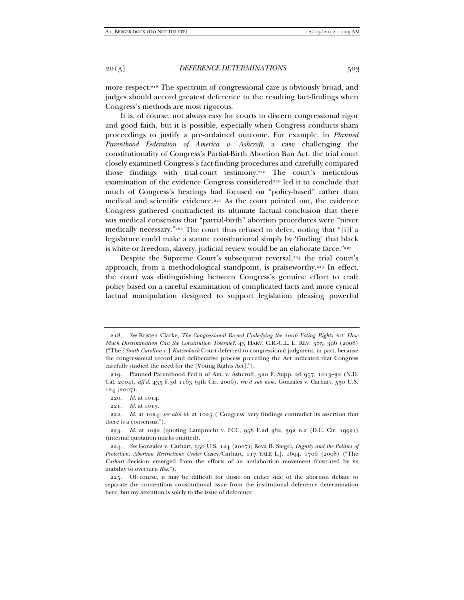more respect.<sup>218</sup> The spectrum of congressional care is obviously broad, and judges should accord greatest deference to the resulting fact-findings when Congress's methods are most rigorous.

It is, of course, not always easy for courts to discern congressional rigor and good faith, but it is possible, especially when Congress conducts sham proceedings to justify a pre-ordained outcome. For example, in *Planned Parenthood Federation of America v. Ashcroft*, a case challenging the constitutionality of Congress's Partial-Birth Abortion Ban Act, the trial court closely examined Congress's fact-finding procedures and carefully compared those findings with trial-court testimony.219 The court's meticulous examination of the evidence Congress considered<sup>220</sup> led it to conclude that much of Congress's hearings had focused on "policy-based" rather than medical and scientific evidence.<sup>221</sup> As the court pointed out, the evidence Congress gathered contradicted its ultimate factual conclusion that there was medical consensus that "partial-birth" abortion procedures were "never medically necessary."222 The court thus refused to defer, noting that "[i]f a legislature could make a statute constitutional simply by 'finding' that black is white or freedom, slavery, judicial review would be an elaborate farce."223

Despite the Supreme Court's subsequent reversal,<sup>224</sup> the trial court's approach, from a methodological standpoint, is praiseworthy.225 In effect, the court was distinguishing between Congress's genuine effort to craft policy based on a careful examination of complicated facts and more cynical factual manipulation designed to support legislation pleasing powerful

 <sup>218.</sup> *See* Kristen Clarke, *The Congressional Record Underlying the 2006 Voting Rights Act: How Much Discrimination Can the Constitution Tolerate?*, 43 HARV. C.R.-C.L. L. REV. 385, 396 (2008) ("The [*South Carolina v.*] *Katzenbach* Court deferred to congressional judgment, in part, because the congressional record and deliberative process preceding the Act indicated that Congress carefully studied the need for the [Voting Rights Act].").

 <sup>219.</sup> Planned Parenthood Fed'n of Am. v. Ashcroft, 320 F. Supp. 2d 957, 1013–32 (N.D. Cal. 2004), *aff'd*, 435 F.3d 1163 (9th Cir. 2006), *rev'd sub nom.* Gonzales v. Carhart, 550 U.S. 124 (2007).

 <sup>220.</sup> *Id.* at 1014.

 <sup>221.</sup> *Id.* at 1017.

 <sup>222.</sup> *Id.* at 1024; *see also id.* at 1025 ("Congress' very findings contradict its assertion that there is a consensus.").

 <sup>223.</sup> *Id.* at 1032 (quoting Lamprecht v. FCC, 958 F.2d 382, 392 n.2 (D.C. Cir. 1992)) (internal quotation marks omitted).

 <sup>224.</sup> *See* Gonzales v. Carhart, 550 U.S. 124 (2007); Reva B. Siegel, *Dignity and the Politics of Protection: Abortion Restrictions Under* Casey*/*Carhart, 117 YALE L.J. 1694, 1706 (2008) ("The *Carhart* decision emerged from the efforts of an antiabortion movement frustrated by its inability to overturn *Roe*.").

 <sup>225.</sup> Of course, it may be difficult for those on either side of the abortion debate to separate the contentious constitutional issue from the institutional deference determination here, but my attention is solely to the issue of deference.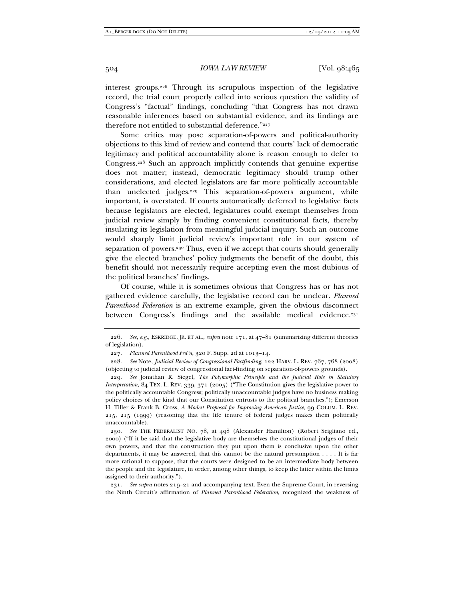interest groups.226 Through its scrupulous inspection of the legislative record, the trial court properly called into serious question the validity of Congress's "factual" findings, concluding "that Congress has not drawn reasonable inferences based on substantial evidence, and its findings are therefore not entitled to substantial deference."227

Some critics may pose separation-of-powers and political-authority objections to this kind of review and contend that courts' lack of democratic legitimacy and political accountability alone is reason enough to defer to Congress.228 Such an approach implicitly contends that genuine expertise does not matter; instead, democratic legitimacy should trump other considerations, and elected legislators are far more politically accountable than unelected judges.229 This separation-of-powers argument, while important, is overstated. If courts automatically deferred to legislative facts because legislators are elected, legislatures could exempt themselves from judicial review simply by finding convenient constitutional facts, thereby insulating its legislation from meaningful judicial inquiry. Such an outcome would sharply limit judicial review's important role in our system of separation of powers.<sup>230</sup> Thus, even if we accept that courts should generally give the elected branches' policy judgments the benefit of the doubt, this benefit should not necessarily require accepting even the most dubious of the political branches' findings.

Of course, while it is sometimes obvious that Congress has or has not gathered evidence carefully, the legislative record can be unclear. *Planned Parenthood Federation* is an extreme example, given the obvious disconnect between Congress's findings and the available medical evidence.<sup>231</sup>

 231. *See supra* notes 219–21 and accompanying text. Even the Supreme Court, in reversing the Ninth Circuit's affirmation of *Planned Parenthood Federation*, recognized the weakness of

 <sup>226.</sup> *See, e.g.*, ESKRIDGE, JR. ET AL., *supra* note 171, at 47–81 (summarizing different theories of legislation).

 <sup>227.</sup> *Planned Parenthood Fed'n*, 320 F. Supp. 2d at 1013–14.

 <sup>228.</sup> *See* Note, *Judicial Review of Congressional Factfinding*, 122 HARV. L. REV. 767, 768 (2008) (objecting to judicial review of congressional fact-finding on separation-of-powers grounds).

 <sup>229.</sup> *See* Jonathan R. Siegel, *The Polymorphic Principle and the Judicial Role in Statutory Interpretation*, 84 TEX. L. REV. 339, 371 (2005) ("The Constitution gives the legislative power to the politically accountable Congress; politically unaccountable judges have no business making policy choices of the kind that our Constitution entrusts to the political branches."); Emerson H. Tiller & Frank B. Cross, *A Modest Proposal for Improving American Justice*, 99 COLUM. L. REV. 215, 215 (1999) (reasoning that the life tenure of federal judges makes them politically unaccountable).

 <sup>230.</sup> *See* THE FEDERALIST NO. 78, at 498 (Alexander Hamilton) (Robert Scigliano ed., 2000) ("If it be said that the legislative body are themselves the constitutional judges of their own powers, and that the construction they put upon them is conclusive upon the other departments, it may be answered, that this cannot be the natural presumption . . . . It is far more rational to suppose, that the courts were designed to be an intermediate body between the people and the legislature, in order, among other things, to keep the latter within the limits assigned to their authority.").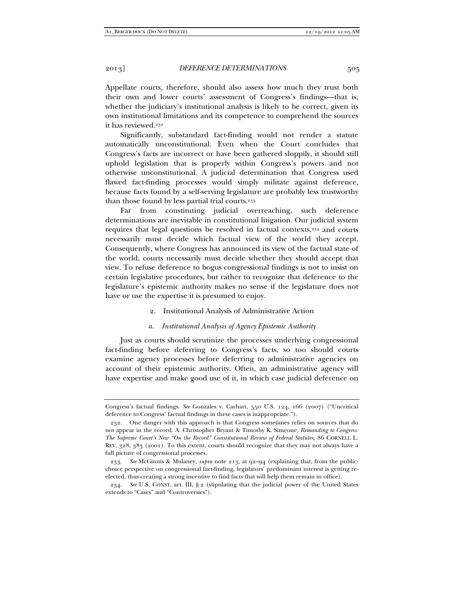Appellate courts, therefore, should also assess how much they trust both their own and lower courts' assessment of Congress's findings—that is, whether the judiciary's institutional analysis is likely to be correct, given its own institutional limitations and its competence to comprehend the sources it has reviewed.<sup>232</sup>

Significantly, substandard fact-finding would not render a statute automatically unconstitutional. Even when the Court concludes that Congress's facts are incorrect or have been gathered sloppily, it should still uphold legislation that is properly within Congress's powers and not otherwise unconstitutional. A judicial determination that Congress used flawed fact-finding processes would simply militate against deference, because facts found by a self-serving legislature are probably less trustworthy than those found by less partial trial courts.<sup>233</sup>

Far from constituting judicial overreaching, such deference determinations are inevitable in constitutional litigation. Our judicial system requires that legal questions be resolved in factual contexts,234 and courts necessarily must decide which factual view of the world they accept. Consequently, where Congress has announced its view of the factual state of the world, courts necessarily must decide whether they should accept that view. To refuse deference to bogus congressional findings is not to insist on certain legislative procedures, but rather to recognize that deference to the legislature's epistemic authority makes no sense if the legislature does not have or use the expertise it is presumed to enjoy.

2. Institutional Analysis of Administrative Action

#### *a. Institutional Analysis of Agency Epistemic Authority*

Just as courts should scrutinize the processes underlying congressional fact-finding before deferring to Congress's facts, so too should courts examine agency processes before deferring to administrative agencies on account of their epistemic authority. Often, an administrative agency will have expertise and make good use of it, in which case judicial deference on

Congress's factual findings. *See* Gonzales v. Carhart, 550 U.S. 124, 166 (2007) ("Uncritical deference to Congress' factual findings in these cases is inappropriate.").

 <sup>232.</sup> One danger with this approach is that Congress sometimes relies on sources that do not appear in the record. A. Christopher Bryant & Timothy K. Simeone, *Remanding to Congress: The Supreme Court's New "On the Record" Constitutional Review of Federal Statutes*, 86 CORNELL L. REV. 328, 383 (2001). To this extent, courts should recognize that they may not always have a full picture of congressional processes.

 <sup>233.</sup> *See* McGinnis & Mulaney, *supra* note 213, at 92–94 (explaining that, from the publicchoice perspective on congressional fact-finding, legislators' predominant interest is getting reelected, thus creating a strong incentive to find facts that will help them remain in office).

 <sup>234.</sup> *See* U.S. CONST. art. III, § 2 (stipulating that the judicial power of the United States extends to "Cases" and "Controversies").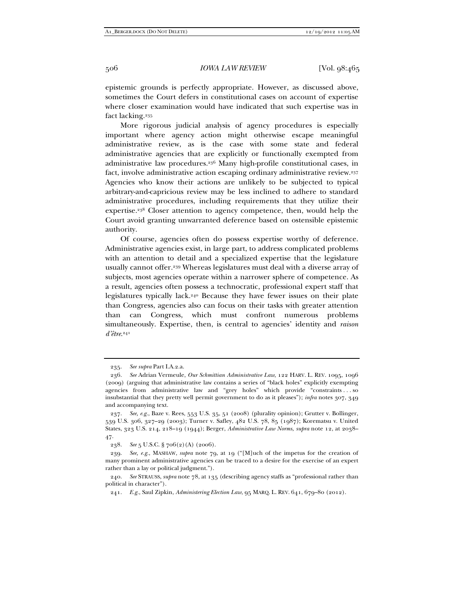epistemic grounds is perfectly appropriate. However, as discussed above, sometimes the Court defers in constitutional cases on account of expertise where closer examination would have indicated that such expertise was in fact lacking.<sup>235</sup>

More rigorous judicial analysis of agency procedures is especially important where agency action might otherwise escape meaningful administrative review, as is the case with some state and federal administrative agencies that are explicitly or functionally exempted from administrative law procedures.236 Many high-profile constitutional cases, in fact, involve administrative action escaping ordinary administrative review.237 Agencies who know their actions are unlikely to be subjected to typical arbitrary-and-capricious review may be less inclined to adhere to standard administrative procedures, including requirements that they utilize their expertise.238 Closer attention to agency competence, then, would help the Court avoid granting unwarranted deference based on ostensible epistemic authority.

Of course, agencies often do possess expertise worthy of deference. Administrative agencies exist, in large part, to address complicated problems with an attention to detail and a specialized expertise that the legislature usually cannot offer.239 Whereas legislatures must deal with a diverse array of subjects, most agencies operate within a narrower sphere of competence. As a result, agencies often possess a technocratic, professional expert staff that legislatures typically lack.240 Because they have fewer issues on their plate than Congress, agencies also can focus on their tasks with greater attention than can Congress, which must confront numerous problems simultaneously. Expertise, then, is central to agencies' identity and *raison d'être*.241

235. *See supra* Part I.A.2.a.

 <sup>236.</sup> *See* Adrian Vermeule, *Our Schmittian Administrative Law*, 122 HARV. L. REV. 1095, 1096 (2009) (arguing that administrative law contains a series of "black holes" explicitly exempting agencies from administrative law and "grey holes" which provide "constraints . . . so insubstantial that they pretty well permit government to do as it pleases"); *infra* notes 307, 349 and accompanying text.

 <sup>237.</sup> *See, e.g.*, Baze v. Rees, 553 U.S. 35, 51 (2008) (plurality opinion); Grutter v. Bollinger, 539 U.S. 306, 327–29 (2003); Turner v. Safley, 482 U.S. 78, 85 (1987); Korematsu v. United States, 323 U.S. 214, 218–19 (1944); Berger, *Administrative Law Norms*, *supra* note 12, at 2038– 47.

 <sup>238.</sup> *See* 5 U.S.C. § 706(2)(A) (2006).

 <sup>239.</sup> *See, e.g.*, MASHAW, *supra* note 79, at 19 ("[M]uch of the impetus for the creation of many prominent administrative agencies can be traced to a desire for the exercise of an expert rather than a lay or political judgment.").

 <sup>240.</sup> *See* STRAUSS, *supra* note 78, at 135 (describing agency staffs as "professional rather than political in character").

 <sup>241.</sup> *E.g.*, Saul Zipkin, *Administering Election Law*, 95 MARQ. L. REV. 641, 679–80 (2012).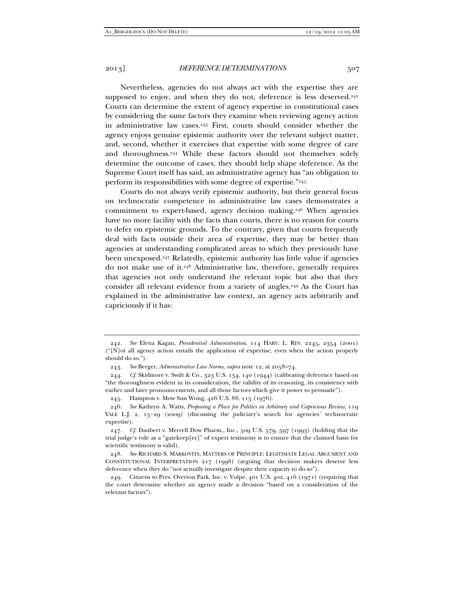Nevertheless, agencies do not always act with the expertise they are supposed to enjoy, and when they do not, deference is less deserved.<sup>242</sup> Courts can determine the extent of agency expertise in constitutional cases by considering the same factors they examine when reviewing agency action in administrative law cases.243 First, courts should consider whether the agency enjoys genuine epistemic authority over the relevant subject matter, and, second, whether it exercises that expertise with some degree of care and thoroughness.<sup>244</sup> While these factors should not themselves solely determine the outcome of cases, they should help shape deference. As the Supreme Court itself has said, an administrative agency has "an obligation to perform its responsibilities with some degree of expertise."245

Courts do not always verify epistemic authority, but their general focus on technocratic competence in administrative law cases demonstrates a commitment to expert-based, agency decision making.<sup>246</sup> When agencies have no more facility with the facts than courts, there is no reason for courts to defer on epistemic grounds. To the contrary, given that courts frequently deal with facts outside their area of expertise, they may be better than agencies at understanding complicated areas to which they previously have been unexposed.247 Relatedly, epistemic authority has little value if agencies do not make use of it.248 Administrative law, therefore, generally requires that agencies not only understand the relevant topic but also that they consider all relevant evidence from a variety of angles.249 As the Court has explained in the administrative law context, an agency acts arbitrarily and capriciously if it has:

 <sup>242.</sup> *See* Elena Kagan, *Presidential Administration*, 114 HARV. L. REV. 2245, 2354 (2001) ("[N]ot all agency action entails the application of expertise, even when the action properly should do so.").

 <sup>243.</sup> *See* Berger, *Administrative Law Norms*, *supra* note 12, at 2058–74.

 <sup>244.</sup> *Cf.* Skidmore v. Swift & Co., 323 U.S. 134, 140 (1944) (calibrating deference based on "the thoroughness evident in its consideration, the validity of its reasoning, its consistency with earlier and later pronouncements, and all those factors which give it power to persuade").

 <sup>245.</sup> Hampton v. Mow Sun Wong, 426 U.S. 88, 115 (1976).

 <sup>246.</sup> *See* Kathryn A. Watts, *Proposing a Place for Politics in Arbitrary and Capricious Review*, 119 YALE L.J. 2, 15-29 (2009) (discussing the judiciary's search for agencies' technocratic expertise).

 <sup>247.</sup> *Cf.* Daubert v. Merrell Dow Pharm., Inc., 509 U.S. 579, 597 (1993) (holding that the trial judge's role as a "gatekeep[er]" of expert testimony is to ensure that the claimed basis for scientific testimony is valid).

 <sup>248.</sup> *See* RICHARD S. MARKOVITS, MATTERS OF PRINCIPLE: LEGITIMATE LEGAL ARGUMENT AND CONSTITUTIONAL INTERPRETATION 217 (1998) (arguing that decision makers deserve less deference when they do "not actually investigate despite their capacity to do so").

<sup>249.</sup> Citizens to Pres. Overton Park, Inc. v. Volpe, 401 U.S.  $402, 416$  (1971) (requiring that the court determine whether an agency made a decision "based on a consideration of the relevant factors").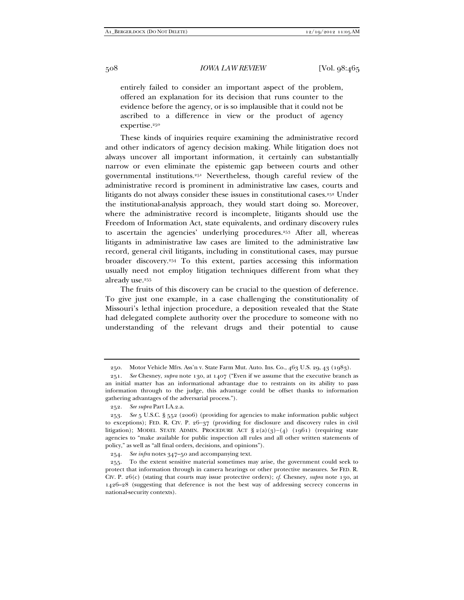entirely failed to consider an important aspect of the problem, offered an explanation for its decision that runs counter to the evidence before the agency, or is so implausible that it could not be ascribed to a difference in view or the product of agency expertise.<sup>250</sup>

These kinds of inquiries require examining the administrative record and other indicators of agency decision making. While litigation does not always uncover all important information, it certainly can substantially narrow or even eliminate the epistemic gap between courts and other governmental institutions.251 Nevertheless, though careful review of the administrative record is prominent in administrative law cases, courts and litigants do not always consider these issues in constitutional cases.252 Under the institutional-analysis approach, they would start doing so. Moreover, where the administrative record is incomplete, litigants should use the Freedom of Information Act, state equivalents, and ordinary discovery rules to ascertain the agencies' underlying procedures.253 After all, whereas litigants in administrative law cases are limited to the administrative law record, general civil litigants, including in constitutional cases, may pursue broader discovery.254 To this extent, parties accessing this information usually need not employ litigation techniques different from what they already use.255

The fruits of this discovery can be crucial to the question of deference. To give just one example, in a case challenging the constitutionality of Missouri's lethal injection procedure, a deposition revealed that the State had delegated complete authority over the procedure to someone with no understanding of the relevant drugs and their potential to cause

 <sup>250.</sup> Motor Vehicle Mfrs. Ass'n v. State Farm Mut. Auto. Ins. Co., 463 U.S. 29, 43 (1983).

 <sup>251.</sup> *See* Chesney, *supra* note 130, at 1407 ("Even if we assume that the executive branch as an initial matter has an informational advantage due to restraints on its ability to pass information through to the judge, this advantage could be offset thanks to information gathering advantages of the adversarial process.").

 <sup>252.</sup> *See supra* Part I.A.2.a.

 <sup>253.</sup> *See* 5 U.S.C. § 552 (2006) (providing for agencies to make information public subject to exceptions); FED. R. CIV. P.  $26-37$  (providing for disclosure and discovery rules in civil litigation); MODEL STATE ADMIN. PROCEDURE ACT  $\S 2(a)(3)-(4)(1961)$  (requiring state agencies to "make available for public inspection all rules and all other written statements of policy," as well as "all final orders, decisions, and opinions").

 <sup>254.</sup> *See infra* notes 347–50 and accompanying text.

 <sup>255.</sup> To the extent sensitive material sometimes may arise, the government could seek to protect that information through in camera hearings or other protective measures. *See* FED. R. CIV. P. 26(c) (stating that courts may issue protective orders); *cf.* Chesney, *supra* note 130, at 1426–28 (suggesting that deference is not the best way of addressing secrecy concerns in national-security contexts).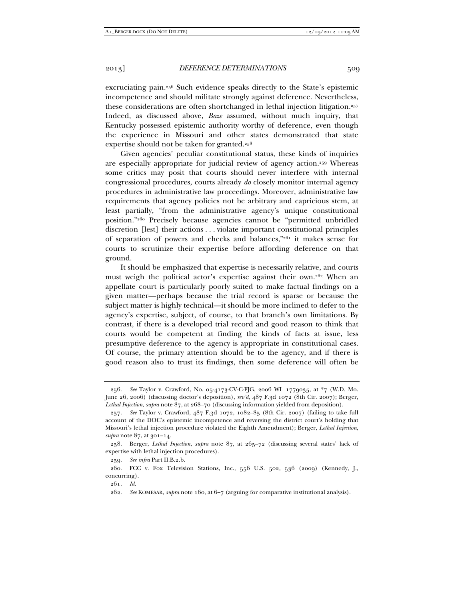excruciating pain.256 Such evidence speaks directly to the State's epistemic incompetence and should militate strongly against deference. Nevertheless, these considerations are often shortchanged in lethal injection litigation.257 Indeed, as discussed above, *Baze* assumed, without much inquiry, that Kentucky possessed epistemic authority worthy of deference, even though the experience in Missouri and other states demonstrated that state expertise should not be taken for granted.258

Given agencies' peculiar constitutional status, these kinds of inquiries are especially appropriate for judicial review of agency action.259 Whereas some critics may posit that courts should never interfere with internal congressional procedures, courts already *do* closely monitor internal agency procedures in administrative law proceedings. Moreover, administrative law requirements that agency policies not be arbitrary and capricious stem, at least partially, "from the administrative agency's unique constitutional position."260 Precisely because agencies cannot be "permitted unbridled discretion [lest] their actions . . . violate important constitutional principles of separation of powers and checks and balances,"261 it makes sense for courts to scrutinize their expertise before affording deference on that ground.

It should be emphasized that expertise is necessarily relative, and courts must weigh the political actor's expertise against their own.262 When an appellate court is particularly poorly suited to make factual findings on a given matter—perhaps because the trial record is sparse or because the subject matter is highly technical—it should be more inclined to defer to the agency's expertise, subject, of course, to that branch's own limitations. By contrast, if there is a developed trial record and good reason to think that courts would be competent at finding the kinds of facts at issue, less presumptive deference to the agency is appropriate in constitutional cases. Of course, the primary attention should be to the agency, and if there is good reason also to trust its findings, then some deference will often be

261. *Id.*

 <sup>256.</sup> *See* Taylor v. Crawford, No. 05-4173-CV-C-FJG, 2006 WL 1779035, at \*7 (W.D. Mo. June 26, 2006) (discussing doctor's deposition), *rev'd*, 487 F.3d 1072 (8th Cir. 2007); Berger, *Lethal Injection*, *supra* note 87, at 268–70 (discussing information yielded from deposition).

 <sup>257.</sup> *See* Taylor v. Crawford, 487 F.3d 1072, 1082–85 (8th Cir. 2007) (failing to take full account of the DOC's epistemic incompetence and reversing the district court's holding that Missouri's lethal injection procedure violated the Eighth Amendment); Berger, *Lethal Injection*, *supra* note 87, at 301-14.

 <sup>258.</sup> Berger, *Lethal Injection*, *supra* note 87, at 265–72 (discussing several states' lack of expertise with lethal injection procedures).

 <sup>259.</sup> *See infra* Part II.B.2.b.

 <sup>260.</sup> FCC v. Fox Television Stations, Inc., 556 U.S. 502, 536 (2009) (Kennedy, J., concurring).

 <sup>262.</sup> *See* KOMESAR, *supra* note 160, at 6–7 (arguing for comparative institutional analysis).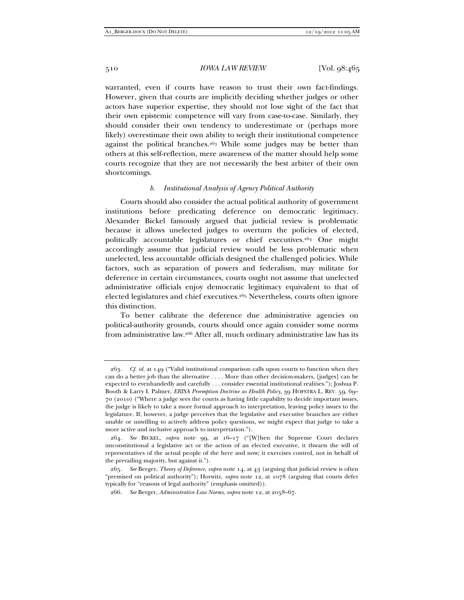warranted, even if courts have reason to trust their own fact-findings. However, given that courts are implicitly deciding whether judges or other actors have superior expertise, they should not lose sight of the fact that their own epistemic competence will vary from case-to-case. Similarly, they should consider their own tendency to underestimate or (perhaps more likely) overestimate their own ability to weigh their institutional competence against the political branches.<sup>263</sup> While some judges may be better than others at this self-reflection, mere awareness of the matter should help some courts recognize that they are not necessarily the best arbiter of their own shortcomings.

### *b. Institutional Analysis of Agency Political Authority*

Courts should also consider the actual political authority of government institutions before predicating deference on democratic legitimacy. Alexander Bickel famously argued that judicial review is problematic because it allows unelected judges to overturn the policies of elected, politically accountable legislatures or chief executives.264 One might accordingly assume that judicial review would be less problematic when unelected, less accountable officials designed the challenged policies. While factors, such as separation of powers and federalism, may militate for deference in certain circumstances, courts ought not assume that unelected administrative officials enjoy democratic legitimacy equivalent to that of elected legislatures and chief executives.265 Nevertheless, courts often ignore this distinction.

To better calibrate the deference due administrative agencies on political-authority grounds, courts should once again consider some norms from administrative law.266 After all, much ordinary administrative law has its

 <sup>263.</sup> *Cf. id.* at 149 ("Valid institutional comparison calls upon courts to function when they can do a better job than the alternative . . . . More than other decision-makers, [judges] can be expected to evenhandedly and carefully . . . consider essential institutional realities."); Joshua P. Booth & Larry I. Palmer, *ERISA Preemption Doctrine as Health Policy*, 39 HOFSTRA L. REV. 59, 69– 70 (2010) ("Where a judge sees the courts as having little capability to decide important issues, the judge is likely to take a more formal approach to interpretation, leaving policy issues to the legislature. If, however, a judge perceives that the legislative and executive branches are either unable or unwilling to actively address policy questions, we might expect that judge to take a more active and inclusive approach to interpretation.").

 <sup>264.</sup> *See* BICKEL, *supra* note 99, at 16–17 ("[W]hen the Supreme Court declares unconstitutional a legislative act or the action of an elected executive, it thwarts the will of representatives of the actual people of the here and now; it exercises control, not in behalf of the prevailing majority, but against it.").

 <sup>265.</sup> *See* Berger, *Theory of Deference*, *supra* note 14, at 43 (arguing that judicial review is often "premised on political authority"); Horwitz, *supra* note 12, at 1078 (arguing that courts defer typically for "reasons of legal authority" (emphasis omitted)).

 <sup>266.</sup> *See* Berger, *Administrative Law Norms*, *supra* note 12, at 2058–67.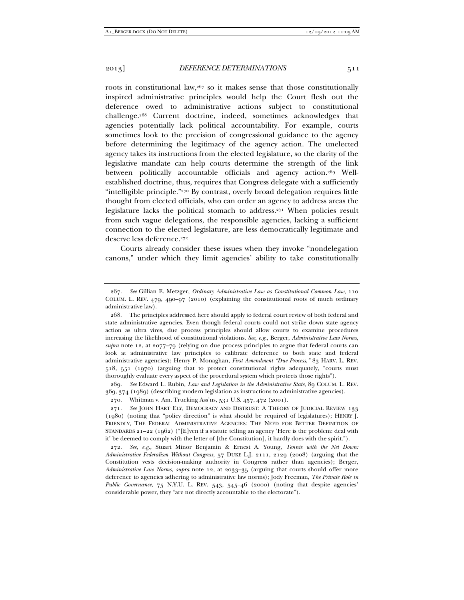roots in constitutional law, $267$  so it makes sense that those constitutionally inspired administrative principles would help the Court flesh out the deference owed to administrative actions subject to constitutional challenge.268 Current doctrine, indeed, sometimes acknowledges that agencies potentially lack political accountability. For example, courts sometimes look to the precision of congressional guidance to the agency before determining the legitimacy of the agency action. The unelected agency takes its instructions from the elected legislature, so the clarity of the legislative mandate can help courts determine the strength of the link between politically accountable officials and agency action.269 Wellestablished doctrine, thus, requires that Congress delegate with a sufficiently "intelligible principle."270 By contrast, overly broad delegation requires little thought from elected officials, who can order an agency to address areas the legislature lacks the political stomach to address.271 When policies result from such vague delegations, the responsible agencies, lacking a sufficient connection to the elected legislature, are less democratically legitimate and deserve less deference.<sup>272</sup>

Courts already consider these issues when they invoke "nondelegation canons," under which they limit agencies' ability to take constitutionally

 269. *See* Edward L. Rubin, *Law and Legislation in the Administrative State*, 89 COLUM. L. REV. 369, 374 (1989) (describing modern legislation as instructions to administrative agencies).

270. Whitman v. Am. Trucking Ass'ns, 531 U.S. 457, 472 (2001).

 271. *See* JOHN HART ELY, DEMOCRACY AND DISTRUST: A THEORY OF JUDICIAL REVIEW 133 (1980) (noting that "policy direction" is what should be required of legislatures); HENRY J. FRIENDLY, THE FEDERAL ADMINISTRATIVE AGENCIES: THE NEED FOR BETTER DEFINITION OF STANDARDS 21–22 (1962) ("[E]ven if a statute telling an agency 'Here is the problem: deal with it' be deemed to comply with the letter of [the Constitution], it hardly does with the spirit.").

 272. *See, e.g.*, Stuart Minor Benjamin & Ernest A. Young, *Tennis with the Net Down: Administrative Federalism Without Congress*, 57 DUKE L.J. 2111, 2129 (2008) (arguing that the Constitution vests decision-making authority in Congress rather than agencies); Berger, *Administrative Law Norms*, *supra* note 12, at 2033–35 (arguing that courts should offer more deference to agencies adhering to administrative law norms); Jody Freeman, *The Private Role in Public Governance*, 75 N.Y.U. L. REV. 543, 545–46 (2000) (noting that despite agencies' considerable power, they "are not directly accountable to the electorate").

 <sup>267.</sup> *See* Gillian E. Metzger, *Ordinary Administrative Law as Constitutional Common Law*, 110 COLUM. L. REV. 479, 490–97 (2010) (explaining the constitutional roots of much ordinary administrative law).

 <sup>268.</sup> The principles addressed here should apply to federal court review of both federal and state administrative agencies. Even though federal courts could not strike down state agency action as ultra vires, due process principles should allow courts to examine procedures increasing the likelihood of constitutional violations. *See, e.g.*, Berger, *Administrative Law Norms*, *supra* note 12, at 2077–79 (relying on due process principles to argue that federal courts can look at administrative law principles to calibrate deference to both state and federal administrative agencies); Henry P. Monaghan, *First Amendment "Due Process*,*"* 83 HARV. L. REV. 518, 551 (1970) (arguing that to protect constitutional rights adequately, "courts must thoroughly evaluate every aspect of the procedural system which protects those rights").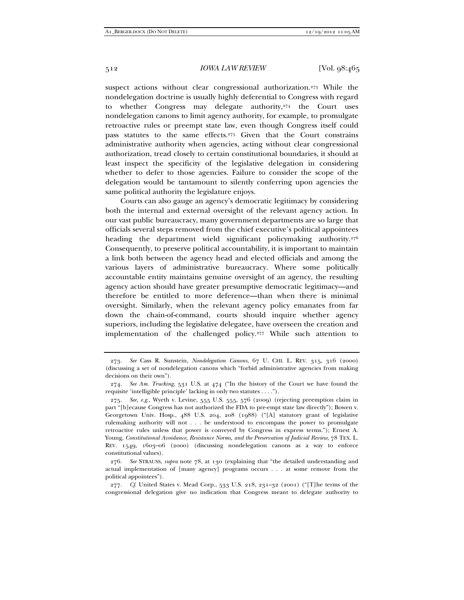suspect actions without clear congressional authorization.<sup>273</sup> While the nondelegation doctrine is usually highly deferential to Congress with regard to whether Congress may delegate authority,<sup>274</sup> the Court uses nondelegation canons to limit agency authority, for example, to promulgate retroactive rules or preempt state law, even though Congress itself could pass statutes to the same effects.275 Given that the Court constrains administrative authority when agencies, acting without clear congressional authorization, tread closely to certain constitutional boundaries, it should at least inspect the specificity of the legislative delegation in considering whether to defer to those agencies. Failure to consider the scope of the delegation would be tantamount to silently conferring upon agencies the same political authority the legislature enjoys.

Courts can also gauge an agency's democratic legitimacy by considering both the internal and external oversight of the relevant agency action. In our vast public bureaucracy, many government departments are so large that officials several steps removed from the chief executive's political appointees heading the department wield significant policymaking authority.<sup>276</sup> Consequently, to preserve political accountability, it is important to maintain a link both between the agency head and elected officials and among the various layers of administrative bureaucracy. Where some politically accountable entity maintains genuine oversight of an agency, the resulting agency action should have greater presumptive democratic legitimacy—and therefore be entitled to more deference—than when there is minimal oversight. Similarly, when the relevant agency policy emanates from far down the chain-of-command, courts should inquire whether agency superiors, including the legislative delegatee, have overseen the creation and implementation of the challenged policy.277 While such attention to

 <sup>273.</sup> *See* Cass R. Sunstein, *Nondelegation Canons*, 67 U. CHI. L. REV. 315, 316 (2000) (discussing a set of nondelegation canons which "forbid administrative agencies from making decisions on their own").

 <sup>274.</sup> *See Am. Trucking*, 531 U.S. at 474 ("In the history of the Court we have found the requisite 'intelligible principle' lacking in only two statutes . . . .").

 <sup>275.</sup> *See, e.g.*, Wyeth v. Levine, 555 U.S. 555, 576 (2009) (rejecting preemption claim in part "[b]ecause Congress has not authorized the FDA to pre-empt state law directly"); Bowen v. Georgetown Univ. Hosp., 488 U.S. 204, 208 (1988) ("[A] statutory grant of legislative rulemaking authority will not . . . be understood to encompass the power to promulgate retroactive rules unless that power is conveyed by Congress in express terms."); Ernest A. Young, *Constitutional Avoidance, Resistance Norms, and the Preservation of Judicial Review*, 78 TEX. L. REV. 1549, 1603–06 (2000) (discussing nondelegation canons as a way to enforce constitutional values).

 <sup>276.</sup> *See* STRAUSS, *supra* note 78, at 130 (explaining that "the detailed understanding and actual implementation of [many agency] programs occurs . . . at some remove from the political appointees").

 <sup>277.</sup> *Cf*. United States v. Mead Corp., 533 U.S. 218, 231–32 (2001) ("[T]he terms of the congressional delegation give no indication that Congress meant to delegate authority to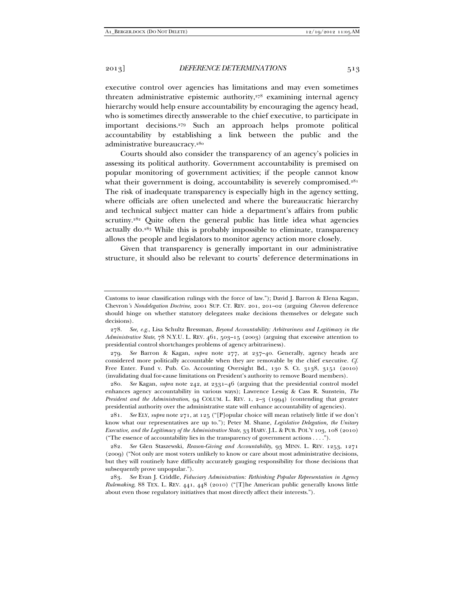executive control over agencies has limitations and may even sometimes threaten administrative epistemic authority, $278$  examining internal agency hierarchy would help ensure accountability by encouraging the agency head, who is sometimes directly answerable to the chief executive, to participate in important decisions.279 Such an approach helps promote political accountability by establishing a link between the public and the administrative bureaucracy.<sup>280</sup>

Courts should also consider the transparency of an agency's policies in assessing its political authority. Government accountability is premised on popular monitoring of government activities; if the people cannot know what their government is doing, accountability is severely compromised.<sup>281</sup> The risk of inadequate transparency is especially high in the agency setting, where officials are often unelected and where the bureaucratic hierarchy and technical subject matter can hide a department's affairs from public scrutiny.<sup>282</sup> Quite often the general public has little idea what agencies actually do.283 While this is probably impossible to eliminate, transparency allows the people and legislators to monitor agency action more closely.

Given that transparency is generally important in our administrative structure, it should also be relevant to courts' deference determinations in

 279. *See* Barron & Kagan, *supra* note 277, at 237–40. Generally, agency heads are considered more politically accountable when they are removable by the chief executive. *Cf.* Free Enter. Fund v. Pub. Co. Accounting Oversight Bd., 130 S. Ct. 3138, 3151 (2010) (invalidating dual for-cause limitations on President's authority to remove Board members).

 280. *See* Kagan, *supra* note 242, at 2331–46 (arguing that the presidential control model enhances agency accountability in various ways); Lawrence Lessig & Cass R. Sunstein, *The President and the Administration*, 94 COLUM. L. REV. 1, 2–3 (1994) (contending that greater presidential authority over the administrative state will enhance accountability of agencies).

 281. *See* ELY, *supra* note 271, at 125 ("[P]opular choice will mean relatively little if we don't know what our representatives are up to."); Peter M. Shane, *Legislative Delegation, the Unitary Executive, and the Legitimacy of the Administrative State*, 33 HARV. J.L. & PUB. POL'Y 103, 108 (2010) ("The essence of accountability lies in the transparency of government actions . . . .").

 282. *See* Glen Staszewski, *Reason-Giving and Accountability*, 93 MINN. L. REV. 1253, 1271 (2009) ("Not only are most voters unlikely to know or care about most administrative decisions, but they will routinely have difficulty accurately gauging responsibility for those decisions that subsequently prove unpopular.").

 283. *See* Evan J. Criddle, *Fiduciary Administration: Rethinking Popular Representation in Agency Rulemaking*, 88 TEX. L. REV. 441, 448 (2010) ("[T]he American public generally knows little about even those regulatory initiatives that most directly affect their interests.").

Customs to issue classification rulings with the force of law."); David J. Barron & Elena Kagan, Chevron*'s Nondelegation Doctrine*, 2001 SUP. CT. REV. 201, 201–02 (arguing *Chevron* deference should hinge on whether statutory delegatees make decisions themselves or delegate such decisions).

 <sup>278.</sup> *See, e.g.*, Lisa Schultz Bressman, *Beyond Accountability: Arbitrariness and Legitimacy in the Administrative State*, 78 N.Y.U. L. REV. 461, 503–15 (2003) (arguing that excessive attention to presidential control shortchanges problems of agency arbitrariness).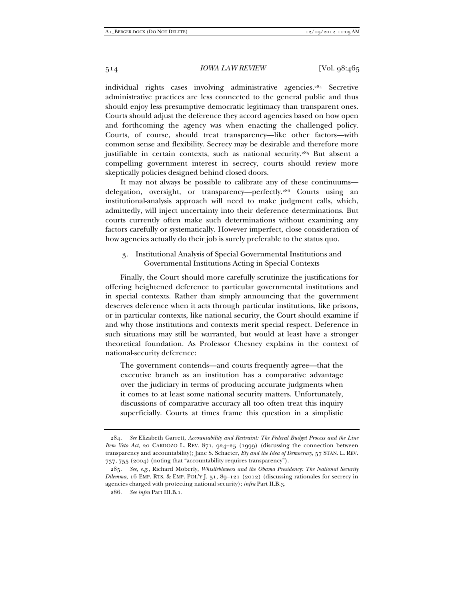individual rights cases involving administrative agencies.284 Secretive administrative practices are less connected to the general public and thus should enjoy less presumptive democratic legitimacy than transparent ones. Courts should adjust the deference they accord agencies based on how open and forthcoming the agency was when enacting the challenged policy. Courts, of course, should treat transparency—like other factors—with common sense and flexibility. Secrecy may be desirable and therefore more justifiable in certain contexts, such as national security.<sup>285</sup> But absent a compelling government interest in secrecy, courts should review more skeptically policies designed behind closed doors.

It may not always be possible to calibrate any of these continuums delegation, oversight, or transparency—perfectly.286 Courts using an institutional-analysis approach will need to make judgment calls, which, admittedly, will inject uncertainty into their deference determinations. But courts currently often make such determinations without examining any factors carefully or systematically. However imperfect, close consideration of how agencies actually do their job is surely preferable to the status quo.

# 3. Institutional Analysis of Special Governmental Institutions and Governmental Institutions Acting in Special Contexts

Finally, the Court should more carefully scrutinize the justifications for offering heightened deference to particular governmental institutions and in special contexts. Rather than simply announcing that the government deserves deference when it acts through particular institutions, like prisons, or in particular contexts, like national security, the Court should examine if and why those institutions and contexts merit special respect. Deference in such situations may still be warranted, but would at least have a stronger theoretical foundation. As Professor Chesney explains in the context of national-security deference:

The government contends—and courts frequently agree—that the executive branch as an institution has a comparative advantage over the judiciary in terms of producing accurate judgments when it comes to at least some national security matters. Unfortunately, discussions of comparative accuracy all too often treat this inquiry superficially. Courts at times frame this question in a simplistic

 <sup>284.</sup> *See* Elizabeth Garrett, *Accountability and Restraint: The Federal Budget Process and the Line Item Veto Act*, 20 CARDOZO L. REV. 871, 924–25 (1999) (discussing the connection between transparency and accountability); Jane S. Schacter, *Ely and the Idea of Democracy*, 57 STAN. L. REV. 737, 755 (2004) (noting that "accountability requires transparency").

 <sup>285.</sup> *See, e.g.*, Richard Moberly, *Whistleblowers and the Obama Presidency: The National Security Dilemma*, 16 EMP. RTS. & EMP. POL'Y J. 51, 89–121 (2012) (discussing rationales for secrecy in agencies charged with protecting national security); *infra* Part II.B.3.

 <sup>286.</sup> *See infra* Part III.B.1.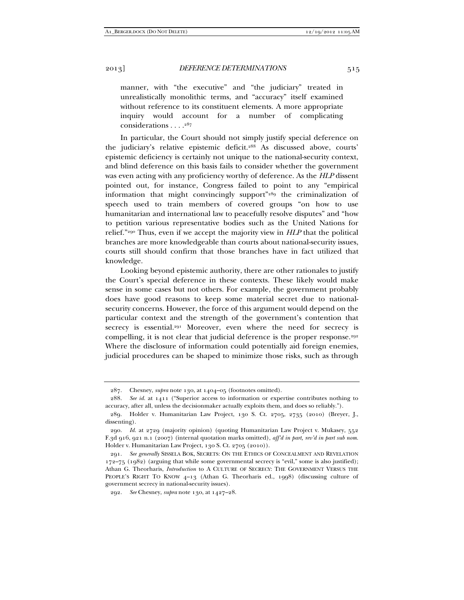manner, with "the executive" and "the judiciary" treated in unrealistically monolithic terms, and "accuracy" itself examined without reference to its constituent elements. A more appropriate inquiry would account for a number of complicating considerations . . . .287

In particular, the Court should not simply justify special deference on the judiciary's relative epistemic deficit.288 As discussed above, courts' epistemic deficiency is certainly not unique to the national-security context, and blind deference on this basis fails to consider whether the government was even acting with any proficiency worthy of deference. As the *HLP* dissent pointed out, for instance, Congress failed to point to any "empirical information that might convincingly support"289 the criminalization of speech used to train members of covered groups "on how to use humanitarian and international law to peacefully resolve disputes" and "how to petition various representative bodies such as the United Nations for relief."290 Thus, even if we accept the majority view in *HLP* that the political branches are more knowledgeable than courts about national-security issues, courts still should confirm that those branches have in fact utilized that knowledge.

Looking beyond epistemic authority, there are other rationales to justify the Court's special deference in these contexts. These likely would make sense in some cases but not others. For example, the government probably does have good reasons to keep some material secret due to nationalsecurity concerns. However, the force of this argument would depend on the particular context and the strength of the government's contention that secrecy is essential.<sup>291</sup> Moreover, even where the need for secrecy is compelling, it is not clear that judicial deference is the proper response.<sup>292</sup> Where the disclosure of information could potentially aid foreign enemies, judicial procedures can be shaped to minimize those risks, such as through

 <sup>287.</sup> Chesney, *supra* note 130, at 1404–05 (footnotes omitted).

 <sup>288.</sup> *See id.* at 1411 ("Superior access to information or expertise contributes nothing to accuracy, after all, unless the decisionmaker actually exploits them, and does so reliably.").

<sup>289</sup>*.* Holder v. Humanitarian Law Project, 130 S. Ct. 2705, 2735 (2010) (Breyer, J., dissenting).

 <sup>290.</sup> *Id.* at 2729 (majority opinion) (quoting Humanitarian Law Project v. Mukasey, 552 F.3d 916, 921 n.1 (2007) (internal quotation marks omitted), *aff'd in part, rev'd in part sub nom.*  Holder v. Humanitarian Law Project, 130 S. Ct. 2705 (2010)).

 <sup>291.</sup> *See generally* SISSELA BOK, SECRETS: ON THE ETHICS OF CONCEALMENT AND REVELATION 172–75 (1982) (arguing that while some governmental secrecy is "evil," some is also justified); Athan G. Theorharis, *Introduction* to A CULTURE OF SECRECY: THE GOVERNMENT VERSUS THE PEOPLE'S RIGHT TO KNOW 4–13 (Athan G. Theorharis ed., 1998) (discussing culture of government secrecy in national-security issues).

 <sup>292.</sup> *See* Chesney, *supra* note 130, at 1427–28.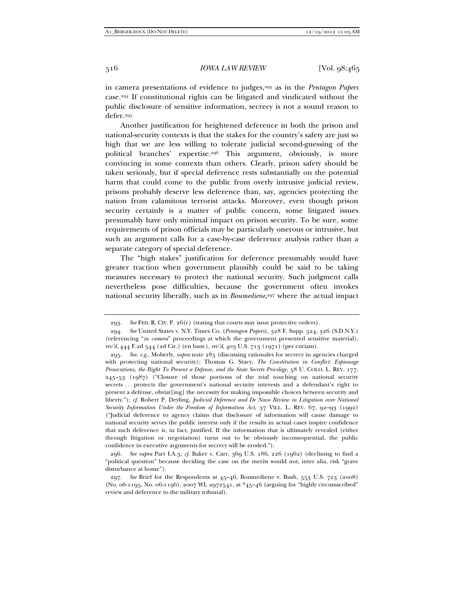in camera presentations of evidence to judges,293 as in the *Pentagon Papers*  case.294 If constitutional rights can be litigated and vindicated without the public disclosure of sensitive information, secrecy is not a sound reason to defer.295

Another justification for heightened deference in both the prison and national-security contexts is that the stakes for the country's safety are just so high that we are less willing to tolerate judicial second-guessing of the political branches' expertise.296 This argument, obviously, is more convincing in some contexts than others. Clearly, prison safety should be taken seriously, but if special deference rests substantially on the potential harm that could come to the public from overly intrusive judicial review, prisons probably deserve less deference than, say, agencies protecting the nation from calamitous terrorist attacks. Moreover, even though prison security certainly is a matter of public concern, some litigated issues presumably have only minimal impact on prison security. To be sure, some requirements of prison officials may be particularly onerous or intrusive, but such an argument calls for a case-by-case deference analysis rather than a separate category of special deference.

The "high stakes" justification for deference presumably would have greater traction when government plausibly could be said to be taking measures necessary to protect the national security. Such judgment calls nevertheless pose difficulties, because the government often invokes national security liberally, such as in *Boumediene*,<sup>297</sup> where the actual impact

 296. *See supra* Part I.A.3; *cf.* Baker v. Carr, 369 U.S. 186, 226 (1962) (declining to find a "political question" because deciding the case on the merits would not, inter alia, risk "grave disturbance at home").

 <sup>293.</sup> *See* FED. R. CIV. P. 26(c) (stating that courts may issue protective orders).

 <sup>294.</sup> *See* United States v. N.Y. Times Co. (*Pentagon Papers*), 328 F. Supp. 324, 326 (S.D.N.Y.) (referencing "*in camera*" proceedings at which the government presented sensitive material), *rev'd*, 444 F.2d 544 (2d Cir.) (en banc), *rev'd*, 403 U.S. 713 (1971) (per curiam).

 <sup>295.</sup> *See, e.g.*, Moberly, *supra* note 285 (discussing rationales for secrecy in agencies charged with protecting national security); Thomas G. Stacy, *The Constitution in Conflict: Espionage Prosecutions, the Right To Present a Defense, and the State Secrets Privilege*, 58 U. COLO. L. REV. 177, 245–53 (1987) ("Closure of those portions of the trial touching on national security secrets . . . protects the government's national security interests and a defendant's right to present a defense, obviat[ing] the necessity for making impossible choices between security and liberty."); *cf.* Robert P. Deyling, *Judicial Deference and De Novo Review in Litigation over National Security Information Under the Freedom of Information Act*, 37 VILL. L. REV. 67, 92–93 (1992) ("Judicial deference to agency claims that disclosure of information will cause damage to national security serves the public interest only if the results in actual cases inspire confidence that such deference is, in fact, justified. If the information that is ultimately revealed (either through litigation or negotiation) turns out to be obviously inconsequential, the public confidence in executive arguments for secrecy will be eroded.").

 <sup>297.</sup> *See* Brief for the Respondents at 45–46, Boumediene v. Bush, 553 U.S. 723 (2008) (No. 06-1195, No. 06-1196), 2007 WL 2972541, at \*45–46 (arguing for "highly circumscribed" review and deference to the military tribunal).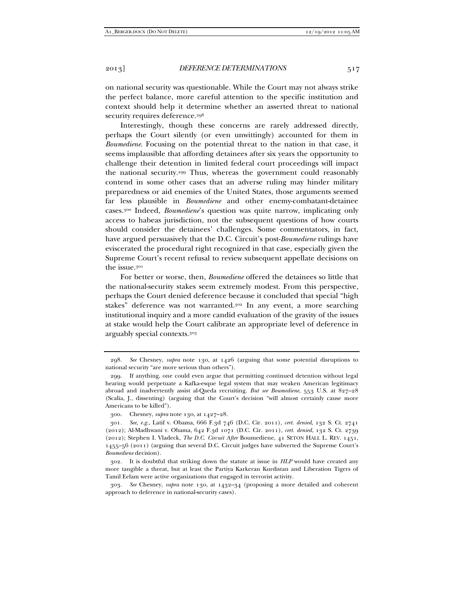on national security was questionable. While the Court may not always strike the perfect balance, more careful attention to the specific institution and context should help it determine whether an asserted threat to national security requires deference.<sup>298</sup>

Interestingly, though these concerns are rarely addressed directly, perhaps the Court silently (or even unwittingly) accounted for them in *Boumediene*. Focusing on the potential threat to the nation in that case, it seems implausible that affording detainees after six years the opportunity to challenge their detention in limited federal court proceedings will impact the national security.299 Thus, whereas the government could reasonably contend in some other cases that an adverse ruling may hinder military preparedness or aid enemies of the United States, those arguments seemed far less plausible in *Boumediene* and other enemy-combatant-detainee cases.300 Indeed, *Boumediene*'s question was quite narrow, implicating only access to habeas jurisdiction, not the subsequent questions of how courts should consider the detainees' challenges. Some commentators, in fact, have argued persuasively that the D.C. Circuit's post-*Boumediene* rulings have eviscerated the procedural right recognized in that case, especially given the Supreme Court's recent refusal to review subsequent appellate decisions on the issue.301

For better or worse, then, *Boumediene* offered the detainees so little that the national-security stakes seem extremely modest. From this perspective, perhaps the Court denied deference because it concluded that special "high stakes" deference was not warranted.<sup>302</sup> In any event, a more searching institutional inquiry and a more candid evaluation of the gravity of the issues at stake would help the Court calibrate an appropriate level of deference in arguably special contexts.303

 <sup>298.</sup> *See* Chesney, *supra* note 130, at 1426 (arguing that some potential disruptions to national security "are more serious than others").

 <sup>299.</sup> If anything, one could even argue that permitting continued detention without legal hearing would perpetuate a Kafka-esque legal system that may weaken American legitimacy abroad and inadvertently assist al-Qaeda recruiting. *But see Boumediene*, 553 U.S. at 827–28 (Scalia, J., dissenting) (arguing that the Court's decision "will almost certainly cause more Americans to be killed").

 <sup>300.</sup> Chesney, *supra* note 130, at 1427–28.

<sup>301</sup>*. See, e.g.*, Latif v. Obama, 666 F.3d 746 (D.C. Cir. 2011), *cert. denied*, 132 S. Ct. 2741 (2012); Al-Madhwani v. Obama, 642 F.3d 1071 (D.C. Cir. 2011), *cert. denied*, 132 S. Ct. 2739 (2012); Stephen I. Vladeck, *The D.C. Circuit After* Boumediene, 41 SETON HALL L. REV. 1451, 1455–56 (2011) (arguing that several D.C. Circuit judges have subverted the Supreme Court's *Boumediene* decision).

 <sup>302.</sup> It is doubtful that striking down the statute at issue in *HLP* would have created any more tangible a threat, but at least the Partiya Karkeran Kurdistan and Liberation Tigers of Tamil Eelam were active organizations that engaged in terrorist activity.

 <sup>303.</sup> *See* Chesney, *supra* note 130, at 1432–34 (proposing a more detailed and coherent approach to deference in national-security cases).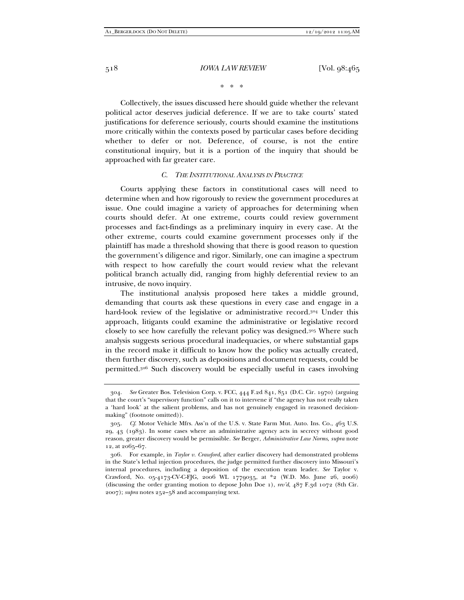\* \* \*

Collectively, the issues discussed here should guide whether the relevant political actor deserves judicial deference. If we are to take courts' stated justifications for deference seriously, courts should examine the institutions more critically within the contexts posed by particular cases before deciding whether to defer or not. Deference, of course, is not the entire constitutional inquiry, but it is a portion of the inquiry that should be approached with far greater care.

#### *C. THE INSTITUTIONAL ANALYSIS IN PRACTICE*

Courts applying these factors in constitutional cases will need to determine when and how rigorously to review the government procedures at issue. One could imagine a variety of approaches for determining when courts should defer. At one extreme, courts could review government processes and fact-findings as a preliminary inquiry in every case. At the other extreme, courts could examine government processes only if the plaintiff has made a threshold showing that there is good reason to question the government's diligence and rigor. Similarly, one can imagine a spectrum with respect to how carefully the court would review what the relevant political branch actually did, ranging from highly deferential review to an intrusive, de novo inquiry.

The institutional analysis proposed here takes a middle ground, demanding that courts ask these questions in every case and engage in a hard-look review of the legislative or administrative record.304 Under this approach, litigants could examine the administrative or legislative record closely to see how carefully the relevant policy was designed.305 Where such analysis suggests serious procedural inadequacies, or where substantial gaps in the record make it difficult to know how the policy was actually created, then further discovery, such as depositions and document requests, could be permitted.306 Such discovery would be especially useful in cases involving

 <sup>304.</sup> *See* Greater Bos. Television Corp. v. FCC, 444 F.2d 841, 851 (D.C. Cir. 1970) (arguing that the court's "supervisory function" calls on it to intervene if "the agency has not really taken a 'hard look' at the salient problems, and has not genuinely engaged in reasoned decisionmaking" (footnote omitted)).

 <sup>305.</sup> *Cf*. Motor Vehicle Mfrs. Ass'n of the U.S. v. State Farm Mut. Auto. Ins. Co., 463 U.S. 29, 43 (1983). In some cases where an administrative agency acts in secrecy without good reason, greater discovery would be permissible. *See* Berger, *Administrative Law Norms*, *supra* note 12, at 2065–67.

 <sup>306.</sup> For example, in *Taylor v. Crawford*, after earlier discovery had demonstrated problems in the State's lethal injection procedures, the judge permitted further discovery into Missouri's internal procedures, including a deposition of the execution team leader. *See* Taylor v. Crawford, No. 05-4173-CV-C-FJG, 2006 WL 1779035, at \*2 (W.D. Mo. June 26, 2006) (discussing the order granting motion to depose John Doe 1), *rev'd*, 487 F.3d 1072 (8th Cir. 2007); *supra* notes 252–58 and accompanying text.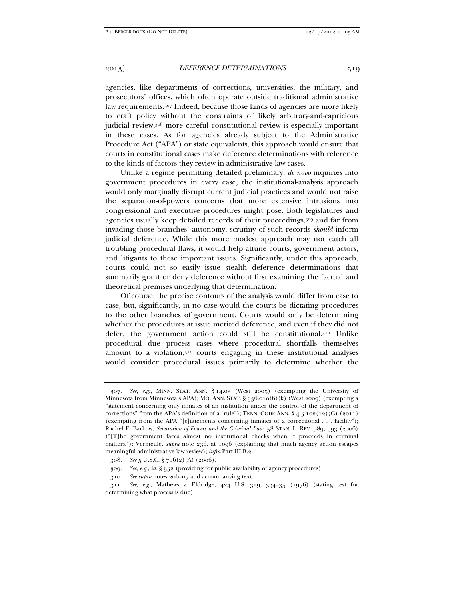agencies, like departments of corrections, universities, the military, and prosecutors' offices, which often operate outside traditional administrative law requirements.307 Indeed, because those kinds of agencies are more likely to craft policy without the constraints of likely arbitrary-and-capricious judicial review,<sup>308</sup> more careful constitutional review is especially important in these cases. As for agencies already subject to the Administrative Procedure Act ("APA") or state equivalents, this approach would ensure that courts in constitutional cases make deference determinations with reference to the kinds of factors they review in administrative law cases.

Unlike a regime permitting detailed preliminary, *de novo* inquiries into government procedures in every case, the institutional-analysis approach would only marginally disrupt current judicial practices and would not raise the separation-of-powers concerns that more extensive intrusions into congressional and executive procedures might pose. Both legislatures and agencies usually keep detailed records of their proceedings,309 and far from invading those branches' autonomy, scrutiny of such records *should* inform judicial deference. While this more modest approach may not catch all troubling procedural flaws, it would help attune courts, government actors, and litigants to these important issues. Significantly, under this approach, courts could not so easily issue stealth deference determinations that summarily grant or deny deference without first examining the factual and theoretical premises underlying that determination.

Of course, the precise contours of the analysis would differ from case to case, but, significantly, in no case would the courts be dictating procedures to the other branches of government. Courts would only be determining whether the procedures at issue merited deference, and even if they did not defer, the government action could still be constitutional.310 Unlike procedural due process cases where procedural shortfalls themselves amount to a violation, $311$  courts engaging in these institutional analyses would consider procedural issues primarily to determine whether the

 <sup>307.</sup> *See, e.g.*, MINN. STAT. ANN. § 14.03 (West 2005) (exempting the University of Minnesota from Minnesota's APA); MO. ANN. STAT. § 536.010(6)(k) (West 2009) (exempting a "statement concerning only inmates of an institution under the control of the department of corrections" from the APA's definition of a "rule"); TENN. CODE ANN.  $\S$ 4-5-102(12)(G) (2011) (exempting from the APA "[s]tatements concerning inmates of a correctional . . . facility"); Rachel E. Barkow, *Separation of Powers and the Criminal Law*, 58 STAN. L. REV. 989, 993 (2006) ("[T]he government faces almost no institutional checks when it proceeds in criminal matters."); Vermeule, *supra* note 236, at 1096 (explaining that much agency action escapes meaningful administrative law review); *infra* Part III.B.2.

 <sup>308.</sup> *See* 5 U.S.C. § 706(2)(A) (2006).

 <sup>309.</sup> *See, e.g.*, *id.* § 552 (providing for public availability of agency procedures).

 <sup>310.</sup> *See supra* notes 206–07 and accompanying text.

 <sup>311.</sup> *See, e.g.*, Mathews v. Eldridge, 424 U.S. 319, 334–35 (1976) (stating test for determining what process is due).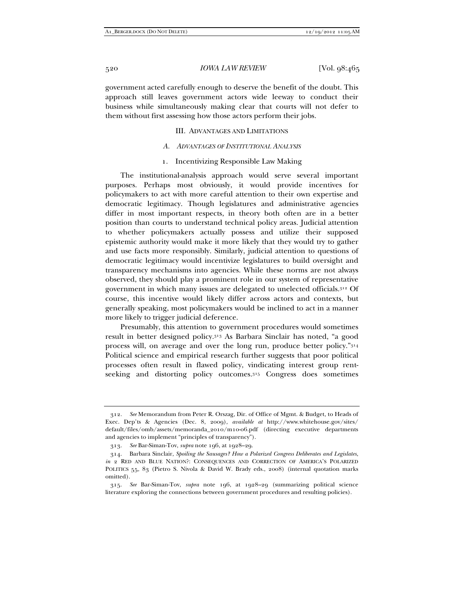government acted carefully enough to deserve the benefit of the doubt. This approach still leaves government actors wide leeway to conduct their business while simultaneously making clear that courts will not defer to them without first assessing how those actors perform their jobs.

#### III. ADVANTAGES AND LIMITATIONS

#### *A. ADVANTAGES OF INSTITUTIONAL ANALYSIS*

#### 1. Incentivizing Responsible Law Making

The institutional-analysis approach would serve several important purposes. Perhaps most obviously, it would provide incentives for policymakers to act with more careful attention to their own expertise and democratic legitimacy. Though legislatures and administrative agencies differ in most important respects, in theory both often are in a better position than courts to understand technical policy areas. Judicial attention to whether policymakers actually possess and utilize their supposed epistemic authority would make it more likely that they would try to gather and use facts more responsibly. Similarly, judicial attention to questions of democratic legitimacy would incentivize legislatures to build oversight and transparency mechanisms into agencies. While these norms are not always observed, they should play a prominent role in our system of representative government in which many issues are delegated to unelected officials.312 Of course, this incentive would likely differ across actors and contexts, but generally speaking, most policymakers would be inclined to act in a manner more likely to trigger judicial deference.

Presumably, this attention to government procedures would sometimes result in better designed policy.313 As Barbara Sinclair has noted, "a good process will, on average and over the long run, produce better policy."314 Political science and empirical research further suggests that poor political processes often result in flawed policy, vindicating interest group rentseeking and distorting policy outcomes.315 Congress does sometimes

 <sup>312.</sup> *See* Memorandum from Peter R. Orszag, Dir. of Office of Mgmt. & Budget, to Heads of Exec. Dep'ts & Agencies (Dec. 8, 2009), *available at* http://www.whitehouse.gov/sites/ default/files/omb/assets/memoranda\_2010/m10-06.pdf (directing executive departments and agencies to implement "principles of transparency").

 <sup>313.</sup> *See* Bar-Siman-Tov, *supra* note 196, at 1928–29.

 <sup>314.</sup> Barbara Sinclair, *Spoiling the Sausages? How a Polarized Congress Deliberates and Legislates*, *in* 2 RED AND BLUE NATION?: CONSEQUENCES AND CORRECTION OF AMERICA'S POLARIZED POLITICS 55, 83 (Pietro S. Nivola & David W. Brady eds., 2008) (internal quotation marks omitted).

 <sup>315.</sup> *See* Bar-Siman-Tov, *supra* note 196, at 1928–29 (summarizing political science literature exploring the connections between government procedures and resulting policies).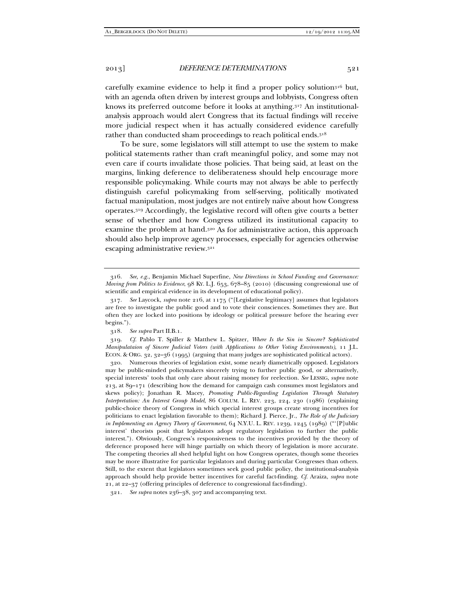rather than conducted sham proceedings to reach political ends.318 To be sure, some legislators will still attempt to use the system to make political statements rather than craft meaningful policy, and some may not even care if courts invalidate those policies. That being said, at least on the margins, linking deference to deliberateness should help encourage more responsible policymaking. While courts may not always be able to perfectly distinguish careful policymaking from self-serving, politically motivated factual manipulation, most judges are not entirely naïve about how Congress operates.319 Accordingly, the legislative record will often give courts a better sense of whether and how Congress utilized its institutional capacity to examine the problem at hand.320 As for administrative action, this approach should also help improve agency processes, especially for agencies otherwise escaping administrative review.321

 319. *Cf.* Pablo T. Spiller & Matthew L. Spitzer, *Where Is the Sin in Sincere? Sophisticated Manipulataion of Sincere Judicial Voters (with Applications to Other Voting Environments)*, 11 J.L. ECON. & ORG. 32, 32–36 (1995) (arguing that many judges are sophisticated political actors).

 320. Numerous theories of legislation exist, some nearly diametrically opposed. Legislators may be public-minded policymakers sincerely trying to further public good, or alternatively, special interests' tools that only care about raising money for reelection. *See* LESSIG, *supra* note 213, at 89–171 (describing how the demand for campaign cash consumes most legislators and skews policy); Jonathan R. Macey, *Promoting Public-Regarding Legislation Through Statutory Interpretation: An Interest Group Model*, 86 COLUM. L. REV. 223, 224, 230 (1986) (explaining public-choice theory of Congress in which special interest groups create strong incentives for politicians to enact legislation favorable to them); Richard J. Pierce, Jr., *The Role of the Judiciary in Implementing an Agency Theory of Government*, 64 N.Y.U. L. REV. 1239, 1245 (1989) ("'[P]ublic interest' theorists posit that legislators adopt regulatory legislation to further the public interest."). Obviously, Congress's responsiveness to the incentives provided by the theory of deference proposed here will hinge partially on which theory of legislation is more accurate. The competing theories all shed helpful light on how Congress operates, though some theories may be more illustrative for particular legislators and during particular Congresses than others. Still, to the extent that legislators sometimes seek good public policy, the institutional-analysis approach should help provide better incentives for careful fact-finding. *Cf.* Araiza, *supra* note 21, at 22–37 (offering principles of deference to congressional fact-finding).

321. *See supra* notes 236–38, 307 and accompanying text.

 <sup>316.</sup> *See, e.g.*, Benjamin Michael Superfine, *New Directions in School Funding and Governance: Moving from Politics to Evidence*, 98 KY. L.J. 653, 678–85 (2010) (discussing congressional use of scientific and empirical evidence in its development of educational policy).

 <sup>317.</sup> *See* Laycock, *supra* note 216, at 1175 ("[Legislative legitimacy] assumes that legislators are free to investigate the public good and to vote their consciences. Sometimes they are. But often they are locked into positions by ideology or political pressure before the hearing ever begins.").

 <sup>318.</sup> *See supra* Part II.B.1.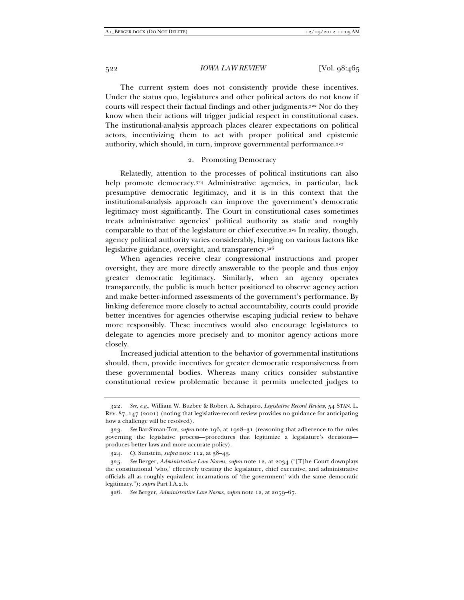The current system does not consistently provide these incentives. Under the status quo, legislatures and other political actors do not know if courts will respect their factual findings and other judgments.322 Nor do they know when their actions will trigger judicial respect in constitutional cases. The institutional-analysis approach places clearer expectations on political actors, incentivizing them to act with proper political and epistemic authority, which should, in turn, improve governmental performance.323

### 2. Promoting Democracy

Relatedly, attention to the processes of political institutions can also help promote democracy.<sup>324</sup> Administrative agencies, in particular, lack presumptive democratic legitimacy, and it is in this context that the institutional-analysis approach can improve the government's democratic legitimacy most significantly. The Court in constitutional cases sometimes treats administrative agencies' political authority as static and roughly comparable to that of the legislature or chief executive.325 In reality, though, agency political authority varies considerably, hinging on various factors like legislative guidance, oversight, and transparency.326

When agencies receive clear congressional instructions and proper oversight, they are more directly answerable to the people and thus enjoy greater democratic legitimacy. Similarly, when an agency operates transparently, the public is much better positioned to observe agency action and make better-informed assessments of the government's performance. By linking deference more closely to actual accountability, courts could provide better incentives for agencies otherwise escaping judicial review to behave more responsibly. These incentives would also encourage legislatures to delegate to agencies more precisely and to monitor agency actions more closely.

Increased judicial attention to the behavior of governmental institutions should, then, provide incentives for greater democratic responsiveness from these governmental bodies. Whereas many critics consider substantive constitutional review problematic because it permits unelected judges to

 <sup>322.</sup> *See, e.g.*, William W. Buzbee & Robert A. Schapiro, *Legislative Record Review*, 54 STAN. L. REV. 87, 147 (2001) (noting that legislative-record review provides no guidance for anticipating how a challenge will be resolved).

 <sup>323.</sup> *See* Bar-Siman-Tov, *supra* note 196, at 1928–31 (reasoning that adherence to the rules governing the legislative process—procedures that legitimize a legislature's decisions produces better laws and more accurate policy).

 <sup>324.</sup> *Cf.* Sunstein, *supra* note 112, at 38–43.

 <sup>325.</sup> *See* Berger, *Administrative Law Norms*, *supra* note 12, at 2034 ("[T]he Court downplays the constitutional 'who,' effectively treating the legislature, chief executive, and administrative officials all as roughly equivalent incarnations of 'the government' with the same democratic legitimacy."); *supra* Part I.A.2.b.

 <sup>326.</sup> *See* Berger, *Administrative Law Norms*, *supra* note 12, at 2059–67.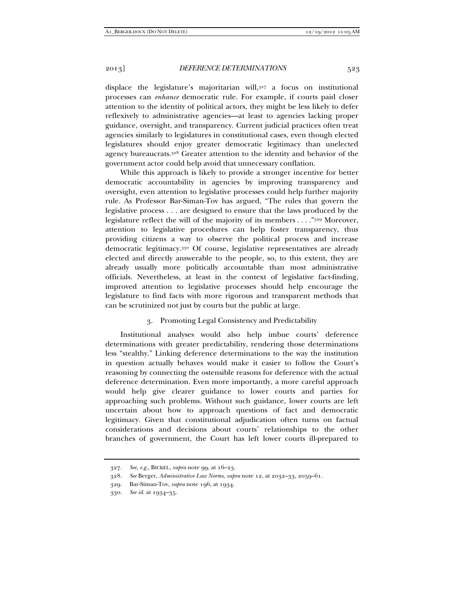displace the legislature's majoritarian will,327 a focus on institutional processes can *enhance* democratic rule. For example, if courts paid closer attention to the identity of political actors, they might be less likely to defer reflexively to administrative agencies—at least to agencies lacking proper guidance, oversight, and transparency. Current judicial practices often treat agencies similarly to legislatures in constitutional cases, even though elected legislatures should enjoy greater democratic legitimacy than unelected agency bureaucrats.328 Greater attention to the identity and behavior of the government actor could help avoid that unnecessary conflation.

While this approach is likely to provide a stronger incentive for better democratic accountability in agencies by improving transparency and oversight, even attention to legislative processes could help further majority rule. As Professor Bar-Siman-Tov has argued, "The rules that govern the legislative process . . . are designed to ensure that the laws produced by the legislature reflect the will of the majority of its members . . . ."329 Moreover, attention to legislative procedures can help foster transparency, thus providing citizens a way to observe the political process and increase democratic legitimacy.330 Of course, legislative representatives are already elected and directly answerable to the people, so, to this extent, they are already usually more politically accountable than most administrative officials. Nevertheless, at least in the context of legislative fact-finding, improved attention to legislative processes should help encourage the legislature to find facts with more rigorous and transparent methods that can be scrutinized not just by courts but the public at large.

# 3. Promoting Legal Consistency and Predictability

Institutional analyses would also help imbue courts' deference determinations with greater predictability, rendering those determinations less "stealthy." Linking deference determinations to the way the institution in question actually behaves would make it easier to follow the Court's reasoning by connecting the ostensible reasons for deference with the actual deference determination. Even more importantly, a more careful approach would help give clearer guidance to lower courts and parties for approaching such problems. Without such guidance, lower courts are left uncertain about how to approach questions of fact and democratic legitimacy. Given that constitutional adjudication often turns on factual considerations and decisions about courts' relationships to the other branches of government, the Court has left lower courts ill-prepared to

 <sup>327.</sup> *See, e.g.*, BICKEL, *supra* note 99, at 16–23.

 <sup>328.</sup> *See* Berger, *Administrative Law Norms*, *supra* note 12, at 2032–33, 2059–61.

 <sup>329.</sup> Bar-Siman-Tov, *supra* note 196, at 1934.

 <sup>330.</sup> *See id.* at 1934–35.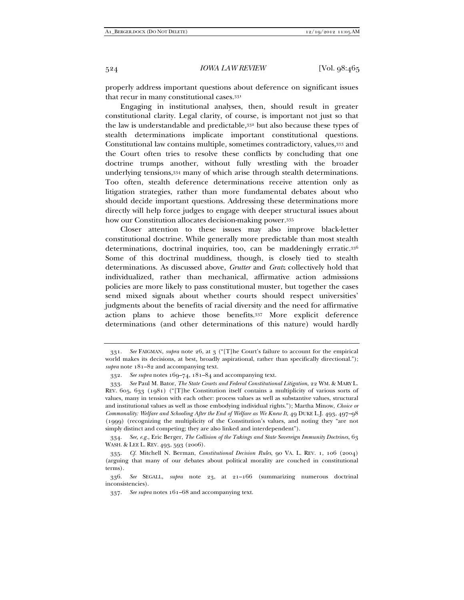properly address important questions about deference on significant issues that recur in many constitutional cases.331

Engaging in institutional analyses, then, should result in greater constitutional clarity. Legal clarity, of course, is important not just so that the law is understandable and predictable,332 but also because these types of stealth determinations implicate important constitutional questions. Constitutional law contains multiple, sometimes contradictory, values,333 and the Court often tries to resolve these conflicts by concluding that one doctrine trumps another, without fully wrestling with the broader underlying tensions,334 many of which arise through stealth determinations. Too often, stealth deference determinations receive attention only as litigation strategies, rather than more fundamental debates about who should decide important questions. Addressing these determinations more directly will help force judges to engage with deeper structural issues about how our Constitution allocates decision-making power.335

Closer attention to these issues may also improve black-letter constitutional doctrine. While generally more predictable than most stealth determinations, doctrinal inquiries, too, can be maddeningly erratic.336 Some of this doctrinal muddiness, though, is closely tied to stealth determinations. As discussed above, *Grutter* and *Gratz* collectively hold that individualized, rather than mechanical, affirmative action admissions policies are more likely to pass constitutional muster, but together the cases send mixed signals about whether courts should respect universities' judgments about the benefits of racial diversity and the need for affirmative action plans to achieve those benefits.337 More explicit deference determinations (and other determinations of this nature) would hardly

 <sup>331.</sup> *See* FAIGMAN, *supra* note 26, at 3 ("[T]he Court's failure to account for the empirical world makes its decisions, at best, broadly aspirational, rather than specifically directional."); *supra* note 181–82 and accompanying text.

 <sup>332.</sup> *See supra* notes 169–74, 181–84 and accompanying text.

 <sup>333.</sup> *See* Paul M. Bator, *The State Courts and Federal Constitutional Litigation*, 22 WM. & MARY L. REV. 605, 633 (1981) ("[T]he Constitution itself contains a multiplicity of various sorts of values, many in tension with each other: process values as well as substantive values, structural and institutional values as well as those embodying individual rights."); Martha Minow, *Choice or Commonality: Welfare and Schooling After the End of Welfare as We Knew It*, 49 DUKE L.J. 493, 497–98 (1999) (recognizing the multiplicity of the Constitution's values, and noting they "are not simply distinct and competing; they are also linked and interdependent").

 <sup>334.</sup> *See, e.g.*, Eric Berger, *The Collision of the Takings and State Sovereign Immunity Doctrines*, 63 WASH. & LEE L. REV. 493, 593 (2006).

 <sup>335.</sup> *Cf.* Mitchell N. Berman, *Constitutional Decision Rules*, 90 VA. L. REV. 1, 106 (2004) (arguing that many of our debates about political morality are couched in constitutional terms).

 <sup>336.</sup> *See* SEGALL, *supra* note 23, at 21–166 (summarizing numerous doctrinal inconsistencies).

 <sup>337.</sup> *See supra* notes 161–68 and accompanying text.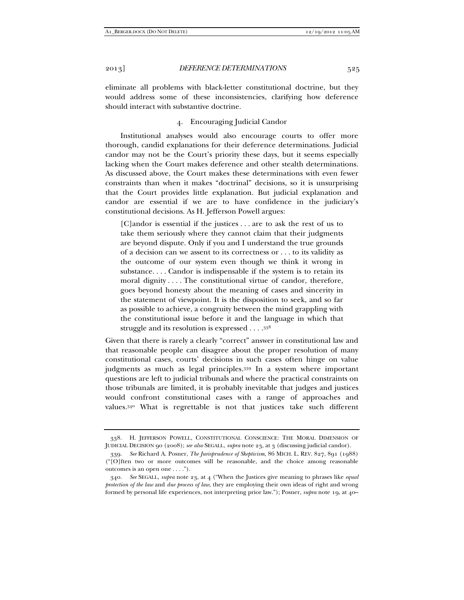eliminate all problems with black-letter constitutional doctrine, but they would address some of these inconsistencies, clarifying how deference should interact with substantive doctrine.

# 4. Encouraging Judicial Candor

Institutional analyses would also encourage courts to offer more thorough, candid explanations for their deference determinations. Judicial candor may not be the Court's priority these days, but it seems especially lacking when the Court makes deference and other stealth determinations. As discussed above, the Court makes these determinations with even fewer constraints than when it makes "doctrinal" decisions, so it is unsurprising that the Court provides little explanation. But judicial explanation and candor are essential if we are to have confidence in the judiciary's constitutional decisions. As H. Jefferson Powell argues:

[C]andor is essential if the justices . . . are to ask the rest of us to take them seriously where they cannot claim that their judgments are beyond dispute. Only if you and I understand the true grounds of a decision can we assent to its correctness or . . . to its validity as the outcome of our system even though we think it wrong in substance. . . . Candor is indispensable if the system is to retain its moral dignity . . . . The constitutional virtue of candor, therefore, goes beyond honesty about the meaning of cases and sincerity in the statement of viewpoint. It is the disposition to seek, and so far as possible to achieve, a congruity between the mind grappling with the constitutional issue before it and the language in which that struggle and its resolution is expressed . . . .338

Given that there is rarely a clearly "correct" answer in constitutional law and that reasonable people can disagree about the proper resolution of many constitutional cases, courts' decisions in such cases often hinge on value judgments as much as legal principles.339 In a system where important questions are left to judicial tribunals and where the practical constraints on those tribunals are limited, it is probably inevitable that judges and justices would confront constitutional cases with a range of approaches and values.340 What is regrettable is not that justices take such different

 <sup>338.</sup> H. JEFFERSON POWELL, CONSTITUTIONAL CONSCIENCE: THE MORAL DIMENSION OF JUDICIAL DECISION 90 (2008); *see also* SEGALL, *supra* note 23, at 3 (discussing judicial candor).

 <sup>339.</sup> *See* Richard A. Posner, *The Jurisprudence of Skepticism*, 86 MICH. L. REV. 827, 891 (1988) ("[O]ften two or more outcomes will be reasonable, and the choice among reasonable outcomes is an open one . . . .").

 <sup>340.</sup> *See* SEGALL, *supra* note 23, at 4 ("When the Justices give meaning to phrases like *equal protection of the law* and *due process of law*, they are employing their own ideas of right and wrong formed by personal life experiences, not interpreting prior law."); Posner, *supra* note 19, at 40–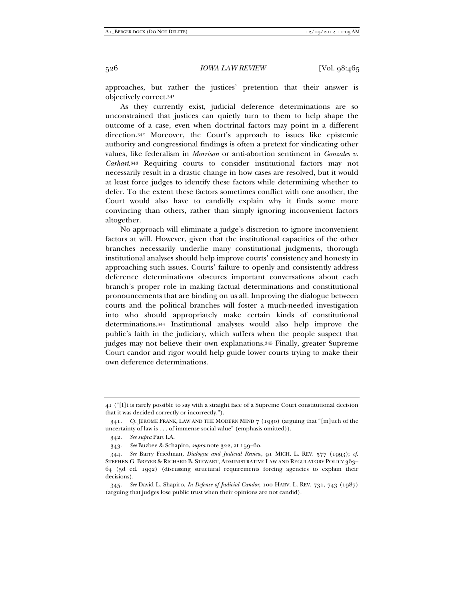approaches, but rather the justices' pretention that their answer is objectively correct.341

As they currently exist, judicial deference determinations are so unconstrained that justices can quietly turn to them to help shape the outcome of a case, even when doctrinal factors may point in a different direction.342 Moreover, the Court's approach to issues like epistemic authority and congressional findings is often a pretext for vindicating other values, like federalism in *Morrison* or anti-abortion sentiment in *Gonzales v. Carhart*.343 Requiring courts to consider institutional factors may not necessarily result in a drastic change in how cases are resolved, but it would at least force judges to identify these factors while determining whether to defer. To the extent these factors sometimes conflict with one another, the Court would also have to candidly explain why it finds some more convincing than others, rather than simply ignoring inconvenient factors altogether.

No approach will eliminate a judge's discretion to ignore inconvenient factors at will. However, given that the institutional capacities of the other branches necessarily underlie many constitutional judgments, thorough institutional analyses should help improve courts' consistency and honesty in approaching such issues. Courts' failure to openly and consistently address deference determinations obscures important conversations about each branch's proper role in making factual determinations and constitutional pronouncements that are binding on us all. Improving the dialogue between courts and the political branches will foster a much-needed investigation into who should appropriately make certain kinds of constitutional determinations.344 Institutional analyses would also help improve the public's faith in the judiciary, which suffers when the people suspect that judges may not believe their own explanations.345 Finally, greater Supreme Court candor and rigor would help guide lower courts trying to make their own deference determinations.

<sup>41 (&</sup>quot;[I]t is rarely possible to say with a straight face of a Supreme Court constitutional decision that it was decided correctly or incorrectly.").

 <sup>341.</sup> *Cf.* JEROME FRANK, LAW AND THE MODERN MIND 7 (1930) (arguing that "[m]uch of the uncertainty of law is . . . of immense social value" (emphasis omitted)).

 <sup>342.</sup> *See supra* Part I.A.

 <sup>343.</sup> *See* Buzbee & Schapiro, *supra* note 322, at 159–60.

 <sup>344.</sup> *See* Barry Friedman, *Dialogue and Judicial Review*, 91 MICH. L. REV. 577 (1993); *cf.* STEPHEN G. BREYER & RICHARD B. STEWART, ADMINISTRATIVE LAW AND REGULATORY POLICY 363– 64 (3d ed. 1992) (discussing structural requirements forcing agencies to explain their decisions).

 <sup>345.</sup> *See* David L. Shapiro, *In Defense of Judicial Candor*, 100 HARV. L. REV. 731, 743 (1987) (arguing that judges lose public trust when their opinions are not candid).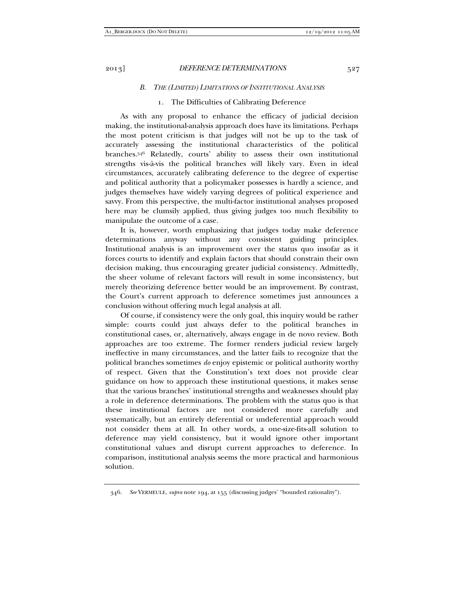#### *B. THE (LIMITED) LIMITATIONS OF INSTITUTIONAL ANALYSIS*

### 1. The Difficulties of Calibrating Deference

As with any proposal to enhance the efficacy of judicial decision making, the institutional-analysis approach does have its limitations. Perhaps the most potent criticism is that judges will not be up to the task of accurately assessing the institutional characteristics of the political branches.346 Relatedly, courts' ability to assess their own institutional strengths vis-à-vis the political branches will likely vary. Even in ideal circumstances, accurately calibrating deference to the degree of expertise and political authority that a policymaker possesses is hardly a science, and judges themselves have widely varying degrees of political experience and savvy. From this perspective, the multi-factor institutional analyses proposed here may be clumsily applied, thus giving judges too much flexibility to manipulate the outcome of a case.

It is, however, worth emphasizing that judges today make deference determinations anyway without any consistent guiding principles. Institutional analysis is an improvement over the status quo insofar as it forces courts to identify and explain factors that should constrain their own decision making, thus encouraging greater judicial consistency. Admittedly, the sheer volume of relevant factors will result in some inconsistency, but merely theorizing deference better would be an improvement. By contrast, the Court's current approach to deference sometimes just announces a conclusion without offering much legal analysis at all.

Of course, if consistency were the only goal, this inquiry would be rather simple: courts could just always defer to the political branches in constitutional cases, or, alternatively, always engage in de novo review. Both approaches are too extreme. The former renders judicial review largely ineffective in many circumstances, and the latter fails to recognize that the political branches sometimes *do* enjoy epistemic or political authority worthy of respect. Given that the Constitution's text does not provide clear guidance on how to approach these institutional questions, it makes sense that the various branches' institutional strengths and weaknesses should play a role in deference determinations. The problem with the status quo is that these institutional factors are not considered more carefully and systematically, but an entirely deferential or undeferential approach would not consider them at all. In other words, a one-size-fits-all solution to deference may yield consistency, but it would ignore other important constitutional values and disrupt current approaches to deference. In comparison, institutional analysis seems the more practical and harmonious solution.

 <sup>346.</sup> *See* VERMEULE, *supra* note 194, at 155 (discussing judges' "bounded rationality").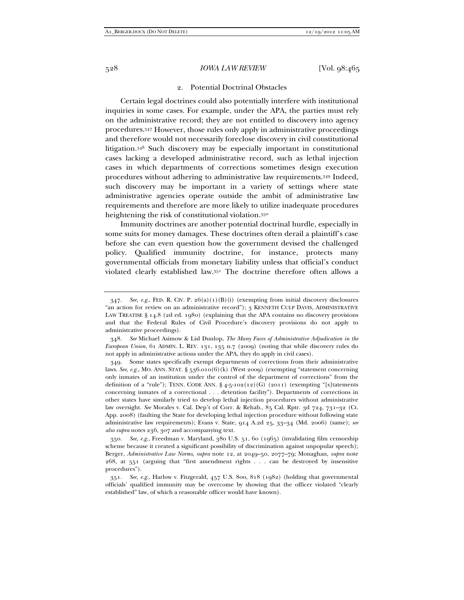#### 528 *IOWA LAW REVIEW* [Vol. 98:465

### 2. Potential Doctrinal Obstacles

Certain legal doctrines could also potentially interfere with institutional inquiries in some cases. For example, under the APA, the parties must rely on the administrative record; they are not entitled to discovery into agency procedures.347 However, those rules only apply in administrative proceedings and therefore would not necessarily foreclose discovery in civil constitutional litigation.348 Such discovery may be especially important in constitutional cases lacking a developed administrative record, such as lethal injection cases in which departments of corrections sometimes design execution procedures without adhering to administrative law requirements.349 Indeed, such discovery may be important in a variety of settings where state administrative agencies operate outside the ambit of administrative law requirements and therefore are more likely to utilize inadequate procedures heightening the risk of constitutional violation.350

Immunity doctrines are another potential doctrinal hurdle, especially in some suits for money damages. These doctrines often derail a plaintiff's case before she can even question how the government devised the challenged policy. Qualified immunity doctrine, for instance, protects many governmental officials from monetary liability unless that official's conduct violated clearly established law.351 The doctrine therefore often allows a

<sup>347.</sup> *See, e.g.*, FED. R. CIV. P. 26(a)(1)(B)(i) (exempting from initial discovery disclosures "an action for review on an administrative record"); 3 KENNETH CULP DAVIS, ADMINISTRATIVE LAW TREATISE § 14.8 (2d ed. 1980) (explaining that the APA contains no discovery provisions and that the Federal Rules of Civil Procedure's discovery provisions do not apply to administrative proceedings).

 <sup>348.</sup> *See* Michael Asimow & Lisl Dunlop, *The Many Faces of Administrative Adjudication in the European Union*, 61 ADMIN. L. REV. 131, 135 n.7 (2009) (noting that while discovery rules do not apply in administrative actions under the APA, they do apply in civil cases).

 <sup>349.</sup> Some states specifically exempt departments of corrections from their administrative laws. *See, e.g.*, MO. ANN. STAT. § 536.010(6)(k) (West 2009) (exempting "statement concerning only inmates of an institution under the control of the department of corrections" from the definition of a "rule"); TENN. CODE ANN. § 4-5-102(12)(G) (2011) (exempting "[s]tatements concerning inmates of a correctional . . . detention facility"). Departments of corrections in other states have similarly tried to develop lethal injection procedures without administrative law oversight. *See* Morales v. Cal. Dep't of Corr. & Rehab., 85 Cal. Rptr. 3d 724, 731–32 (Ct. App. 2008) (faulting the State for developing lethal injection procedure without following state administrative law requirements); Evans v. State, 914 A.2d 25, 33–34 (Md. 2006) (same); *see also supra* notes 236, 307 and accompanying text.

 <sup>350.</sup> *See, e.g.*, Freedman v. Maryland, 380 U.S. 51, 60 (1965) (invalidating film censorship scheme because it created a significant possibility of discrimination against unpopular speech); Berger, *Administrative Law Norms*, *supra* note 12, at 2049–50, 2077–79; Monaghan, *supra* note 268, at 551 (arguing that "first amendment rights . . . can be destroyed by insensitive procedures").

 <sup>351.</sup> *See, e.g.*, Harlow v. Fitzgerald, 457 U.S. 800, 818 (1982) (holding that governmental officials' qualified immunity may be overcome by showing that the officer violated "clearly established" law, of which a reasonable officer would have known).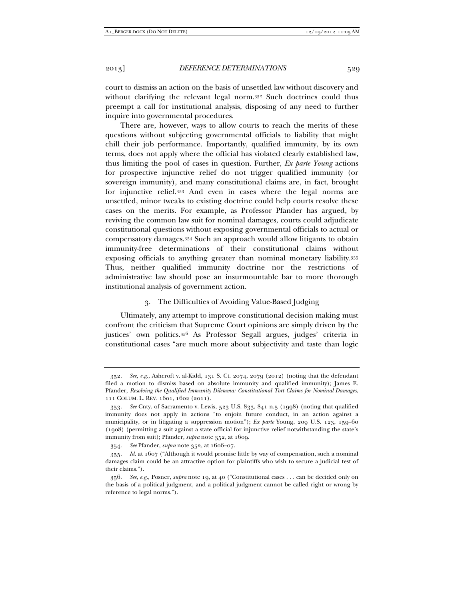court to dismiss an action on the basis of unsettled law without discovery and without clarifying the relevant legal norm.352 Such doctrines could thus preempt a call for institutional analysis, disposing of any need to further inquire into governmental procedures.

There are, however, ways to allow courts to reach the merits of these questions without subjecting governmental officials to liability that might chill their job performance. Importantly, qualified immunity, by its own terms, does not apply where the official has violated clearly established law, thus limiting the pool of cases in question. Further, *Ex parte Young* actions for prospective injunctive relief do not trigger qualified immunity (or sovereign immunity), and many constitutional claims are, in fact, brought for injunctive relief.353 And even in cases where the legal norms are unsettled, minor tweaks to existing doctrine could help courts resolve these cases on the merits. For example, as Professor Pfander has argued, by reviving the common law suit for nominal damages, courts could adjudicate constitutional questions without exposing governmental officials to actual or compensatory damages.354 Such an approach would allow litigants to obtain immunity-free determinations of their constitutional claims without exposing officials to anything greater than nominal monetary liability.355 Thus, neither qualified immunity doctrine nor the restrictions of administrative law should pose an insurmountable bar to more thorough institutional analysis of government action.

# 3. The Difficulties of Avoiding Value-Based Judging

Ultimately, any attempt to improve constitutional decision making must confront the criticism that Supreme Court opinions are simply driven by the justices' own politics.356 As Professor Segall argues, judges' criteria in constitutional cases "are much more about subjectivity and taste than logic

 <sup>352.</sup> *See, e.g.*, Ashcroft v. al-Kidd, 131 S. Ct. 2074, 2079 (2012) (noting that the defendant filed a motion to dismiss based on absolute immunity and qualified immunity); James E. Pfander, *Resolving the Qualified Immunity Dilemma: Constitutional Tort Claims for Nominal Damages*, 111 COLUM. L. REV. 1601, 1602 (2011).

 <sup>353.</sup> *See* Cnty. of Sacramento v. Lewis, 523 U.S. 833, 841 n.5 (1998) (noting that qualified immunity does not apply in actions "to enjoin future conduct, in an action against a municipality, or in litigating a suppression motion"); *Ex parte* Young, 209 U.S. 123, 159–60 (1908) (permitting a suit against a state official for injunctive relief notwithstanding the state's immunity from suit); Pfander, *supra* note 352, at 1609.

 <sup>354.</sup> *See* Pfander, *supra* note 352, at 1606–07.

 <sup>355.</sup> *Id.* at 1607 ("Although it would promise little by way of compensation, such a nominal damages claim could be an attractive option for plaintiffs who wish to secure a judicial test of their claims.").

 <sup>356.</sup> *See, e.g.*, Posner, *supra* note 19, at 40 ("Constitutional cases . . . can be decided only on the basis of a political judgment, and a political judgment cannot be called right or wrong by reference to legal norms.").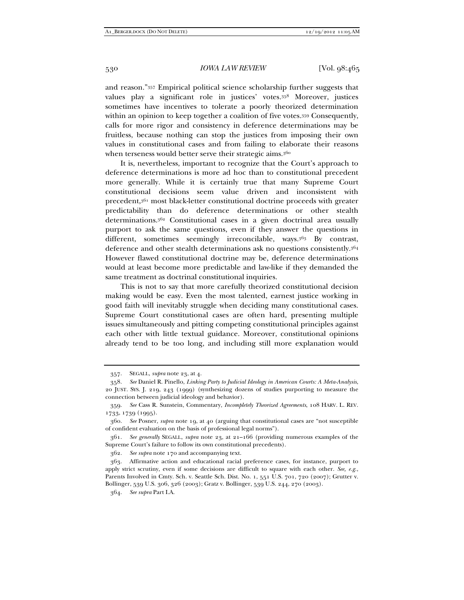and reason."357 Empirical political science scholarship further suggests that values play a significant role in justices' votes.358 Moreover, justices sometimes have incentives to tolerate a poorly theorized determination within an opinion to keep together a coalition of five votes.359 Consequently, calls for more rigor and consistency in deference determinations may be fruitless, because nothing can stop the justices from imposing their own values in constitutional cases and from failing to elaborate their reasons when terseness would better serve their strategic aims.<sup>360</sup>

It is, nevertheless, important to recognize that the Court's approach to deference determinations is more ad hoc than to constitutional precedent more generally. While it is certainly true that many Supreme Court constitutional decisions seem value driven and inconsistent with precedent,361 most black-letter constitutional doctrine proceeds with greater predictability than do deference determinations or other stealth determinations.362 Constitutional cases in a given doctrinal area usually purport to ask the same questions, even if they answer the questions in different, sometimes seemingly irreconcilable, ways.<sup>363</sup> By contrast, deference and other stealth determinations ask no questions consistently.364 However flawed constitutional doctrine may be, deference determinations would at least become more predictable and law-like if they demanded the same treatment as doctrinal constitutional inquiries.

This is not to say that more carefully theorized constitutional decision making would be easy. Even the most talented, earnest justice working in good faith will inevitably struggle when deciding many constitutional cases. Supreme Court constitutional cases are often hard, presenting multiple issues simultaneously and pitting competing constitutional principles against each other with little textual guidance. Moreover, constitutional opinions already tend to be too long, and including still more explanation would

 <sup>357.</sup> SEGALL, *supra* note 23, at 4.

 <sup>358.</sup> *See* Daniel R. Pinello, *Linking Party to Judicial Ideology in American Courts: A Meta-Analysis*, 20 JUST. SYS. J. 219, 243 (1999) (synthesizing dozens of studies purporting to measure the connection between judicial ideology and behavior).

 <sup>359.</sup> *See* Cass R. Sunstein, Commentary, *Incompletely Theorized Agreements*, 108 HARV. L. REV. 1733, 1739 (1995).

 <sup>360.</sup> *See* Posner, *supra* note 19, at 40 (arguing that constitutional cases are "not susceptible of confident evaluation on the basis of professional legal norms").

 <sup>361.</sup> *See generally* SEGALL, *supra* note 23, at 21–166 (providing numerous examples of the Supreme Court's failure to follow its own constitutional precedents).

 <sup>362.</sup> *See supra* note 170 and accompanying text.

 <sup>363.</sup> Affirmative action and educational racial preference cases, for instance, purport to apply strict scrutiny, even if some decisions are difficult to square with each other. *See, e.g.*, Parents Involved in Cmty. Sch. v. Seattle Sch. Dist. No. 1, 551 U.S. 701, 720 (2007); Grutter v. Bollinger, 539 U.S. 306, 326 (2003); Gratz v. Bollinger, 539 U.S. 244, 270 (2003).

 <sup>364.</sup> *See supra* Part I.A.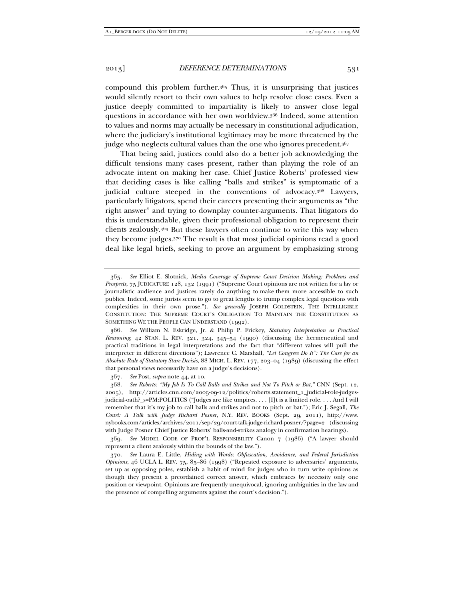compound this problem further.365 Thus, it is unsurprising that justices would silently resort to their own values to help resolve close cases. Even a justice deeply committed to impartiality is likely to answer close legal questions in accordance with her own worldview.366 Indeed, some attention to values and norms may actually be necessary in constitutional adjudication, where the judiciary's institutional legitimacy may be more threatened by the judge who neglects cultural values than the one who ignores precedent.<sup>367</sup>

That being said, justices could also do a better job acknowledging the difficult tensions many cases present, rather than playing the role of an advocate intent on making her case. Chief Justice Roberts' professed view that deciding cases is like calling "balls and strikes" is symptomatic of a judicial culture steeped in the conventions of advocacy.368 Lawyers, particularly litigators, spend their careers presenting their arguments as "the right answer" and trying to downplay counter-arguments. That litigators do this is understandable, given their professional obligation to represent their clients zealously.369 But these lawyers often continue to write this way when they become judges.370 The result is that most judicial opinions read a good deal like legal briefs, seeking to prove an argument by emphasizing strong

367. *See* Post, *supra* note 44, at 10.

 368. *See Roberts: "My Job Is To Call Balls and Strikes and Not To Pitch or Bat*,*"* CNN (Sept. 12, 2005), http://articles.cnn.com/2005-09-12/politics/roberts.statement\_1\_judicial-role-judgesjudicial-oath?\_s=PM:POLITICS ("Judges are like umpires. . . . [I]t is a limited role. . . . And I will remember that it's my job to call balls and strikes and not to pitch or bat."); Eric J. Segall, *The Court: A Talk with Judge Richard Posner*, N.Y. REV. BOOKS (Sept. 29, 2011), http://www. nybooks.com/articles/archives/2011/sep/29/court-talk-judge-richard-posner/?page=2 (discussing with Judge Posner Chief Justice Roberts' balls-and-strikes analogy in confirmation hearings).

 369. *See* MODEL CODE OF PROF'L RESPONSIBILITY Canon 7 (1986) ("A lawyer should represent a client zealously within the bounds of the law.").

 370. *See* Laura E. Little, *Hiding with Words: Obfuscation, Avoidance, and Federal Jurisdiction Opinions*, 46 UCLA L. REV. 75, 85–86 (1998) ("Repeated exposure to adversaries' arguments, set up as opposing poles, establish a habit of mind for judges who in turn write opinions as though they present a preordained correct answer, which embraces by necessity only one position or viewpoint. Opinions are frequently unequivocal, ignoring ambiguities in the law and the presence of compelling arguments against the court's decision.").

 <sup>365.</sup> *See* Elliot E. Slotnick, *Media Coverage of Supreme Court Decision Making: Problems and Prospects*, 75 JUDICATURE 128, 132 (1991) ("Supreme Court opinions are not written for a lay or journalistic audience and justices rarely do anything to make them more accessible to such publics. Indeed, some jurists seem to go to great lengths to trump complex legal questions with complexities in their own prose."). *See generally* JOSEPH GOLDSTEIN, THE INTELLIGIBLE CONSTITUTION: THE SUPREME COURT'S OBLIGATION TO MAINTAIN THE CONSTITUTION AS SOMETHING WE THE PEOPLE CAN UNDERSTAND (1992).

 <sup>366.</sup> *See* William N. Eskridge, Jr. & Philip P. Frickey, *Statutory Interpretation as Practical Reasoning*, 42 STAN. L. REV. 321, 324, 345–54 (1990) (discussing the hermeneutical and practical traditions in legal interpretations and the fact that "different values will pull the interpreter in different directions"); Lawrence C. Marshall, *"Let Congress Do It": The Case for an Absolute Rule of Statutory Stare Decisis*, 88 MICH. L. REV. 177, 203–04 (1989) (discussing the effect that personal views necessarily have on a judge's decisions).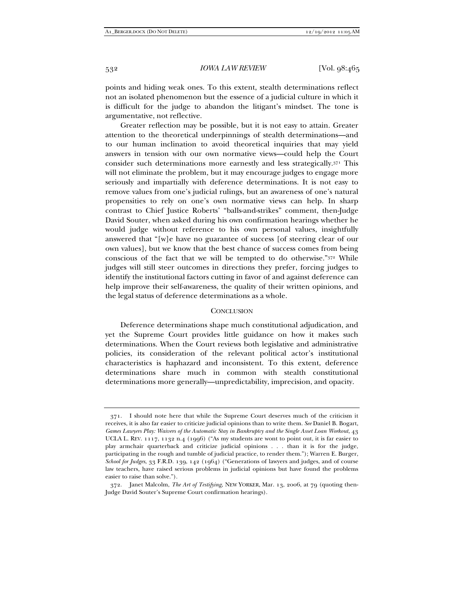points and hiding weak ones. To this extent, stealth determinations reflect not an isolated phenomenon but the essence of a judicial culture in which it is difficult for the judge to abandon the litigant's mindset. The tone is argumentative, not reflective.

Greater reflection may be possible, but it is not easy to attain. Greater attention to the theoretical underpinnings of stealth determinations—and to our human inclination to avoid theoretical inquiries that may yield answers in tension with our own normative views—could help the Court consider such determinations more earnestly and less strategically.371 This will not eliminate the problem, but it may encourage judges to engage more seriously and impartially with deference determinations. It is not easy to remove values from one's judicial rulings, but an awareness of one's natural propensities to rely on one's own normative views can help. In sharp contrast to Chief Justice Roberts' "balls-and-strikes" comment, then-Judge David Souter, when asked during his own confirmation hearings whether he would judge without reference to his own personal values, insightfully answered that "[w]e have no guarantee of success [of steering clear of our own values], but we know that the best chance of success comes from being conscious of the fact that we will be tempted to do otherwise."372 While judges will still steer outcomes in directions they prefer, forcing judges to identify the institutional factors cutting in favor of and against deference can help improve their self-awareness, the quality of their written opinions, and the legal status of deference determinations as a whole.

#### **CONCLUSION**

Deference determinations shape much constitutional adjudication, and yet the Supreme Court provides little guidance on how it makes such determinations. When the Court reviews both legislative and administrative policies, its consideration of the relevant political actor's institutional characteristics is haphazard and inconsistent. To this extent, deference determinations share much in common with stealth constitutional determinations more generally—unpredictability, imprecision, and opacity.

 <sup>371.</sup> I should note here that while the Supreme Court deserves much of the criticism it receives, it is also far easier to criticize judicial opinions than to write them. *See* Daniel B. Bogart, *Games Lawyers Play: Waivers of the Automatic Stay in Bankruptcy and the Single Asset Loan Workout, 43* UCLA L. REV. 1117, 1132 n.4 (1996) ("As my students are wont to point out, it is far easier to play armchair quarterback and criticize judicial opinions . . . than it is for the judge, participating in the rough and tumble of judicial practice, to render them."); Warren E. Burger, *School for Judges*, 33 F.R.D. 139, 142 (1964) ("Generations of lawyers and judges, and of course law teachers, have raised serious problems in judicial opinions but have found the problems easier to raise than solve.").

 <sup>372.</sup> Janet Malcolm, *The Art of Testifying*, NEW YORKER, Mar. 13, 2006, at 79 (quoting then-Judge David Souter's Supreme Court confirmation hearings).